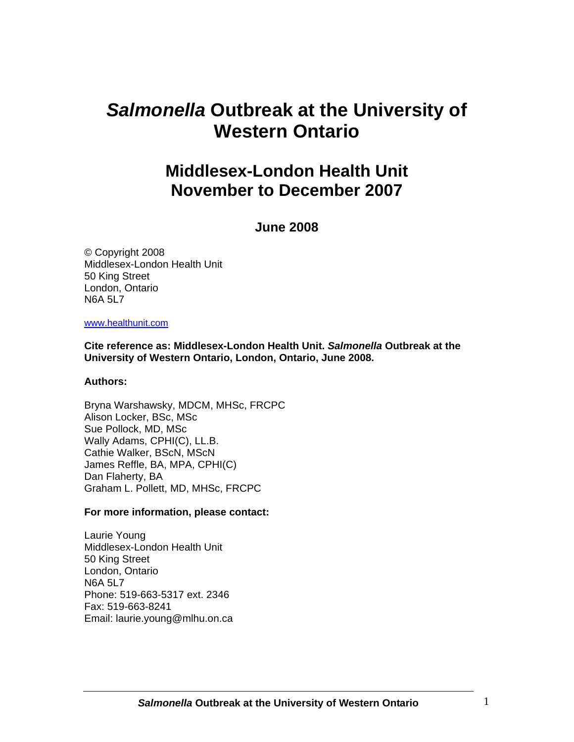# *Salmonella* **Outbreak at the University of Western Ontario**

## **Middlesex-London Health Unit November to December 2007**

### **June 2008**

© Copyright 2008 Middlesex-London Health Unit 50 King Street London, Ontario N6A 5L7

#### www.healthunit.com

**Cite reference as: Middlesex-London Health Unit.** *Salmonella* **Outbreak at the University of Western Ontario, London, Ontario, June 2008.**

#### **Authors:**

Bryna Warshawsky, MDCM, MHSc, FRCPC Alison Locker, BSc, MSc Sue Pollock, MD, MSc Wally Adams, CPHI(C), LL.B. Cathie Walker, BScN, MScN James Reffle, BA, MPA, CPHI(C) Dan Flaherty, BA Graham L. Pollett, MD, MHSc, FRCPC

#### **For more information, please contact:**

Laurie Young Middlesex-London Health Unit 50 King Street London, Ontario N6A 5L7 Phone: 519-663-5317 ext. 2346 Fax: 519-663-8241 Email: laurie.young@mlhu.on.ca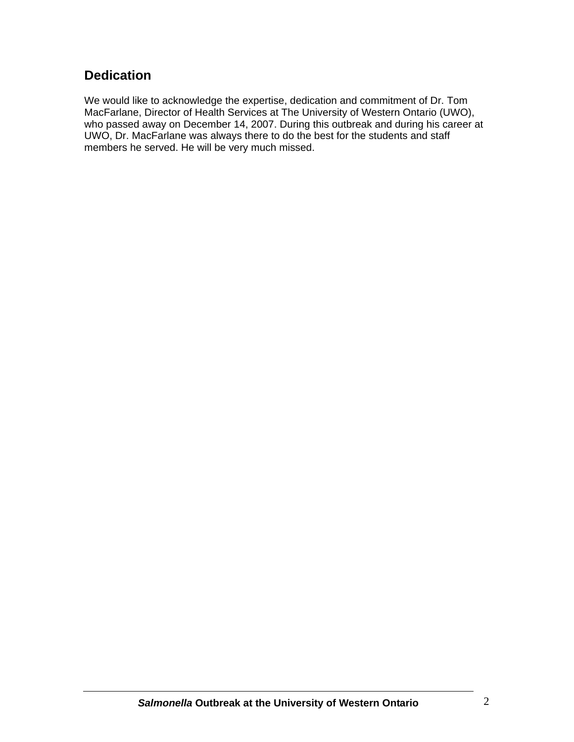### **Dedication**

We would like to acknowledge the expertise, dedication and commitment of Dr. Tom MacFarlane, Director of Health Services at The University of Western Ontario (UWO), who passed away on December 14, 2007. During this outbreak and during his career at UWO, Dr. MacFarlane was always there to do the best for the students and staff members he served. He will be very much missed.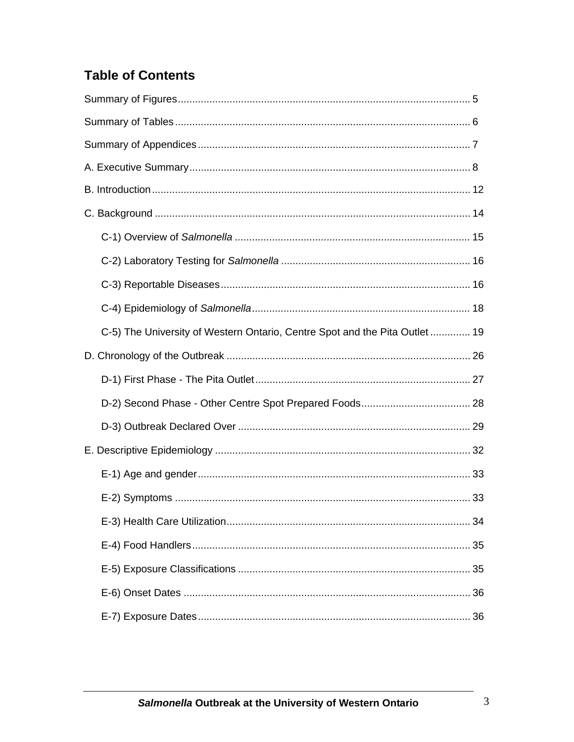## **Table of Contents**

| C-5) The University of Western Ontario, Centre Spot and the Pita Outlet 19 |  |
|----------------------------------------------------------------------------|--|
|                                                                            |  |
|                                                                            |  |
|                                                                            |  |
|                                                                            |  |
|                                                                            |  |
|                                                                            |  |
|                                                                            |  |
|                                                                            |  |
|                                                                            |  |
|                                                                            |  |
|                                                                            |  |
|                                                                            |  |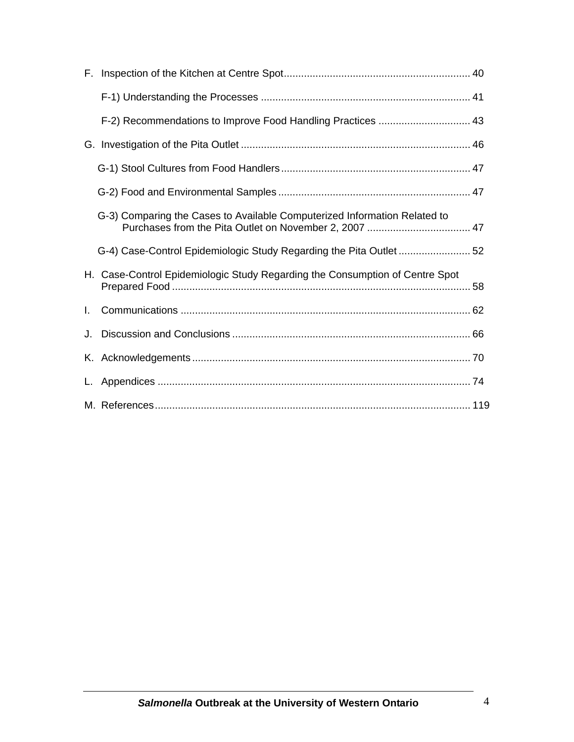| F. |                                                                              |  |
|----|------------------------------------------------------------------------------|--|
|    |                                                                              |  |
|    | F-2) Recommendations to Improve Food Handling Practices  43                  |  |
|    |                                                                              |  |
|    |                                                                              |  |
|    |                                                                              |  |
|    | G-3) Comparing the Cases to Available Computerized Information Related to    |  |
|    | G-4) Case-Control Epidemiologic Study Regarding the Pita Outlet 52           |  |
|    | H. Case-Control Epidemiologic Study Regarding the Consumption of Centre Spot |  |
| L. |                                                                              |  |
| J. |                                                                              |  |
|    |                                                                              |  |
|    |                                                                              |  |
|    |                                                                              |  |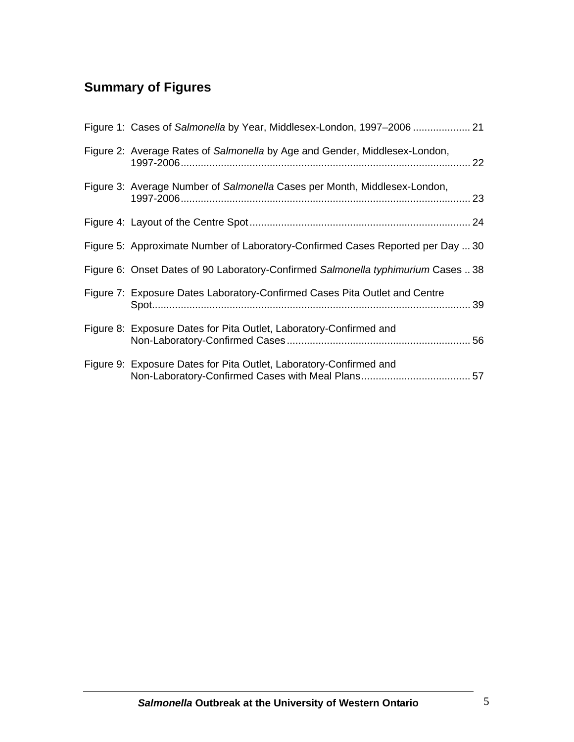## **Summary of Figures**

| Figure 1: Cases of Salmonella by Year, Middlesex-London, 1997-2006  21            |  |
|-----------------------------------------------------------------------------------|--|
| Figure 2: Average Rates of Salmonella by Age and Gender, Middlesex-London,        |  |
| Figure 3: Average Number of Salmonella Cases per Month, Middlesex-London,         |  |
|                                                                                   |  |
| Figure 5: Approximate Number of Laboratory-Confirmed Cases Reported per Day  30   |  |
| Figure 6: Onset Dates of 90 Laboratory-Confirmed Salmonella typhimurium Cases  38 |  |
| Figure 7: Exposure Dates Laboratory-Confirmed Cases Pita Outlet and Centre        |  |
| Figure 8: Exposure Dates for Pita Outlet, Laboratory-Confirmed and                |  |
| Figure 9: Exposure Dates for Pita Outlet, Laboratory-Confirmed and                |  |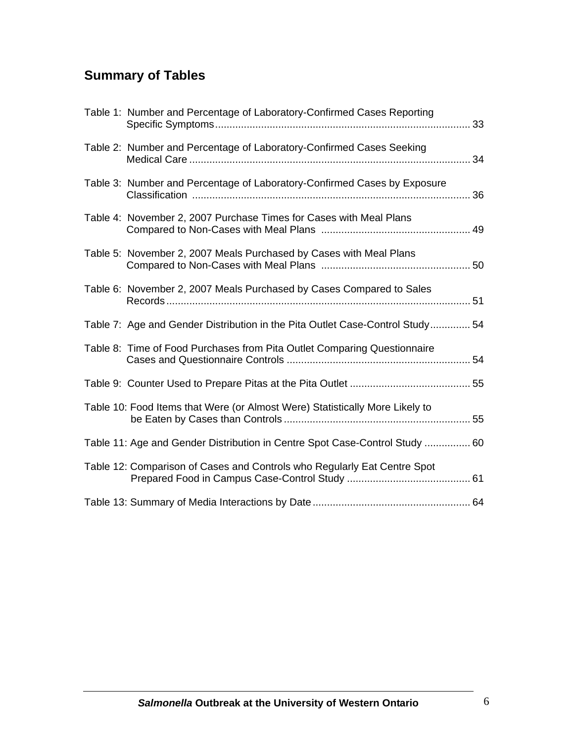## **Summary of Tables**

| Table 1: Number and Percentage of Laboratory-Confirmed Cases Reporting        |    |
|-------------------------------------------------------------------------------|----|
| Table 2: Number and Percentage of Laboratory-Confirmed Cases Seeking          | 34 |
| Table 3: Number and Percentage of Laboratory-Confirmed Cases by Exposure      |    |
| Table 4: November 2, 2007 Purchase Times for Cases with Meal Plans            |    |
| Table 5: November 2, 2007 Meals Purchased by Cases with Meal Plans            |    |
| Table 6: November 2, 2007 Meals Purchased by Cases Compared to Sales          |    |
| Table 7: Age and Gender Distribution in the Pita Outlet Case-Control Study 54 |    |
| Table 8: Time of Food Purchases from Pita Outlet Comparing Questionnaire      |    |
|                                                                               |    |
| Table 10: Food Items that Were (or Almost Were) Statistically More Likely to  |    |
| Table 11: Age and Gender Distribution in Centre Spot Case-Control Study  60   |    |
| Table 12: Comparison of Cases and Controls who Regularly Eat Centre Spot      |    |
|                                                                               |    |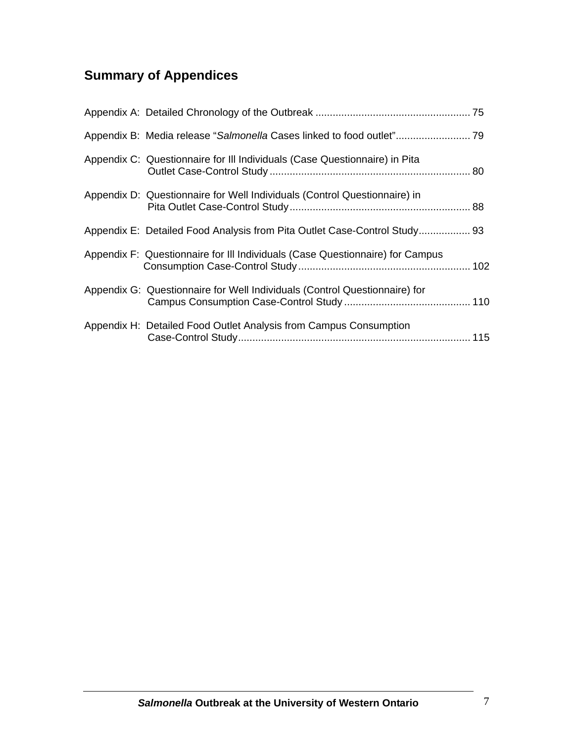## **Summary of Appendices**

| Appendix C: Questionnaire for III Individuals (Case Questionnaire) in Pita    |  |
|-------------------------------------------------------------------------------|--|
| Appendix D: Questionnaire for Well Individuals (Control Questionnaire) in     |  |
| Appendix E: Detailed Food Analysis from Pita Outlet Case-Control Study 93     |  |
| Appendix F: Questionnaire for III Individuals (Case Questionnaire) for Campus |  |
| Appendix G: Questionnaire for Well Individuals (Control Questionnaire) for    |  |
| Appendix H: Detailed Food Outlet Analysis from Campus Consumption             |  |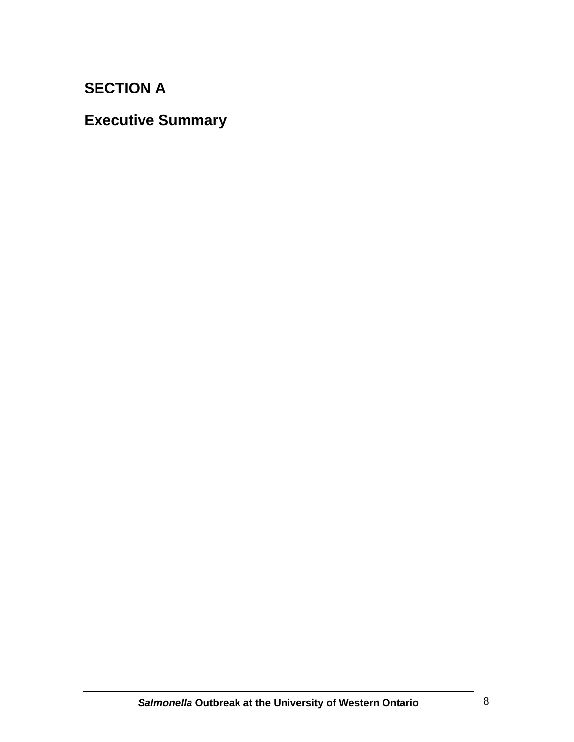## **SECTION A**

## **Executive Summary**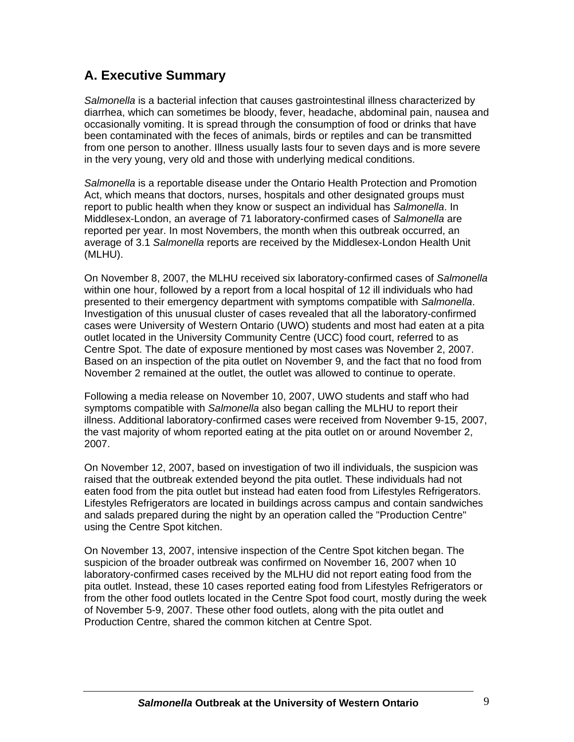### **A. Executive Summary**

*Salmonella* is a bacterial infection that causes gastrointestinal illness characterized by diarrhea, which can sometimes be bloody, fever, headache, abdominal pain, nausea and occasionally vomiting. It is spread through the consumption of food or drinks that have been contaminated with the feces of animals, birds or reptiles and can be transmitted from one person to another. Illness usually lasts four to seven days and is more severe in the very young, very old and those with underlying medical conditions.

*Salmonella* is a reportable disease under the Ontario Health Protection and Promotion Act, which means that doctors, nurses, hospitals and other designated groups must report to public health when they know or suspect an individual has *Salmonella*. In Middlesex-London, an average of 71 laboratory-confirmed cases of *Salmonella* are reported per year. In most Novembers, the month when this outbreak occurred, an average of 3.1 *Salmonella* reports are received by the Middlesex-London Health Unit (MLHU).

On November 8, 2007, the MLHU received six laboratory-confirmed cases of *Salmonella* within one hour, followed by a report from a local hospital of 12 ill individuals who had presented to their emergency department with symptoms compatible with *Salmonella*. Investigation of this unusual cluster of cases revealed that all the laboratory-confirmed cases were University of Western Ontario (UWO) students and most had eaten at a pita outlet located in the University Community Centre (UCC) food court, referred to as Centre Spot. The date of exposure mentioned by most cases was November 2, 2007. Based on an inspection of the pita outlet on November 9, and the fact that no food from November 2 remained at the outlet, the outlet was allowed to continue to operate.

Following a media release on November 10, 2007, UWO students and staff who had symptoms compatible with *Salmonella* also began calling the MLHU to report their illness. Additional laboratory-confirmed cases were received from November 9-15, 2007, the vast majority of whom reported eating at the pita outlet on or around November 2, 2007.

On November 12, 2007, based on investigation of two ill individuals, the suspicion was raised that the outbreak extended beyond the pita outlet. These individuals had not eaten food from the pita outlet but instead had eaten food from Lifestyles Refrigerators. Lifestyles Refrigerators are located in buildings across campus and contain sandwiches and salads prepared during the night by an operation called the "Production Centre" using the Centre Spot kitchen.

On November 13, 2007, intensive inspection of the Centre Spot kitchen began. The suspicion of the broader outbreak was confirmed on November 16, 2007 when 10 laboratory-confirmed cases received by the MLHU did not report eating food from the pita outlet. Instead, these 10 cases reported eating food from Lifestyles Refrigerators or from the other food outlets located in the Centre Spot food court, mostly during the week of November 5-9, 2007. These other food outlets, along with the pita outlet and Production Centre, shared the common kitchen at Centre Spot.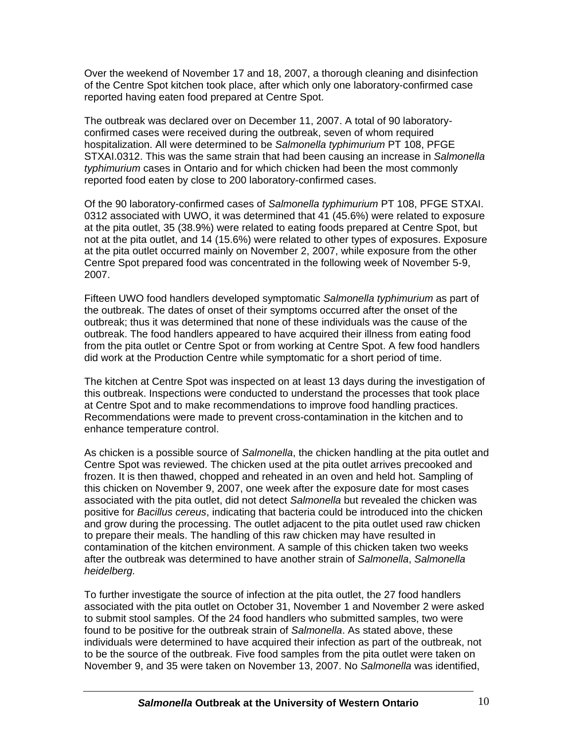Over the weekend of November 17 and 18, 2007, a thorough cleaning and disinfection of the Centre Spot kitchen took place, after which only one laboratory-confirmed case reported having eaten food prepared at Centre Spot.

The outbreak was declared over on December 11, 2007. A total of 90 laboratoryconfirmed cases were received during the outbreak, seven of whom required hospitalization. All were determined to be *Salmonella typhimurium* PT 108, PFGE STXAI.0312. This was the same strain that had been causing an increase in *Salmonella typhimurium* cases in Ontario and for which chicken had been the most commonly reported food eaten by close to 200 laboratory-confirmed cases.

Of the 90 laboratory-confirmed cases of *Salmonella typhimurium* PT 108, PFGE STXAI. 0312 associated with UWO, it was determined that 41 (45.6%) were related to exposure at the pita outlet, 35 (38.9%) were related to eating foods prepared at Centre Spot, but not at the pita outlet, and 14 (15.6%) were related to other types of exposures. Exposure at the pita outlet occurred mainly on November 2, 2007, while exposure from the other Centre Spot prepared food was concentrated in the following week of November 5-9, 2007.

Fifteen UWO food handlers developed symptomatic *Salmonella typhimurium* as part of the outbreak. The dates of onset of their symptoms occurred after the onset of the outbreak; thus it was determined that none of these individuals was the cause of the outbreak. The food handlers appeared to have acquired their illness from eating food from the pita outlet or Centre Spot or from working at Centre Spot. A few food handlers did work at the Production Centre while symptomatic for a short period of time.

The kitchen at Centre Spot was inspected on at least 13 days during the investigation of this outbreak. Inspections were conducted to understand the processes that took place at Centre Spot and to make recommendations to improve food handling practices. Recommendations were made to prevent cross-contamination in the kitchen and to enhance temperature control.

As chicken is a possible source of *Salmonella*, the chicken handling at the pita outlet and Centre Spot was reviewed. The chicken used at the pita outlet arrives precooked and frozen. It is then thawed, chopped and reheated in an oven and held hot. Sampling of this chicken on November 9, 2007, one week after the exposure date for most cases associated with the pita outlet, did not detect *Salmonella* but revealed the chicken was positive for *Bacillus cereus*, indicating that bacteria could be introduced into the chicken and grow during the processing. The outlet adjacent to the pita outlet used raw chicken to prepare their meals. The handling of this raw chicken may have resulted in contamination of the kitchen environment. A sample of this chicken taken two weeks after the outbreak was determined to have another strain of *Salmonella*, *Salmonella heidelberg.*

To further investigate the source of infection at the pita outlet, the 27 food handlers associated with the pita outlet on October 31, November 1 and November 2 were asked to submit stool samples. Of the 24 food handlers who submitted samples, two were found to be positive for the outbreak strain of *Salmonella*. As stated above, these individuals were determined to have acquired their infection as part of the outbreak, not to be the source of the outbreak. Five food samples from the pita outlet were taken on November 9, and 35 were taken on November 13, 2007. No *Salmonella* was identified,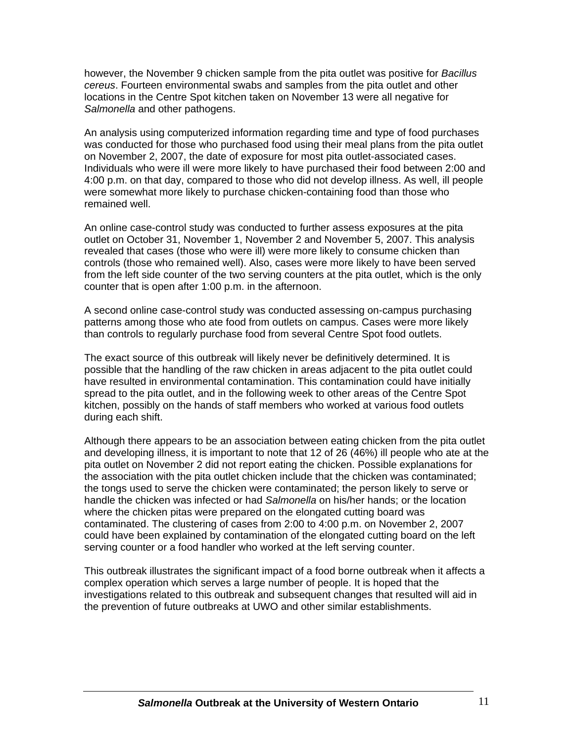however, the November 9 chicken sample from the pita outlet was positive for *Bacillus cereus*. Fourteen environmental swabs and samples from the pita outlet and other locations in the Centre Spot kitchen taken on November 13 were all negative for *Salmonella* and other pathogens.

An analysis using computerized information regarding time and type of food purchases was conducted for those who purchased food using their meal plans from the pita outlet on November 2, 2007, the date of exposure for most pita outlet-associated cases. Individuals who were ill were more likely to have purchased their food between 2:00 and 4:00 p.m. on that day, compared to those who did not develop illness. As well, ill people were somewhat more likely to purchase chicken-containing food than those who remained well.

An online case-control study was conducted to further assess exposures at the pita outlet on October 31, November 1, November 2 and November 5, 2007. This analysis revealed that cases (those who were ill) were more likely to consume chicken than controls (those who remained well). Also, cases were more likely to have been served from the left side counter of the two serving counters at the pita outlet, which is the only counter that is open after 1:00 p.m. in the afternoon.

A second online case-control study was conducted assessing on-campus purchasing patterns among those who ate food from outlets on campus. Cases were more likely than controls to regularly purchase food from several Centre Spot food outlets.

The exact source of this outbreak will likely never be definitively determined. It is possible that the handling of the raw chicken in areas adjacent to the pita outlet could have resulted in environmental contamination. This contamination could have initially spread to the pita outlet, and in the following week to other areas of the Centre Spot kitchen, possibly on the hands of staff members who worked at various food outlets during each shift.

Although there appears to be an association between eating chicken from the pita outlet and developing illness, it is important to note that 12 of 26 (46%) ill people who ate at the pita outlet on November 2 did not report eating the chicken. Possible explanations for the association with the pita outlet chicken include that the chicken was contaminated; the tongs used to serve the chicken were contaminated; the person likely to serve or handle the chicken was infected or had *Salmonella* on his/her hands; or the location where the chicken pitas were prepared on the elongated cutting board was contaminated. The clustering of cases from 2:00 to 4:00 p.m. on November 2, 2007 could have been explained by contamination of the elongated cutting board on the left serving counter or a food handler who worked at the left serving counter.

This outbreak illustrates the significant impact of a food borne outbreak when it affects a complex operation which serves a large number of people. It is hoped that the investigations related to this outbreak and subsequent changes that resulted will aid in the prevention of future outbreaks at UWO and other similar establishments.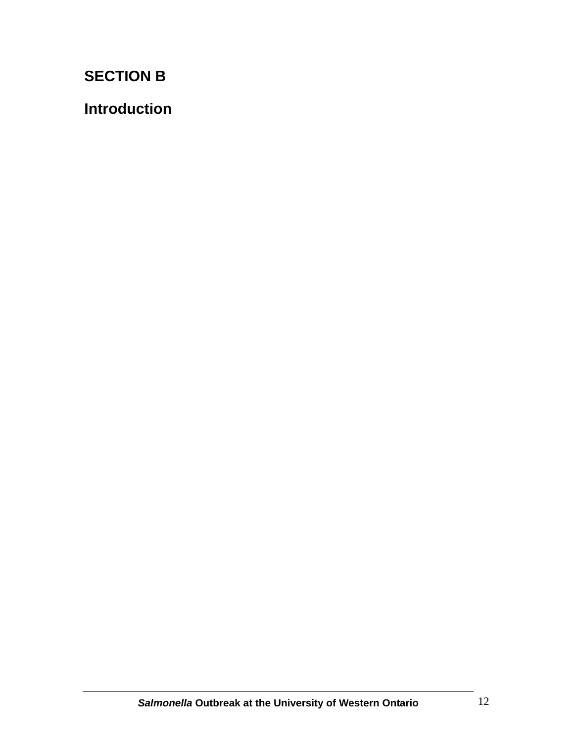# **SECTION B**

**Introduction**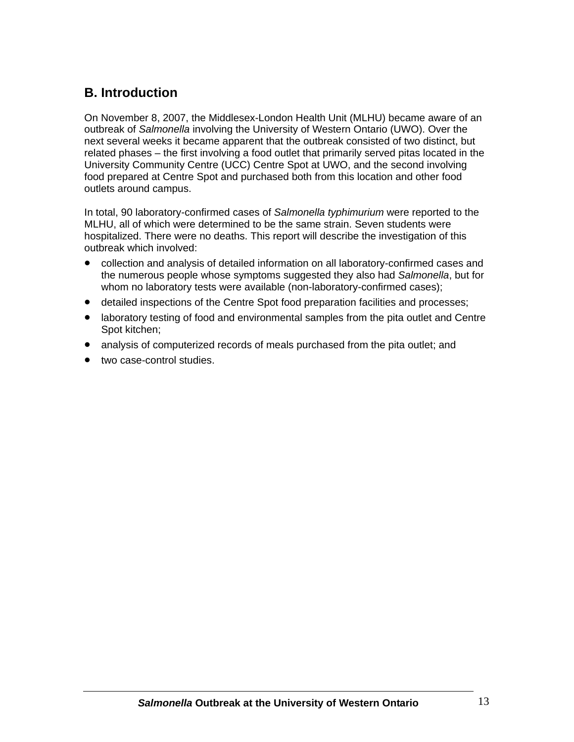### **B. Introduction**

On November 8, 2007, the Middlesex-London Health Unit (MLHU) became aware of an outbreak of *Salmonella* involving the University of Western Ontario (UWO). Over the next several weeks it became apparent that the outbreak consisted of two distinct, but related phases – the first involving a food outlet that primarily served pitas located in the University Community Centre (UCC) Centre Spot at UWO, and the second involving food prepared at Centre Spot and purchased both from this location and other food outlets around campus.

In total, 90 laboratory-confirmed cases of *Salmonella typhimurium* were reported to the MLHU, all of which were determined to be the same strain. Seven students were hospitalized. There were no deaths. This report will describe the investigation of this outbreak which involved:

- collection and analysis of detailed information on all laboratory-confirmed cases and the numerous people whose symptoms suggested they also had *Salmonella*, but for whom no laboratory tests were available (non-laboratory-confirmed cases);
- detailed inspections of the Centre Spot food preparation facilities and processes;
- laboratory testing of food and environmental samples from the pita outlet and Centre Spot kitchen;
- analysis of computerized records of meals purchased from the pita outlet; and
- two case-control studies.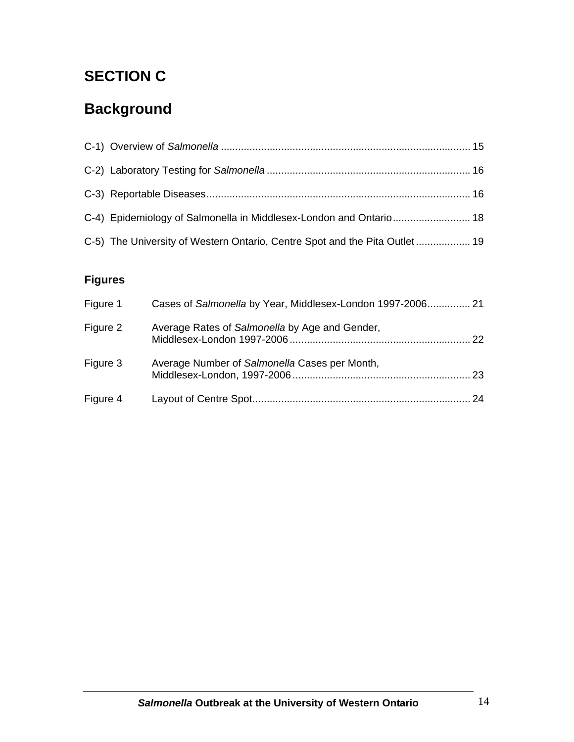# **SECTION C**

# **Background**

| C-4) Epidemiology of Salmonella in Middlesex-London and Ontario 18         |  |
|----------------------------------------------------------------------------|--|
| C-5) The University of Western Ontario, Centre Spot and the Pita Outlet 19 |  |

## **Figures**

| Figure 1 | Cases of Salmonella by Year, Middlesex-London 1997-2006 21 |      |
|----------|------------------------------------------------------------|------|
| Figure 2 | Average Rates of Salmonella by Age and Gender,             | 22.  |
| Figure 3 | Average Number of Salmonella Cases per Month,              | 23   |
| Figure 4 |                                                            | . 24 |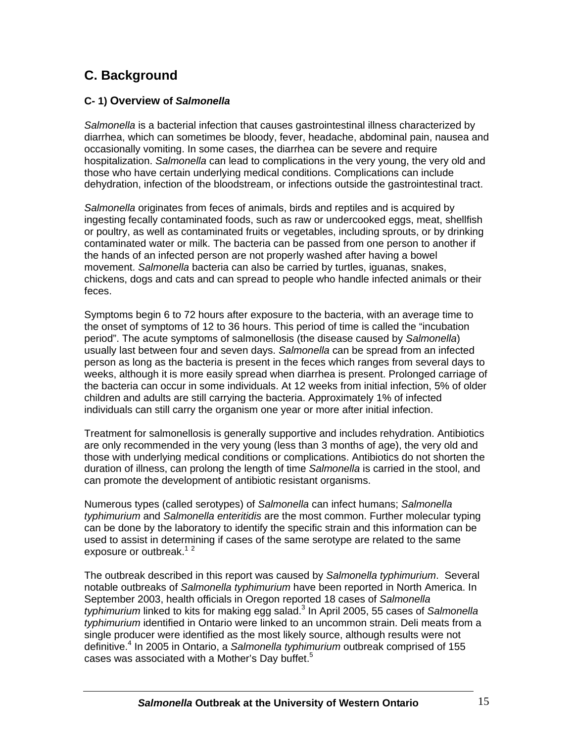### **C. Background**

#### **C- 1) Overview of** *Salmonella*

*Salmonella* is a bacterial infection that causes gastrointestinal illness characterized by diarrhea, which can sometimes be bloody, fever, headache, abdominal pain, nausea and occasionally vomiting. In some cases, the diarrhea can be severe and require hospitalization. *Salmonella* can lead to complications in the very young, the very old and those who have certain underlying medical conditions. Complications can include dehydration, infection of the bloodstream, or infections outside the gastrointestinal tract.

*Salmonella* originates from feces of animals, birds and reptiles and is acquired by ingesting fecally contaminated foods, such as raw or undercooked eggs, meat, shellfish or poultry, as well as contaminated fruits or vegetables, including sprouts, or by drinking contaminated water or milk. The bacteria can be passed from one person to another if the hands of an infected person are not properly washed after having a bowel movement. *Salmonella* bacteria can also be carried by turtles, iguanas, snakes, chickens, dogs and cats and can spread to people who handle infected animals or their feces.

Symptoms begin 6 to 72 hours after exposure to the bacteria, with an average time to the onset of symptoms of 12 to 36 hours. This period of time is called the "incubation period". The acute symptoms of salmonellosis (the disease caused by *Salmonella*) usually last between four and seven days. *Salmonella* can be spread from an infected person as long as the bacteria is present in the feces which ranges from several days to weeks, although it is more easily spread when diarrhea is present. Prolonged carriage of the bacteria can occur in some individuals. At 12 weeks from initial infection, 5% of older children and adults are still carrying the bacteria. Approximately 1% of infected individuals can still carry the organism one year or more after initial infection.

Treatment for salmonellosis is generally supportive and includes rehydration. Antibiotics are only recommended in the very young (less than 3 months of age), the very old and those with underlying medical conditions or complications. Antibiotics do not shorten the duration of illness, can prolong the length of time *Salmonella* is carried in the stool, and can promote the development of antibiotic resistant organisms.

Numerous types (called serotypes) of *Salmonella* can infect humans; *Salmonella typhimurium* and *Salmonella enteritidis* are the most common. Further molecular typing can be done by the laboratory to identify the specific strain and this information can be used to assist in determining if cases of the same serotype are related to the same exposure or outbreak. $12$ 

The outbreak described in this report was caused by *Salmonella typhimurium*. Several notable outbreaks of *Salmonella typhimurium* have been reported in North America. In September 2003, health officials in Oregon reported 18 cases of *Salmonella* typhimurium linked to kits for making egg salad.<sup>3</sup> In April 2005, 55 cases of Salmonella *typhimurium* identified in Ontario were linked to an uncommon strain. Deli meats from a single producer were identified as the most likely source, although results were not definitive.4 In 2005 in Ontario, a *Salmonella typhimurium* outbreak comprised of 155 cases was associated with a Mother's Day buffet.<sup>5</sup>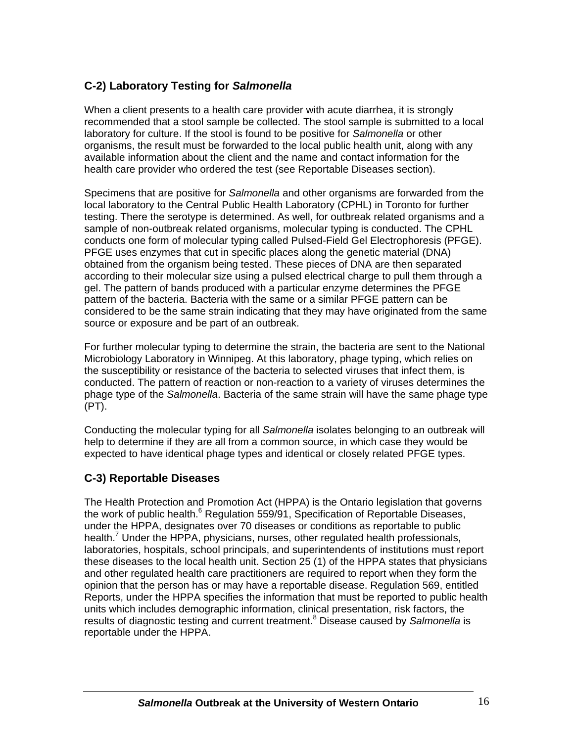#### **C-2) Laboratory Testing for** *Salmonella*

When a client presents to a health care provider with acute diarrhea, it is strongly recommended that a stool sample be collected. The stool sample is submitted to a local laboratory for culture. If the stool is found to be positive for *Salmonella* or other organisms, the result must be forwarded to the local public health unit, along with any available information about the client and the name and contact information for the health care provider who ordered the test (see Reportable Diseases section).

Specimens that are positive for *Salmonella* and other organisms are forwarded from the local laboratory to the Central Public Health Laboratory (CPHL) in Toronto for further testing. There the serotype is determined. As well, for outbreak related organisms and a sample of non-outbreak related organisms, molecular typing is conducted. The CPHL conducts one form of molecular typing called Pulsed-Field Gel Electrophoresis (PFGE). PFGE uses enzymes that cut in specific places along the genetic material (DNA) obtained from the organism being tested. These pieces of DNA are then separated according to their molecular size using a pulsed electrical charge to pull them through a gel. The pattern of bands produced with a particular enzyme determines the PFGE pattern of the bacteria. Bacteria with the same or a similar PFGE pattern can be considered to be the same strain indicating that they may have originated from the same source or exposure and be part of an outbreak.

For further molecular typing to determine the strain, the bacteria are sent to the National Microbiology Laboratory in Winnipeg. At this laboratory, phage typing, which relies on the susceptibility or resistance of the bacteria to selected viruses that infect them, is conducted. The pattern of reaction or non-reaction to a variety of viruses determines the phage type of the *Salmonella*. Bacteria of the same strain will have the same phage type (PT).

Conducting the molecular typing for all *Salmonella* isolates belonging to an outbreak will help to determine if they are all from a common source, in which case they would be expected to have identical phage types and identical or closely related PFGE types.

#### **C-3) Reportable Diseases**

The Health Protection and Promotion Act (HPPA) is the Ontario legislation that governs the work of public health.<sup>6</sup> Regulation 559/91, Specification of Reportable Diseases, under the HPPA, designates over 70 diseases or conditions as reportable to public health.<sup>7</sup> Under the HPPA, physicians, nurses, other regulated health professionals, laboratories, hospitals, school principals, and superintendents of institutions must report these diseases to the local health unit. Section 25 (1) of the HPPA states that physicians and other regulated health care practitioners are required to report when they form the opinion that the person has or may have a reportable disease. Regulation 569, entitled Reports, under the HPPA specifies the information that must be reported to public health units which includes demographic information, clinical presentation, risk factors, the results of diagnostic testing and current treatment.<sup>8</sup> Disease caused by Salmonella is reportable under the HPPA.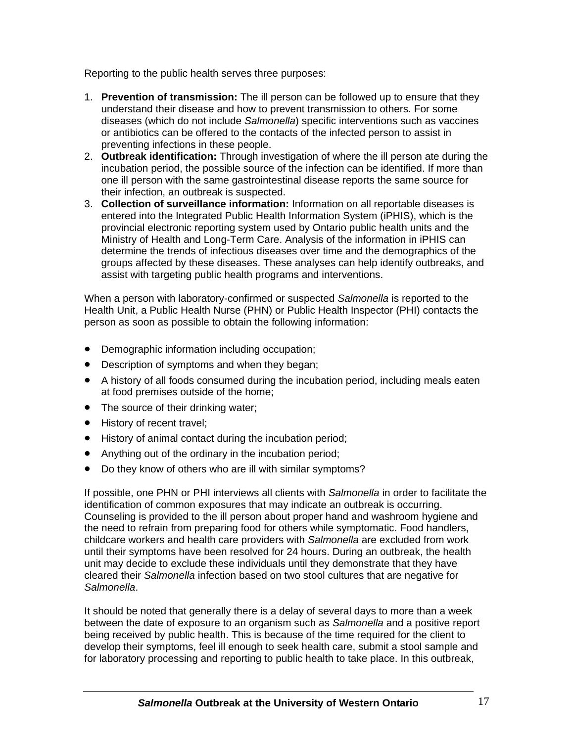Reporting to the public health serves three purposes:

- 1. **Prevention of transmission:** The ill person can be followed up to ensure that they understand their disease and how to prevent transmission to others. For some diseases (which do not include *Salmonella*) specific interventions such as vaccines or antibiotics can be offered to the contacts of the infected person to assist in preventing infections in these people.
- 2. **Outbreak identification:** Through investigation of where the ill person ate during the incubation period, the possible source of the infection can be identified. If more than one ill person with the same gastrointestinal disease reports the same source for their infection, an outbreak is suspected.
- 3. **Collection of surveillance information:** Information on all reportable diseases is entered into the Integrated Public Health Information System (iPHIS), which is the provincial electronic reporting system used by Ontario public health units and the Ministry of Health and Long-Term Care. Analysis of the information in iPHIS can determine the trends of infectious diseases over time and the demographics of the groups affected by these diseases. These analyses can help identify outbreaks, and assist with targeting public health programs and interventions.

When a person with laboratory-confirmed or suspected *Salmonella* is reported to the Health Unit, a Public Health Nurse (PHN) or Public Health Inspector (PHI) contacts the person as soon as possible to obtain the following information:

- Demographic information including occupation;
- Description of symptoms and when they began;
- A history of all foods consumed during the incubation period, including meals eaten at food premises outside of the home;
- The source of their drinking water;
- History of recent travel;
- History of animal contact during the incubation period;
- Anything out of the ordinary in the incubation period;
- Do they know of others who are ill with similar symptoms?

If possible, one PHN or PHI interviews all clients with *Salmonella* in order to facilitate the identification of common exposures that may indicate an outbreak is occurring. Counseling is provided to the ill person about proper hand and washroom hygiene and the need to refrain from preparing food for others while symptomatic. Food handlers, childcare workers and health care providers with *Salmonella* are excluded from work until their symptoms have been resolved for 24 hours. During an outbreak, the health unit may decide to exclude these individuals until they demonstrate that they have cleared their *Salmonella* infection based on two stool cultures that are negative for *Salmonella*.

It should be noted that generally there is a delay of several days to more than a week between the date of exposure to an organism such as *Salmonella* and a positive report being received by public health. This is because of the time required for the client to develop their symptoms, feel ill enough to seek health care, submit a stool sample and for laboratory processing and reporting to public health to take place. In this outbreak,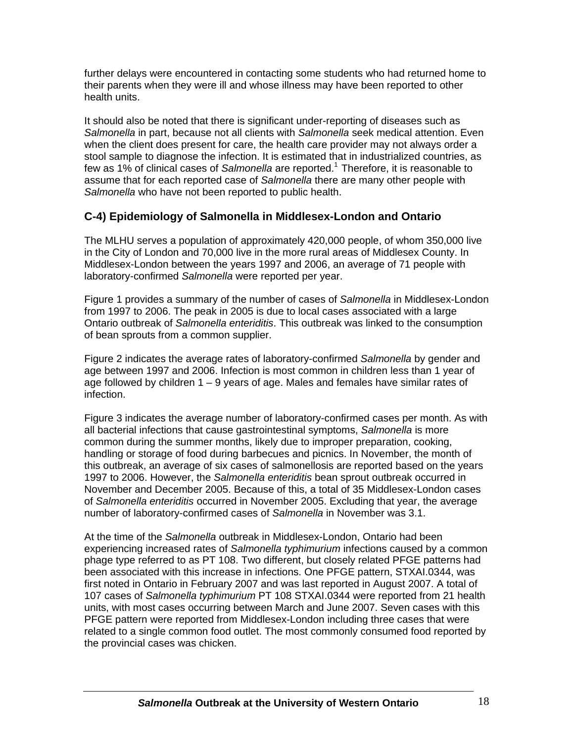further delays were encountered in contacting some students who had returned home to their parents when they were ill and whose illness may have been reported to other health units.

It should also be noted that there is significant under-reporting of diseases such as *Salmonella* in part, because not all clients with *Salmonella* seek medical attention. Even when the client does present for care, the health care provider may not always order a stool sample to diagnose the infection. It is estimated that in industrialized countries, as few as 1% of clinical cases of Salmonella are reported.<sup>1</sup> Therefore, it is reasonable to assume that for each reported case of *Salmonella* there are many other people with *Salmonella* who have not been reported to public health.

#### **C-4) Epidemiology of Salmonella in Middlesex-London and Ontario**

The MLHU serves a population of approximately 420,000 people, of whom 350,000 live in the City of London and 70,000 live in the more rural areas of Middlesex County. In Middlesex-London between the years 1997 and 2006, an average of 71 people with laboratory-confirmed *Salmonella* were reported per year.

Figure 1 provides a summary of the number of cases of *Salmonella* in Middlesex-London from 1997 to 2006. The peak in 2005 is due to local cases associated with a large Ontario outbreak of *Salmonella enteriditis*. This outbreak was linked to the consumption of bean sprouts from a common supplier.

Figure 2 indicates the average rates of laboratory-confirmed *Salmonella* by gender and age between 1997 and 2006. Infection is most common in children less than 1 year of age followed by children 1 – 9 years of age. Males and females have similar rates of infection.

Figure 3 indicates the average number of laboratory-confirmed cases per month. As with all bacterial infections that cause gastrointestinal symptoms, *Salmonella* is more common during the summer months, likely due to improper preparation, cooking, handling or storage of food during barbecues and picnics. In November, the month of this outbreak, an average of six cases of salmonellosis are reported based on the years 1997 to 2006. However, the *Salmonella enteriditis* bean sprout outbreak occurred in November and December 2005. Because of this, a total of 35 Middlesex-London cases of *Salmonella enteriditis* occurred in November 2005. Excluding that year, the average number of laboratory-confirmed cases of *Salmonella* in November was 3.1.

At the time of the *Salmonella* outbreak in Middlesex-London, Ontario had been experiencing increased rates of *Salmonella typhimurium* infections caused by a common phage type referred to as PT 108. Two different, but closely related PFGE patterns had been associated with this increase in infections. One PFGE pattern, STXAI.0344, was first noted in Ontario in February 2007 and was last reported in August 2007. A total of 107 cases of *Salmonella typhimurium* PT 108 STXAI.0344 were reported from 21 health units, with most cases occurring between March and June 2007. Seven cases with this PFGE pattern were reported from Middlesex-London including three cases that were related to a single common food outlet. The most commonly consumed food reported by the provincial cases was chicken.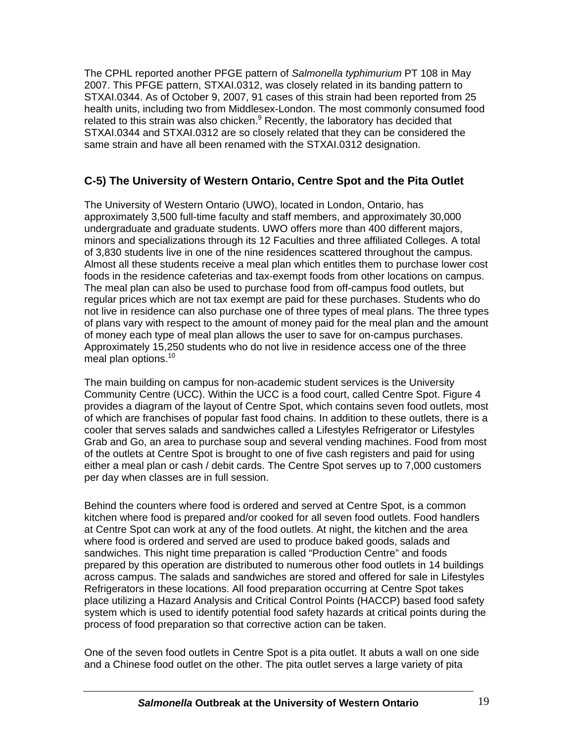The CPHL reported another PFGE pattern of *Salmonella typhimurium* PT 108 in May 2007. This PFGE pattern, STXAI.0312, was closely related in its banding pattern to STXAI.0344. As of October 9, 2007, 91 cases of this strain had been reported from 25 health units, including two from Middlesex-London. The most commonly consumed food related to this strain was also chicken.<sup>9</sup> Recently, the laboratory has decided that STXAI.0344 and STXAI.0312 are so closely related that they can be considered the same strain and have all been renamed with the STXAI.0312 designation.

#### **C-5) The University of Western Ontario, Centre Spot and the Pita Outlet**

The University of Western Ontario (UWO), located in London, Ontario, has approximately 3,500 full-time faculty and staff members, and approximately 30,000 undergraduate and graduate students. UWO offers more than 400 different majors, minors and specializations through its 12 Faculties and three affiliated Colleges. A total of 3,830 students live in one of the nine residences scattered throughout the campus. Almost all these students receive a meal plan which entitles them to purchase lower cost foods in the residence cafeterias and tax-exempt foods from other locations on campus. The meal plan can also be used to purchase food from off-campus food outlets, but regular prices which are not tax exempt are paid for these purchases. Students who do not live in residence can also purchase one of three types of meal plans. The three types of plans vary with respect to the amount of money paid for the meal plan and the amount of money each type of meal plan allows the user to save for on-campus purchases. Approximately 15,250 students who do not live in residence access one of the three meal plan options.<sup>10</sup>

The main building on campus for non-academic student services is the University Community Centre (UCC). Within the UCC is a food court, called Centre Spot. Figure 4 provides a diagram of the layout of Centre Spot, which contains seven food outlets, most of which are franchises of popular fast food chains. In addition to these outlets, there is a cooler that serves salads and sandwiches called a Lifestyles Refrigerator or Lifestyles Grab and Go, an area to purchase soup and several vending machines. Food from most of the outlets at Centre Spot is brought to one of five cash registers and paid for using either a meal plan or cash / debit cards. The Centre Spot serves up to 7,000 customers per day when classes are in full session.

Behind the counters where food is ordered and served at Centre Spot, is a common kitchen where food is prepared and/or cooked for all seven food outlets. Food handlers at Centre Spot can work at any of the food outlets. At night, the kitchen and the area where food is ordered and served are used to produce baked goods, salads and sandwiches. This night time preparation is called "Production Centre" and foods prepared by this operation are distributed to numerous other food outlets in 14 buildings across campus. The salads and sandwiches are stored and offered for sale in Lifestyles Refrigerators in these locations. All food preparation occurring at Centre Spot takes place utilizing a Hazard Analysis and Critical Control Points (HACCP) based food safety system which is used to identify potential food safety hazards at critical points during the process of food preparation so that corrective action can be taken.

One of the seven food outlets in Centre Spot is a pita outlet. It abuts a wall on one side and a Chinese food outlet on the other. The pita outlet serves a large variety of pita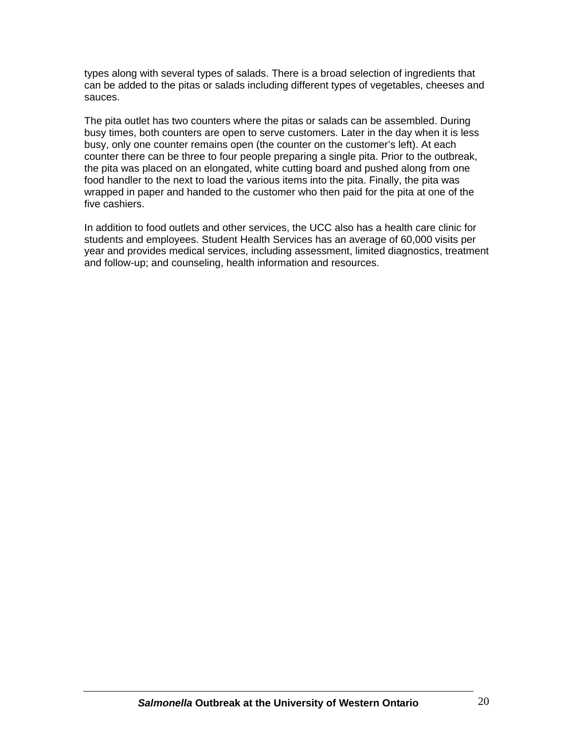types along with several types of salads. There is a broad selection of ingredients that can be added to the pitas or salads including different types of vegetables, cheeses and sauces.

The pita outlet has two counters where the pitas or salads can be assembled. During busy times, both counters are open to serve customers. Later in the day when it is less busy, only one counter remains open (the counter on the customer's left). At each counter there can be three to four people preparing a single pita. Prior to the outbreak, the pita was placed on an elongated, white cutting board and pushed along from one food handler to the next to load the various items into the pita. Finally, the pita was wrapped in paper and handed to the customer who then paid for the pita at one of the five cashiers.

In addition to food outlets and other services, the UCC also has a health care clinic for students and employees. Student Health Services has an average of 60,000 visits per year and provides medical services, including assessment, limited diagnostics, treatment and follow-up; and counseling, health information and resources.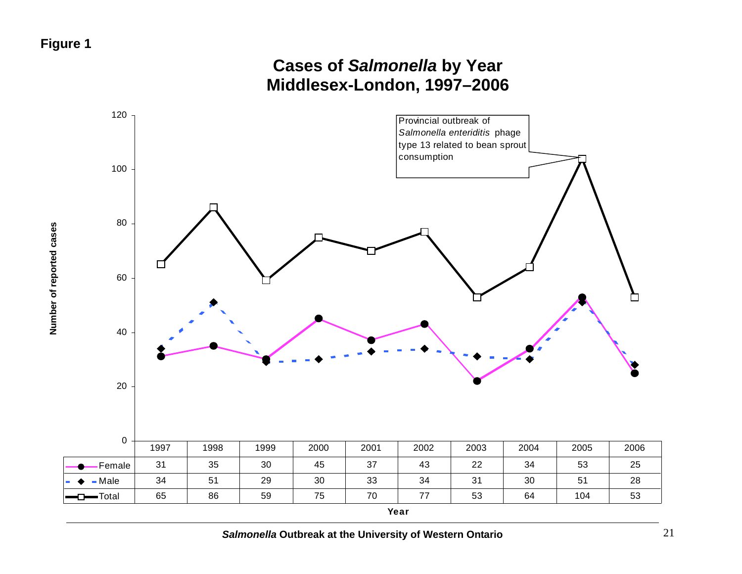## **Cases of** *Salmonella* **by Year Middlesex-London, 1997–2006**

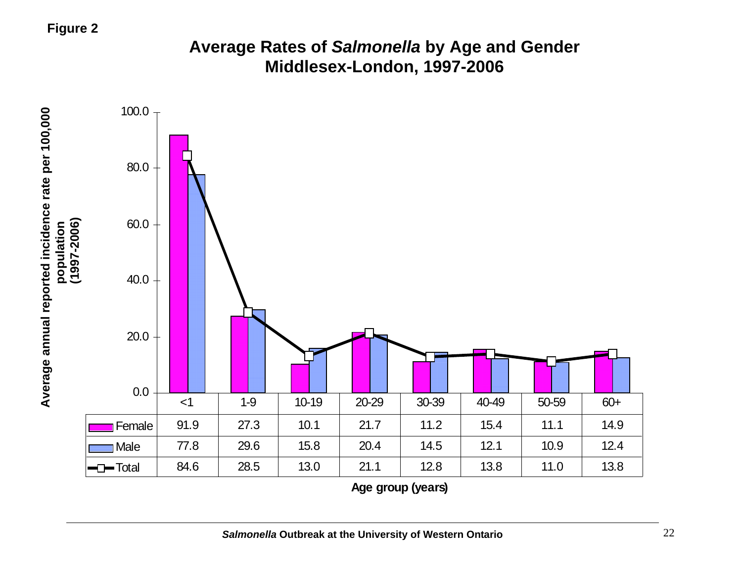### **Figure 2**

## **Average Rates of** *Salmonella* **by Age and Gender Middlesex-London, 1997-2006**

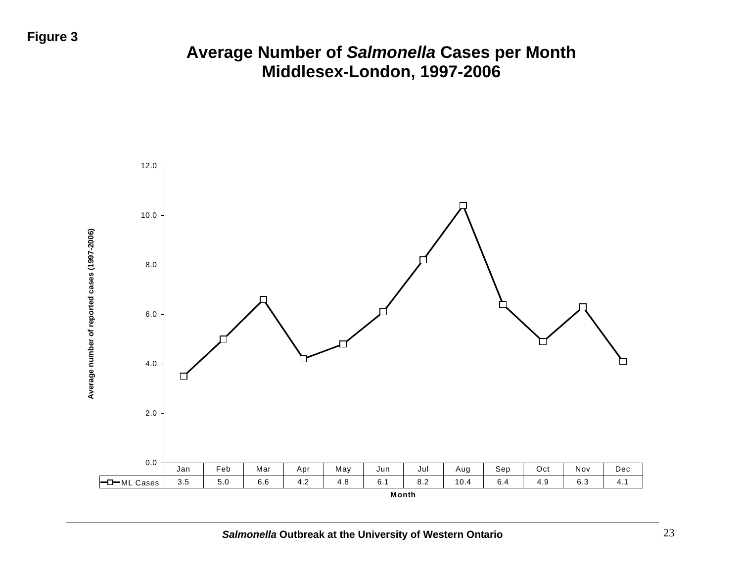## **Figure 3**

## **Average Number of** *Salmonella* **Cases per Month Middlesex-London, 1997-2006**

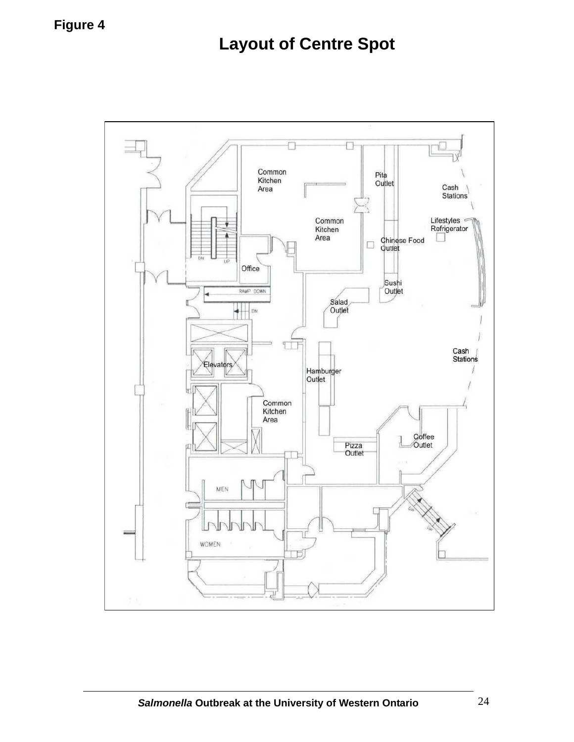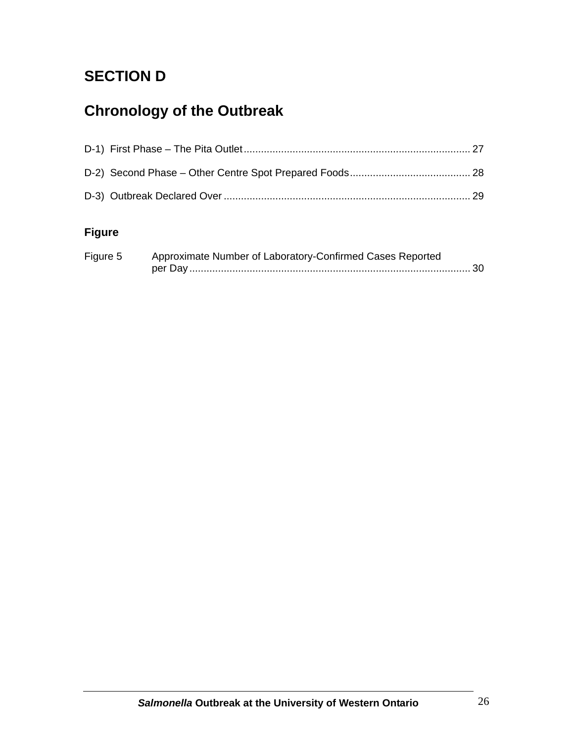# **SECTION D**

# **Chronology of the Outbreak**

### **Figure**

| Figure 5 | Approximate Number of Laboratory-Confirmed Cases Reported |  |
|----------|-----------------------------------------------------------|--|
|          |                                                           |  |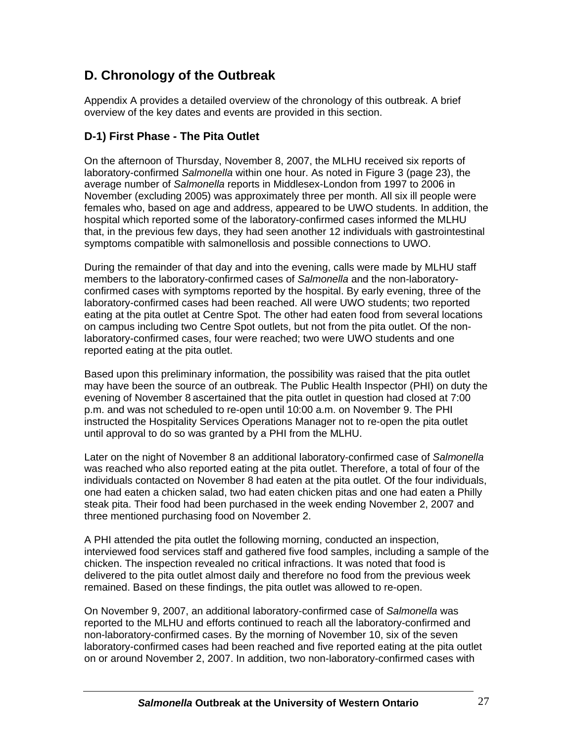### **D. Chronology of the Outbreak**

Appendix A provides a detailed overview of the chronology of this outbreak. A brief overview of the key dates and events are provided in this section.

#### **D-1) First Phase - The Pita Outlet**

On the afternoon of Thursday, November 8, 2007, the MLHU received six reports of laboratory-confirmed *Salmonella* within one hour. As noted in Figure 3 (page 23), the average number of *Salmonella* reports in Middlesex-London from 1997 to 2006 in November (excluding 2005) was approximately three per month. All six ill people were females who, based on age and address, appeared to be UWO students. In addition, the hospital which reported some of the laboratory-confirmed cases informed the MLHU that, in the previous few days, they had seen another 12 individuals with gastrointestinal symptoms compatible with salmonellosis and possible connections to UWO.

During the remainder of that day and into the evening, calls were made by MLHU staff members to the laboratory-confirmed cases of *Salmonella* and the non-laboratoryconfirmed cases with symptoms reported by the hospital. By early evening, three of the laboratory-confirmed cases had been reached. All were UWO students; two reported eating at the pita outlet at Centre Spot. The other had eaten food from several locations on campus including two Centre Spot outlets, but not from the pita outlet. Of the nonlaboratory-confirmed cases, four were reached; two were UWO students and one reported eating at the pita outlet.

Based upon this preliminary information, the possibility was raised that the pita outlet may have been the source of an outbreak. The Public Health Inspector (PHI) on duty the evening of November 8 ascertained that the pita outlet in question had closed at 7:00 p.m. and was not scheduled to re-open until 10:00 a.m. on November 9. The PHI instructed the Hospitality Services Operations Manager not to re-open the pita outlet until approval to do so was granted by a PHI from the MLHU.

Later on the night of November 8 an additional laboratory-confirmed case of *Salmonella* was reached who also reported eating at the pita outlet. Therefore, a total of four of the individuals contacted on November 8 had eaten at the pita outlet. Of the four individuals, one had eaten a chicken salad, two had eaten chicken pitas and one had eaten a Philly steak pita. Their food had been purchased in the week ending November 2, 2007 and three mentioned purchasing food on November 2.

A PHI attended the pita outlet the following morning, conducted an inspection, interviewed food services staff and gathered five food samples, including a sample of the chicken. The inspection revealed no critical infractions. It was noted that food is delivered to the pita outlet almost daily and therefore no food from the previous week remained. Based on these findings, the pita outlet was allowed to re-open.

On November 9, 2007, an additional laboratory-confirmed case of *Salmonella* was reported to the MLHU and efforts continued to reach all the laboratory-confirmed and non-laboratory-confirmed cases. By the morning of November 10, six of the seven laboratory-confirmed cases had been reached and five reported eating at the pita outlet on or around November 2, 2007. In addition, two non-laboratory-confirmed cases with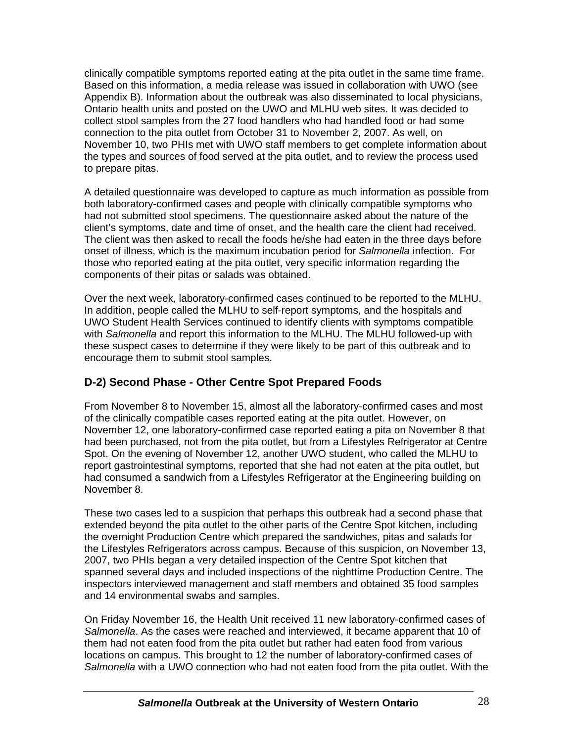clinically compatible symptoms reported eating at the pita outlet in the same time frame. Based on this information, a media release was issued in collaboration with UWO (see Appendix B). Information about the outbreak was also disseminated to local physicians, Ontario health units and posted on the UWO and MLHU web sites. It was decided to collect stool samples from the 27 food handlers who had handled food or had some connection to the pita outlet from October 31 to November 2, 2007. As well, on November 10, two PHIs met with UWO staff members to get complete information about the types and sources of food served at the pita outlet, and to review the process used to prepare pitas.

A detailed questionnaire was developed to capture as much information as possible from both laboratory-confirmed cases and people with clinically compatible symptoms who had not submitted stool specimens. The questionnaire asked about the nature of the client's symptoms, date and time of onset, and the health care the client had received. The client was then asked to recall the foods he/she had eaten in the three days before onset of illness, which is the maximum incubation period for *Salmonella* infection. For those who reported eating at the pita outlet, very specific information regarding the components of their pitas or salads was obtained.

Over the next week, laboratory-confirmed cases continued to be reported to the MLHU. In addition, people called the MLHU to self-report symptoms, and the hospitals and UWO Student Health Services continued to identify clients with symptoms compatible with *Salmonella* and report this information to the MLHU. The MLHU followed-up with these suspect cases to determine if they were likely to be part of this outbreak and to encourage them to submit stool samples.

### **D-2) Second Phase - Other Centre Spot Prepared Foods**

From November 8 to November 15, almost all the laboratory-confirmed cases and most of the clinically compatible cases reported eating at the pita outlet. However, on November 12, one laboratory-confirmed case reported eating a pita on November 8 that had been purchased, not from the pita outlet, but from a Lifestyles Refrigerator at Centre Spot. On the evening of November 12, another UWO student, who called the MLHU to report gastrointestinal symptoms, reported that she had not eaten at the pita outlet, but had consumed a sandwich from a Lifestyles Refrigerator at the Engineering building on November 8.

These two cases led to a suspicion that perhaps this outbreak had a second phase that extended beyond the pita outlet to the other parts of the Centre Spot kitchen, including the overnight Production Centre which prepared the sandwiches, pitas and salads for the Lifestyles Refrigerators across campus. Because of this suspicion, on November 13, 2007, two PHIs began a very detailed inspection of the Centre Spot kitchen that spanned several days and included inspections of the nighttime Production Centre. The inspectors interviewed management and staff members and obtained 35 food samples and 14 environmental swabs and samples.

On Friday November 16, the Health Unit received 11 new laboratory-confirmed cases of *Salmonella*. As the cases were reached and interviewed, it became apparent that 10 of them had not eaten food from the pita outlet but rather had eaten food from various locations on campus. This brought to 12 the number of laboratory-confirmed cases of *Salmonella* with a UWO connection who had not eaten food from the pita outlet. With the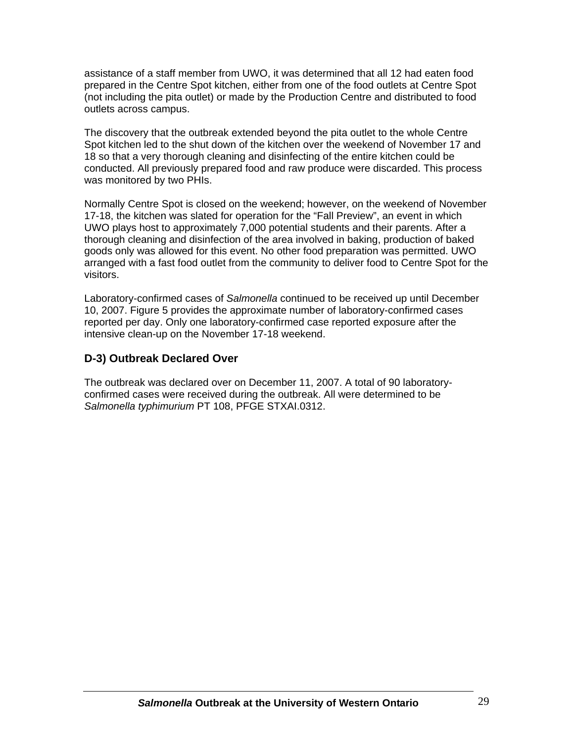assistance of a staff member from UWO, it was determined that all 12 had eaten food prepared in the Centre Spot kitchen, either from one of the food outlets at Centre Spot (not including the pita outlet) or made by the Production Centre and distributed to food outlets across campus.

The discovery that the outbreak extended beyond the pita outlet to the whole Centre Spot kitchen led to the shut down of the kitchen over the weekend of November 17 and 18 so that a very thorough cleaning and disinfecting of the entire kitchen could be conducted. All previously prepared food and raw produce were discarded. This process was monitored by two PHIs.

Normally Centre Spot is closed on the weekend; however, on the weekend of November 17-18, the kitchen was slated for operation for the "Fall Preview", an event in which UWO plays host to approximately 7,000 potential students and their parents. After a thorough cleaning and disinfection of the area involved in baking, production of baked goods only was allowed for this event. No other food preparation was permitted. UWO arranged with a fast food outlet from the community to deliver food to Centre Spot for the visitors.

Laboratory-confirmed cases of *Salmonella* continued to be received up until December 10, 2007. Figure 5 provides the approximate number of laboratory-confirmed cases reported per day. Only one laboratory-confirmed case reported exposure after the intensive clean-up on the November 17-18 weekend.

#### **D-3) Outbreak Declared Over**

The outbreak was declared over on December 11, 2007. A total of 90 laboratoryconfirmed cases were received during the outbreak. All were determined to be *Salmonella typhimurium* PT 108, PFGE STXAI.0312.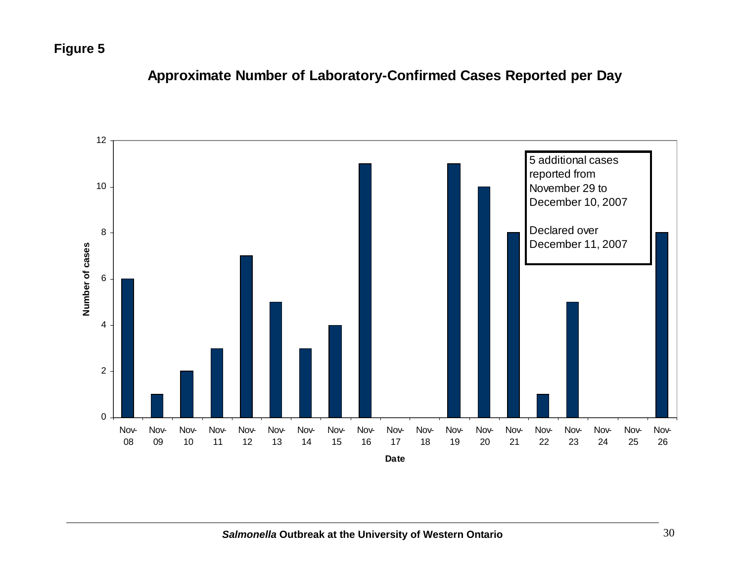## **Figure 5**



## **Approximate Number of Laboratory-Confirmed Cases Reported per Day**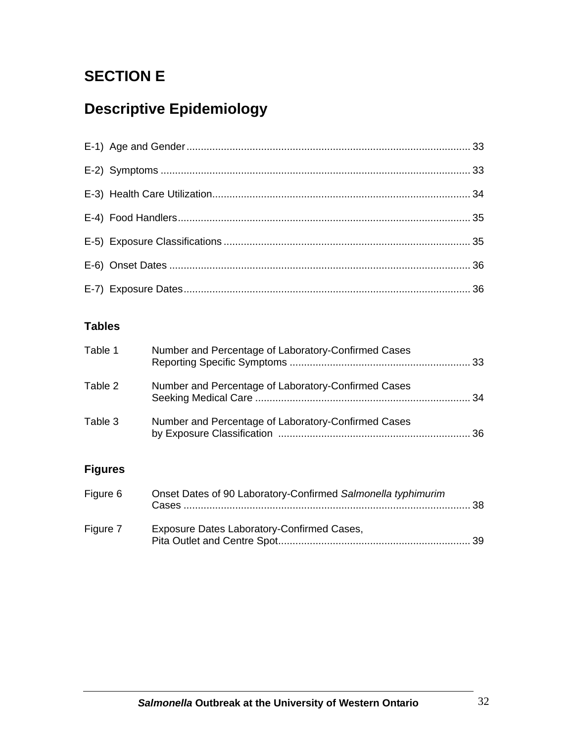## **SECTION E**

# **Descriptive Epidemiology**

### **Tables**

| Table 1 | Number and Percentage of Laboratory-Confirmed Cases |  |
|---------|-----------------------------------------------------|--|
| Table 2 | Number and Percentage of Laboratory-Confirmed Cases |  |
| Table 3 | Number and Percentage of Laboratory-Confirmed Cases |  |

### **Figures**

| Figure 6 | Onset Dates of 90 Laboratory-Confirmed Salmonella typhimurim |  |
|----------|--------------------------------------------------------------|--|
| Figure 7 | Exposure Dates Laboratory-Confirmed Cases,                   |  |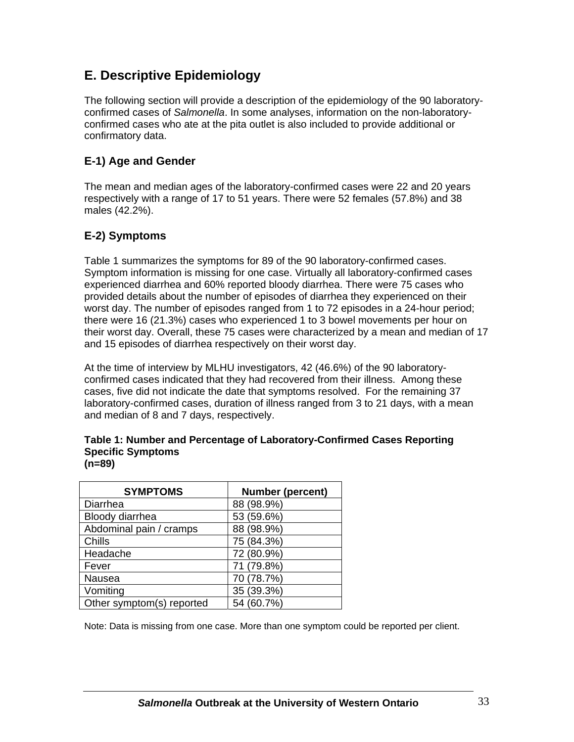### **E. Descriptive Epidemiology**

The following section will provide a description of the epidemiology of the 90 laboratoryconfirmed cases of *Salmonella*. In some analyses, information on the non-laboratoryconfirmed cases who ate at the pita outlet is also included to provide additional or confirmatory data.

#### **E-1) Age and Gender**

The mean and median ages of the laboratory-confirmed cases were 22 and 20 years respectively with a range of 17 to 51 years. There were 52 females (57.8%) and 38 males (42.2%).

### **E-2) Symptoms**

Table 1 summarizes the symptoms for 89 of the 90 laboratory-confirmed cases. Symptom information is missing for one case. Virtually all laboratory-confirmed cases experienced diarrhea and 60% reported bloody diarrhea. There were 75 cases who provided details about the number of episodes of diarrhea they experienced on their worst day. The number of episodes ranged from 1 to 72 episodes in a 24-hour period; there were 16 (21.3%) cases who experienced 1 to 3 bowel movements per hour on their worst day. Overall, these 75 cases were characterized by a mean and median of 17 and 15 episodes of diarrhea respectively on their worst day.

At the time of interview by MLHU investigators, 42 (46.6%) of the 90 laboratoryconfirmed cases indicated that they had recovered from their illness. Among these cases, five did not indicate the date that symptoms resolved. For the remaining 37 laboratory-confirmed cases, duration of illness ranged from 3 to 21 days, with a mean and median of 8 and 7 days, respectively.

#### **Table 1: Number and Percentage of Laboratory-Confirmed Cases Reporting Specific Symptoms (n=89)**

| <b>SYMPTOMS</b>           | <b>Number (percent)</b> |
|---------------------------|-------------------------|
| Diarrhea                  | 88 (98.9%)              |
| Bloody diarrhea           | 53 (59.6%)              |
| Abdominal pain / cramps   | 88 (98.9%)              |
| Chills                    | 75 (84.3%)              |
| Headache                  | 72 (80.9%)              |
| Fever                     | 71 (79.8%)              |
| Nausea                    | 70 (78.7%)              |
| Vomiting                  | 35 (39.3%)              |
| Other symptom(s) reported | 54 (60.7%)              |

Note: Data is missing from one case. More than one symptom could be reported per client.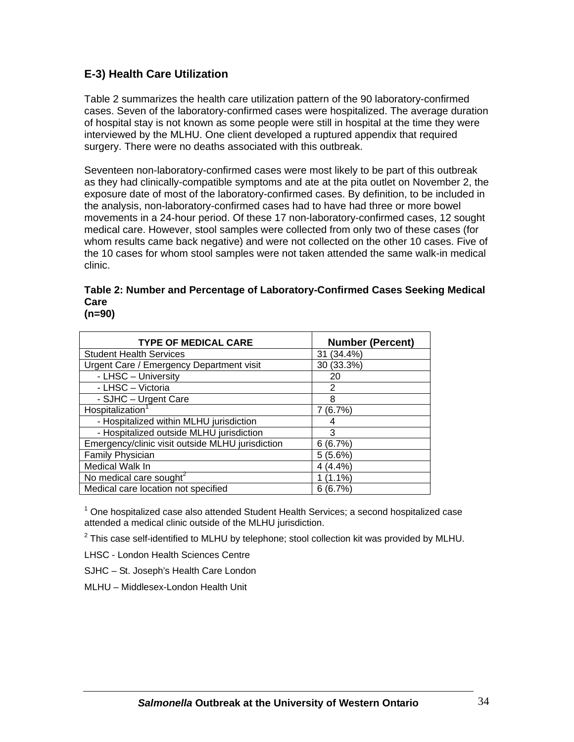#### **E-3) Health Care Utilization**

Table 2 summarizes the health care utilization pattern of the 90 laboratory-confirmed cases. Seven of the laboratory-confirmed cases were hospitalized. The average duration of hospital stay is not known as some people were still in hospital at the time they were interviewed by the MLHU. One client developed a ruptured appendix that required surgery. There were no deaths associated with this outbreak.

Seventeen non-laboratory-confirmed cases were most likely to be part of this outbreak as they had clinically-compatible symptoms and ate at the pita outlet on November 2, the exposure date of most of the laboratory-confirmed cases. By definition, to be included in the analysis, non-laboratory-confirmed cases had to have had three or more bowel movements in a 24-hour period. Of these 17 non-laboratory-confirmed cases, 12 sought medical care. However, stool samples were collected from only two of these cases (for whom results came back negative) and were not collected on the other 10 cases. Five of the 10 cases for whom stool samples were not taken attended the same walk-in medical clinic.

|      | Table 2: Number and Percentage of Laboratory-Confirmed Cases Seeking Medical |  |
|------|------------------------------------------------------------------------------|--|
| Care |                                                                              |  |
|      |                                                                              |  |

| <b>TYPE OF MEDICAL CARE</b>                      | <b>Number (Percent)</b> |
|--------------------------------------------------|-------------------------|
| <b>Student Health Services</b>                   | 31 (34.4%)              |
| Urgent Care / Emergency Department visit         | 30 (33.3%)              |
| - LHSC - University                              | 20                      |
| - LHSC - Victoria                                | 2                       |
| - SJHC - Urgent Care                             | 8                       |
| Hospitalization                                  | (6.7%)                  |
| - Hospitalized within MLHU jurisdiction          |                         |
| - Hospitalized outside MLHU jurisdiction         | 3                       |
| Emergency/clinic visit outside MLHU jurisdiction | 6(6.7%)                 |
| <b>Family Physician</b>                          | 5(5.6%)                 |
| Medical Walk In                                  | 4(4.4%                  |
| No medical care sought <sup>2</sup>              | $(1.1\%)$               |
| Medical care location not specified              | 6(6.7%)                 |

**(n=90)**

<sup>1</sup> One hospitalized case also attended Student Health Services; a second hospitalized case attended a medical clinic outside of the MLHU jurisdiction.

 $^2$  This case self-identified to MLHU by telephone; stool collection kit was provided by MLHU.

LHSC - London Health Sciences Centre

SJHC – St. Joseph's Health Care London

MLHU – Middlesex-London Health Unit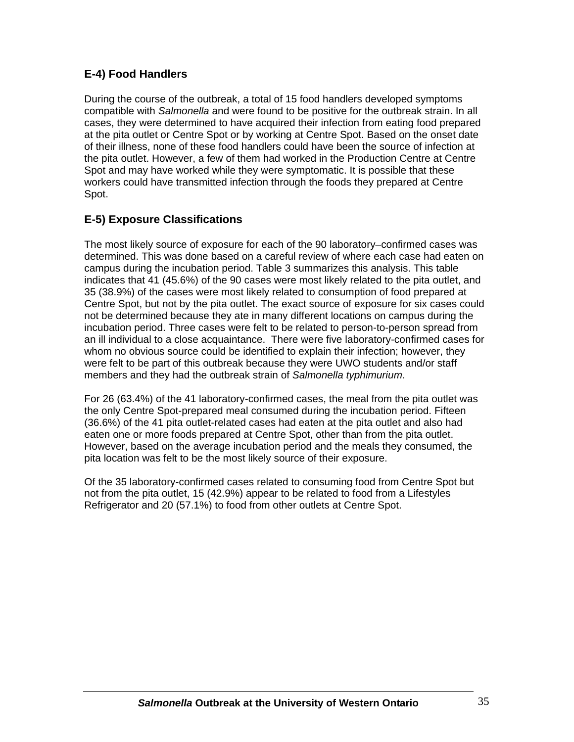### **E-4) Food Handlers**

During the course of the outbreak, a total of 15 food handlers developed symptoms compatible with *Salmonella* and were found to be positive for the outbreak strain. In all cases, they were determined to have acquired their infection from eating food prepared at the pita outlet or Centre Spot or by working at Centre Spot. Based on the onset date of their illness, none of these food handlers could have been the source of infection at the pita outlet. However, a few of them had worked in the Production Centre at Centre Spot and may have worked while they were symptomatic. It is possible that these workers could have transmitted infection through the foods they prepared at Centre Spot.

#### **E-5) Exposure Classifications**

The most likely source of exposure for each of the 90 laboratory–confirmed cases was determined. This was done based on a careful review of where each case had eaten on campus during the incubation period. Table 3 summarizes this analysis. This table indicates that 41 (45.6%) of the 90 cases were most likely related to the pita outlet, and 35 (38.9%) of the cases were most likely related to consumption of food prepared at Centre Spot, but not by the pita outlet. The exact source of exposure for six cases could not be determined because they ate in many different locations on campus during the incubation period. Three cases were felt to be related to person-to-person spread from an ill individual to a close acquaintance. There were five laboratory-confirmed cases for whom no obvious source could be identified to explain their infection; however, they were felt to be part of this outbreak because they were UWO students and/or staff members and they had the outbreak strain of *Salmonella typhimurium*.

For 26 (63.4%) of the 41 laboratory-confirmed cases, the meal from the pita outlet was the only Centre Spot-prepared meal consumed during the incubation period. Fifteen (36.6%) of the 41 pita outlet-related cases had eaten at the pita outlet and also had eaten one or more foods prepared at Centre Spot, other than from the pita outlet. However, based on the average incubation period and the meals they consumed, the pita location was felt to be the most likely source of their exposure.

Of the 35 laboratory-confirmed cases related to consuming food from Centre Spot but not from the pita outlet, 15 (42.9%) appear to be related to food from a Lifestyles Refrigerator and 20 (57.1%) to food from other outlets at Centre Spot.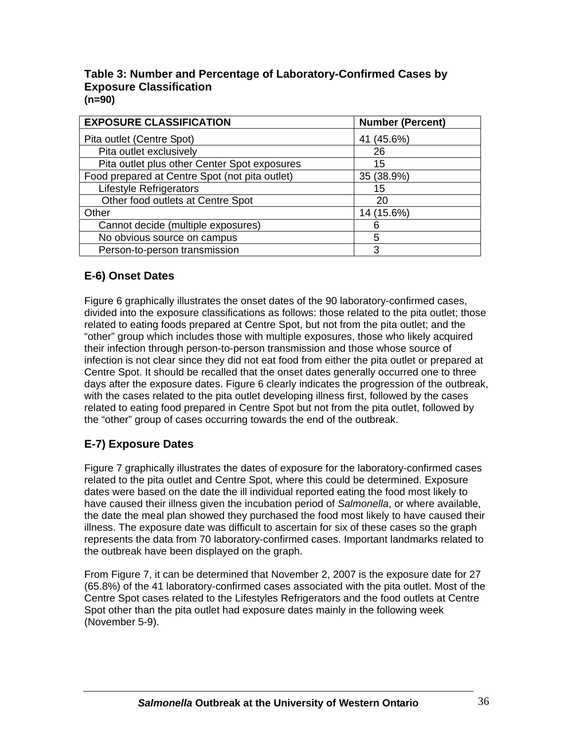#### **Table 3: Number and Percentage of Laboratory-Confirmed Cases by Exposure Classification (n=90)**

| <b>EXPOSURE CLASSIFICATION</b>                 | <b>Number (Percent)</b> |
|------------------------------------------------|-------------------------|
| Pita outlet (Centre Spot)                      | 41 (45.6%)              |
| Pita outlet exclusively                        | 26                      |
| Pita outlet plus other Center Spot exposures   | 15                      |
| Food prepared at Centre Spot (not pita outlet) | 35 (38.9%)              |
| <b>Lifestyle Refrigerators</b>                 | 15                      |
| Other food outlets at Centre Spot              | 20                      |
| Other                                          | 14 (15.6%)              |
| Cannot decide (multiple exposures)             | 6                       |
| No obvious source on campus                    | 5                       |
| Person-to-person transmission                  | 3                       |

### **E-6) Onset Dates**

Figure 6 graphically illustrates the onset dates of the 90 laboratory-confirmed cases, divided into the exposure classifications as follows: those related to the pita outlet; those related to eating foods prepared at Centre Spot, but not from the pita outlet; and the "other" group which includes those with multiple exposures, those who likely acquired their infection through person-to-person transmission and those whose source of infection is not clear since they did not eat food from either the pita outlet or prepared at Centre Spot. It should be recalled that the onset dates generally occurred one to three days after the exposure dates. Figure 6 clearly indicates the progression of the outbreak, with the cases related to the pita outlet developing illness first, followed by the cases related to eating food prepared in Centre Spot but not from the pita outlet, followed by the "other" group of cases occurring towards the end of the outbreak.

### **E-7) Exposure Dates**

Figure 7 graphically illustrates the dates of exposure for the laboratory-confirmed cases related to the pita outlet and Centre Spot, where this could be determined. Exposure dates were based on the date the ill individual reported eating the food most likely to have caused their illness given the incubation period of *Salmonella*, or where available, the date the meal plan showed they purchased the food most likely to have caused their illness. The exposure date was difficult to ascertain for six of these cases so the graph represents the data from 70 laboratory-confirmed cases. Important landmarks related to the outbreak have been displayed on the graph.

From Figure 7, it can be determined that November 2, 2007 is the exposure date for 27 (65.8%) of the 41 laboratory-confirmed cases associated with the pita outlet. Most of the Centre Spot cases related to the Lifestyles Refrigerators and the food outlets at Centre Spot other than the pita outlet had exposure dates mainly in the following week (November 5-9).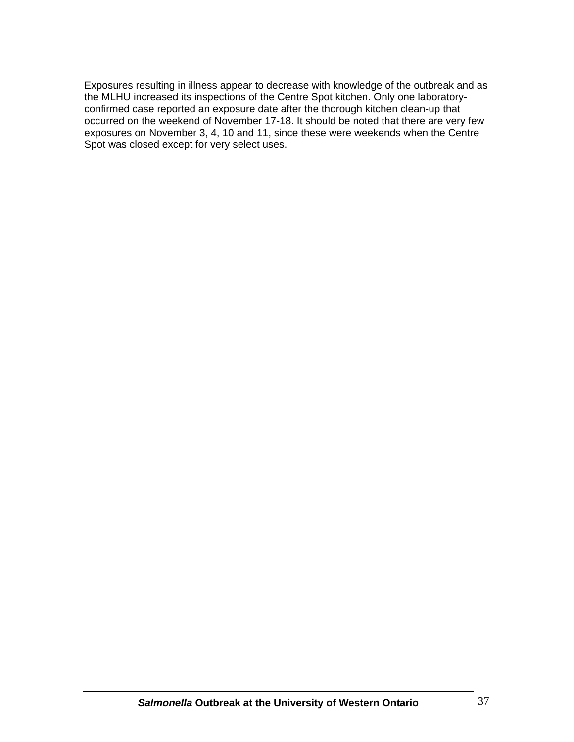Exposures resulting in illness appear to decrease with knowledge of the outbreak and as the MLHU increased its inspections of the Centre Spot kitchen. Only one laboratoryconfirmed case reported an exposure date after the thorough kitchen clean-up that occurred on the weekend of November 17-18. It should be noted that there are very few exposures on November 3, 4, 10 and 11, since these were weekends when the Centre Spot was closed except for very select uses.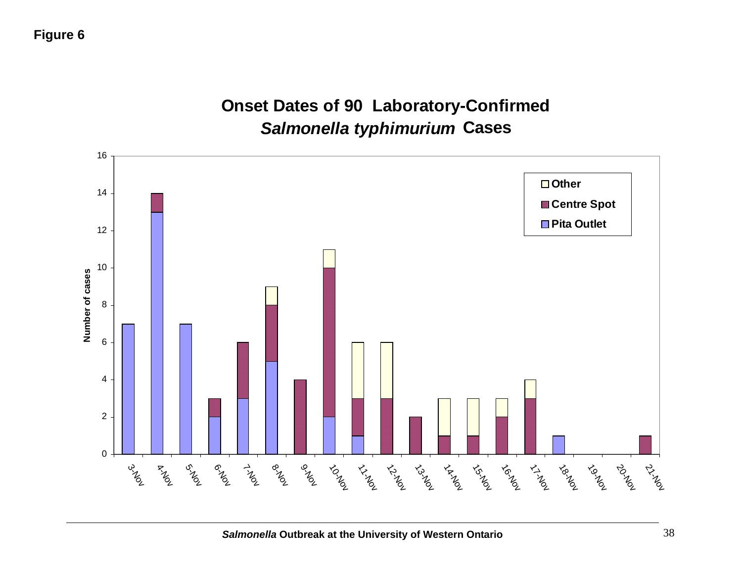

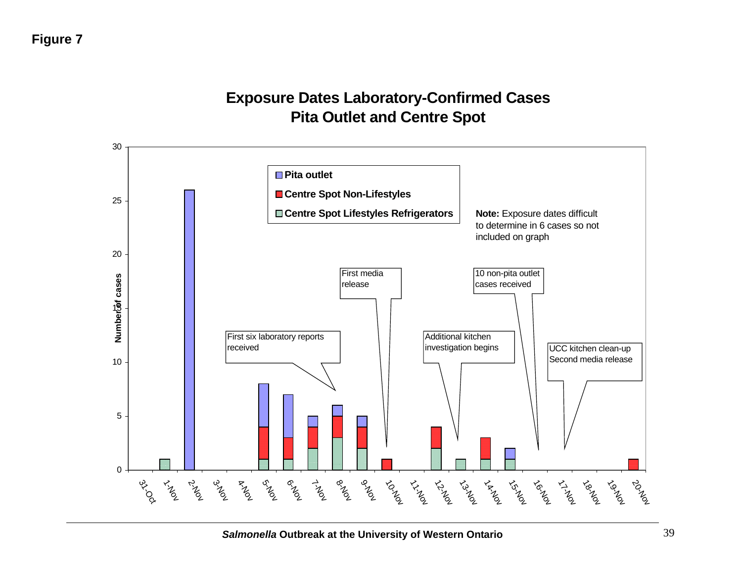# **Exposure Dates Laboratory-Confirmed Cases Pita Outlet and Centre Spot**

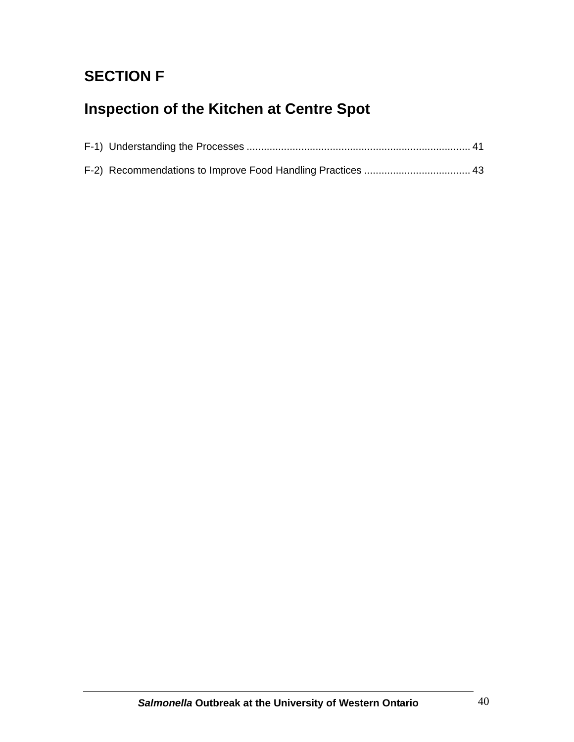# **SECTION F**

# **Inspection of the Kitchen at Centre Spot**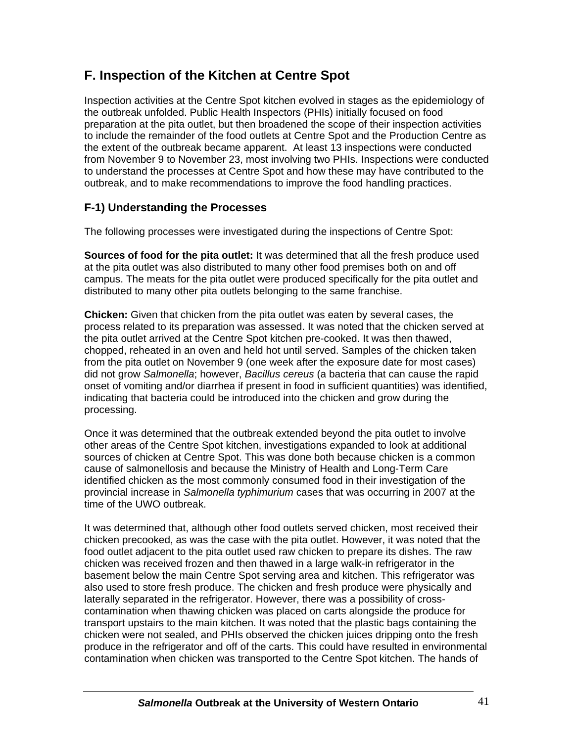# **F. Inspection of the Kitchen at Centre Spot**

Inspection activities at the Centre Spot kitchen evolved in stages as the epidemiology of the outbreak unfolded. Public Health Inspectors (PHIs) initially focused on food preparation at the pita outlet, but then broadened the scope of their inspection activities to include the remainder of the food outlets at Centre Spot and the Production Centre as the extent of the outbreak became apparent. At least 13 inspections were conducted from November 9 to November 23, most involving two PHIs. Inspections were conducted to understand the processes at Centre Spot and how these may have contributed to the outbreak, and to make recommendations to improve the food handling practices.

## **F-1) Understanding the Processes**

The following processes were investigated during the inspections of Centre Spot:

**Sources of food for the pita outlet:** It was determined that all the fresh produce used at the pita outlet was also distributed to many other food premises both on and off campus. The meats for the pita outlet were produced specifically for the pita outlet and distributed to many other pita outlets belonging to the same franchise.

**Chicken:** Given that chicken from the pita outlet was eaten by several cases, the process related to its preparation was assessed. It was noted that the chicken served at the pita outlet arrived at the Centre Spot kitchen pre-cooked. It was then thawed, chopped, reheated in an oven and held hot until served. Samples of the chicken taken from the pita outlet on November 9 (one week after the exposure date for most cases) did not grow *Salmonella*; however, *Bacillus cereus* (a bacteria that can cause the rapid onset of vomiting and/or diarrhea if present in food in sufficient quantities) was identified, indicating that bacteria could be introduced into the chicken and grow during the processing.

Once it was determined that the outbreak extended beyond the pita outlet to involve other areas of the Centre Spot kitchen, investigations expanded to look at additional sources of chicken at Centre Spot. This was done both because chicken is a common cause of salmonellosis and because the Ministry of Health and Long-Term Care identified chicken as the most commonly consumed food in their investigation of the provincial increase in *Salmonella typhimurium* cases that was occurring in 2007 at the time of the UWO outbreak.

It was determined that, although other food outlets served chicken, most received their chicken precooked, as was the case with the pita outlet. However, it was noted that the food outlet adjacent to the pita outlet used raw chicken to prepare its dishes. The raw chicken was received frozen and then thawed in a large walk-in refrigerator in the basement below the main Centre Spot serving area and kitchen. This refrigerator was also used to store fresh produce. The chicken and fresh produce were physically and laterally separated in the refrigerator. However, there was a possibility of crosscontamination when thawing chicken was placed on carts alongside the produce for transport upstairs to the main kitchen. It was noted that the plastic bags containing the chicken were not sealed, and PHIs observed the chicken juices dripping onto the fresh produce in the refrigerator and off of the carts. This could have resulted in environmental contamination when chicken was transported to the Centre Spot kitchen. The hands of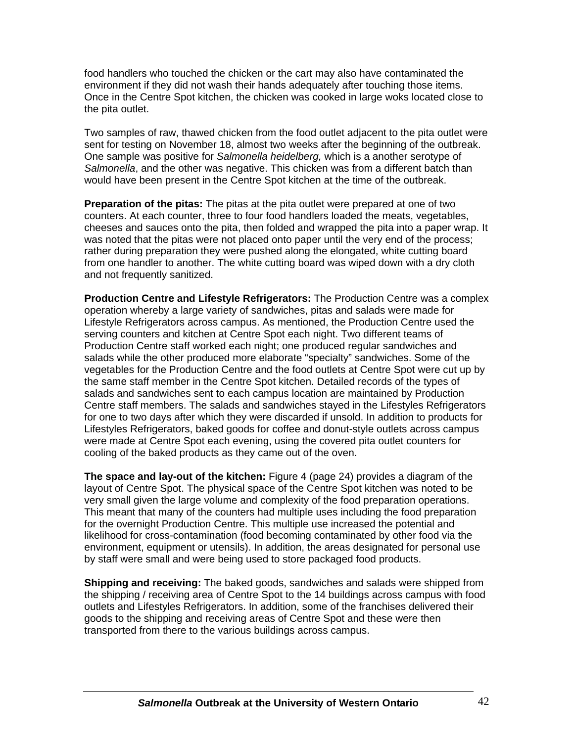food handlers who touched the chicken or the cart may also have contaminated the environment if they did not wash their hands adequately after touching those items. Once in the Centre Spot kitchen, the chicken was cooked in large woks located close to the pita outlet.

Two samples of raw, thawed chicken from the food outlet adjacent to the pita outlet were sent for testing on November 18, almost two weeks after the beginning of the outbreak. One sample was positive for *Salmonella heidelberg,* which is a another serotype of *Salmonella*, and the other was negative. This chicken was from a different batch than would have been present in the Centre Spot kitchen at the time of the outbreak.

**Preparation of the pitas:** The pitas at the pita outlet were prepared at one of two counters. At each counter, three to four food handlers loaded the meats, vegetables, cheeses and sauces onto the pita, then folded and wrapped the pita into a paper wrap. It was noted that the pitas were not placed onto paper until the very end of the process; rather during preparation they were pushed along the elongated, white cutting board from one handler to another. The white cutting board was wiped down with a dry cloth and not frequently sanitized.

**Production Centre and Lifestyle Refrigerators:** The Production Centre was a complex operation whereby a large variety of sandwiches, pitas and salads were made for Lifestyle Refrigerators across campus. As mentioned, the Production Centre used the serving counters and kitchen at Centre Spot each night. Two different teams of Production Centre staff worked each night; one produced regular sandwiches and salads while the other produced more elaborate "specialty" sandwiches. Some of the vegetables for the Production Centre and the food outlets at Centre Spot were cut up by the same staff member in the Centre Spot kitchen. Detailed records of the types of salads and sandwiches sent to each campus location are maintained by Production Centre staff members. The salads and sandwiches stayed in the Lifestyles Refrigerators for one to two days after which they were discarded if unsold. In addition to products for Lifestyles Refrigerators, baked goods for coffee and donut-style outlets across campus were made at Centre Spot each evening, using the covered pita outlet counters for cooling of the baked products as they came out of the oven.

**The space and lay-out of the kitchen:** Figure 4 (page 24) provides a diagram of the layout of Centre Spot. The physical space of the Centre Spot kitchen was noted to be very small given the large volume and complexity of the food preparation operations. This meant that many of the counters had multiple uses including the food preparation for the overnight Production Centre. This multiple use increased the potential and likelihood for cross-contamination (food becoming contaminated by other food via the environment, equipment or utensils). In addition, the areas designated for personal use by staff were small and were being used to store packaged food products.

**Shipping and receiving:** The baked goods, sandwiches and salads were shipped from the shipping / receiving area of Centre Spot to the 14 buildings across campus with food outlets and Lifestyles Refrigerators. In addition, some of the franchises delivered their goods to the shipping and receiving areas of Centre Spot and these were then transported from there to the various buildings across campus.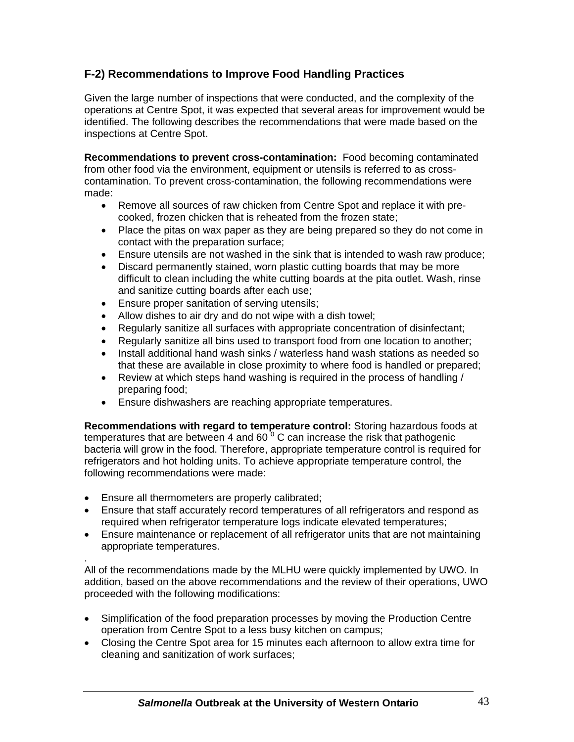# **F-2) Recommendations to Improve Food Handling Practices**

Given the large number of inspections that were conducted, and the complexity of the operations at Centre Spot, it was expected that several areas for improvement would be identified. The following describes the recommendations that were made based on the inspections at Centre Spot.

**Recommendations to prevent cross-contamination:** Food becoming contaminated from other food via the environment, equipment or utensils is referred to as crosscontamination. To prevent cross-contamination, the following recommendations were made:

- Remove all sources of raw chicken from Centre Spot and replace it with precooked, frozen chicken that is reheated from the frozen state;
- Place the pitas on wax paper as they are being prepared so they do not come in contact with the preparation surface;
- Ensure utensils are not washed in the sink that is intended to wash raw produce;
- Discard permanently stained, worn plastic cutting boards that may be more difficult to clean including the white cutting boards at the pita outlet. Wash, rinse and sanitize cutting boards after each use;
- Ensure proper sanitation of serving utensils;
- Allow dishes to air dry and do not wipe with a dish towel;
- Regularly sanitize all surfaces with appropriate concentration of disinfectant;
- Regularly sanitize all bins used to transport food from one location to another;
- Install additional hand wash sinks / waterless hand wash stations as needed so that these are available in close proximity to where food is handled or prepared;
- Review at which steps hand washing is required in the process of handling / preparing food;
- Ensure dishwashers are reaching appropriate temperatures.

**Recommendations with regard to temperature control:** Storing hazardous foods at temperatures that are between 4 and 60 $^{\circ}$  C can increase the risk that pathogenic bacteria will grow in the food. Therefore, appropriate temperature control is required for refrigerators and hot holding units. To achieve appropriate temperature control, the following recommendations were made:

- Ensure all thermometers are properly calibrated;
- Ensure that staff accurately record temperatures of all refrigerators and respond as required when refrigerator temperature logs indicate elevated temperatures;
- Ensure maintenance or replacement of all refrigerator units that are not maintaining appropriate temperatures.

. All of the recommendations made by the MLHU were quickly implemented by UWO. In addition, based on the above recommendations and the review of their operations, UWO proceeded with the following modifications:

- Simplification of the food preparation processes by moving the Production Centre operation from Centre Spot to a less busy kitchen on campus;
- Closing the Centre Spot area for 15 minutes each afternoon to allow extra time for cleaning and sanitization of work surfaces;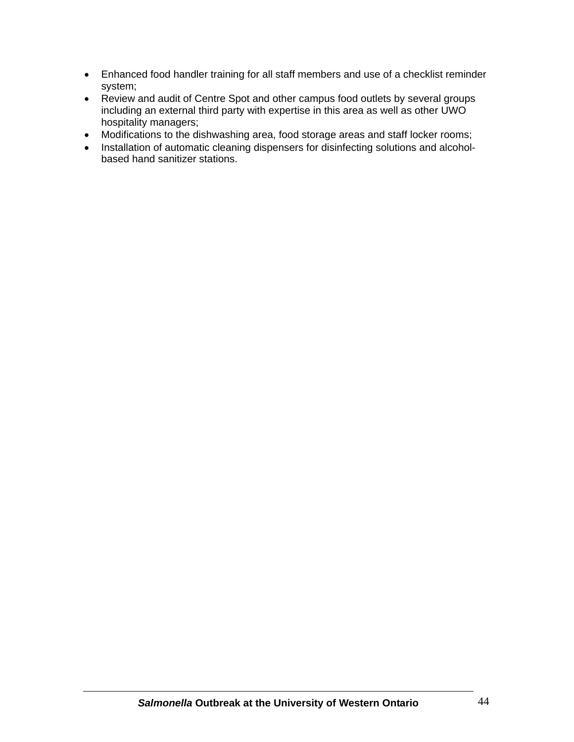- Enhanced food handler training for all staff members and use of a checklist reminder system;
- Review and audit of Centre Spot and other campus food outlets by several groups including an external third party with expertise in this area as well as other UWO hospitality managers;
- Modifications to the dishwashing area, food storage areas and staff locker rooms;
- Installation of automatic cleaning dispensers for disinfecting solutions and alcoholbased hand sanitizer stations.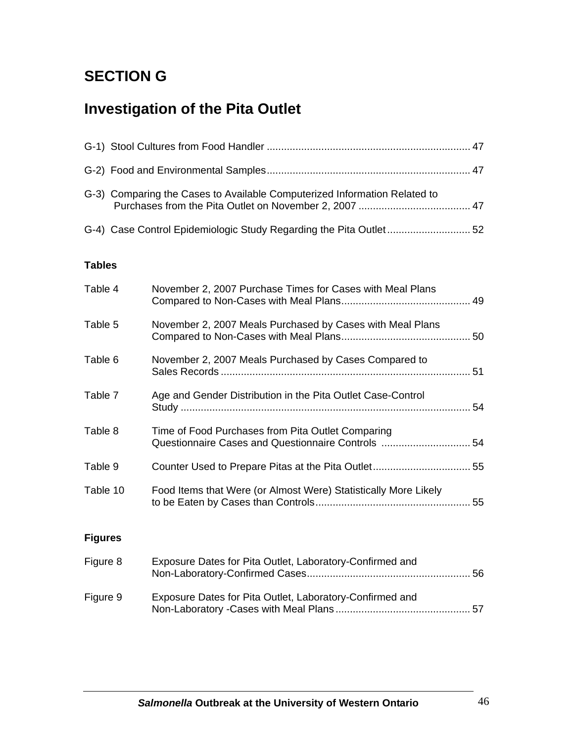# **SECTION G**

# **Investigation of the Pita Outlet**

|                | G-3) Comparing the Cases to Available Computerized Information Related to                               |  |  |  |  |
|----------------|---------------------------------------------------------------------------------------------------------|--|--|--|--|
|                | G-4) Case Control Epidemiologic Study Regarding the Pita Outlet52                                       |  |  |  |  |
| <b>Tables</b>  |                                                                                                         |  |  |  |  |
| Table 4        | November 2, 2007 Purchase Times for Cases with Meal Plans                                               |  |  |  |  |
| Table 5        | November 2, 2007 Meals Purchased by Cases with Meal Plans                                               |  |  |  |  |
| Table 6        | November 2, 2007 Meals Purchased by Cases Compared to                                                   |  |  |  |  |
| Table 7        | Age and Gender Distribution in the Pita Outlet Case-Control                                             |  |  |  |  |
| Table 8        | Time of Food Purchases from Pita Outlet Comparing<br>Questionnaire Cases and Questionnaire Controls  54 |  |  |  |  |
| Table 9        |                                                                                                         |  |  |  |  |
| Table 10       | Food Items that Were (or Almost Were) Statistically More Likely                                         |  |  |  |  |
| <b>Figures</b> |                                                                                                         |  |  |  |  |
| Figure 8       | Exposure Dates for Pita Outlet, Laboratory-Confirmed and                                                |  |  |  |  |
| Figure 9       | Exposure Dates for Pita Outlet, Laboratory-Confirmed and                                                |  |  |  |  |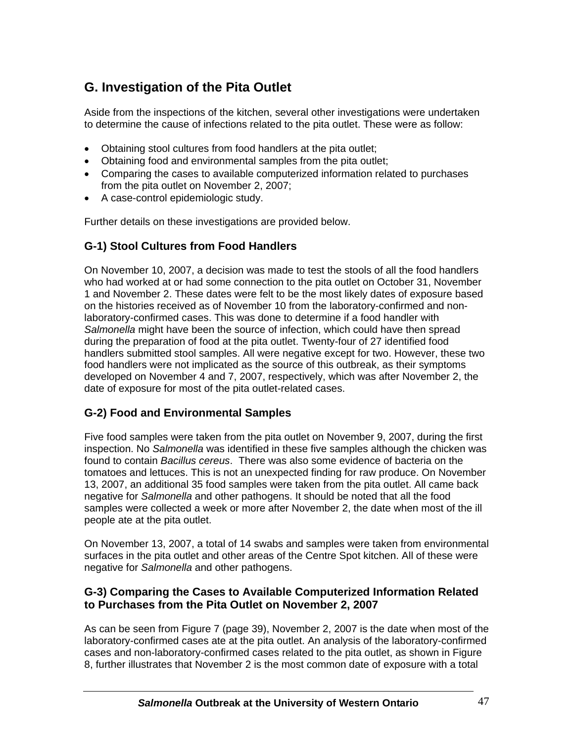# **G. Investigation of the Pita Outlet**

Aside from the inspections of the kitchen, several other investigations were undertaken to determine the cause of infections related to the pita outlet. These were as follow:

- Obtaining stool cultures from food handlers at the pita outlet;
- Obtaining food and environmental samples from the pita outlet;
- Comparing the cases to available computerized information related to purchases from the pita outlet on November 2, 2007;
- A case-control epidemiologic study.

Further details on these investigations are provided below.

## **G-1) Stool Cultures from Food Handlers**

On November 10, 2007, a decision was made to test the stools of all the food handlers who had worked at or had some connection to the pita outlet on October 31, November 1 and November 2. These dates were felt to be the most likely dates of exposure based on the histories received as of November 10 from the laboratory-confirmed and nonlaboratory-confirmed cases. This was done to determine if a food handler with *Salmonella* might have been the source of infection, which could have then spread during the preparation of food at the pita outlet. Twenty-four of 27 identified food handlers submitted stool samples. All were negative except for two. However, these two food handlers were not implicated as the source of this outbreak, as their symptoms developed on November 4 and 7, 2007, respectively, which was after November 2, the date of exposure for most of the pita outlet-related cases.

## **G-2) Food and Environmental Samples**

Five food samples were taken from the pita outlet on November 9, 2007, during the first inspection. No *Salmonella* was identified in these five samples although the chicken was found to contain *Bacillus cereus*. There was also some evidence of bacteria on the tomatoes and lettuces. This is not an unexpected finding for raw produce. On November 13, 2007, an additional 35 food samples were taken from the pita outlet. All came back negative for *Salmonella* and other pathogens. It should be noted that all the food samples were collected a week or more after November 2, the date when most of the ill people ate at the pita outlet.

On November 13, 2007, a total of 14 swabs and samples were taken from environmental surfaces in the pita outlet and other areas of the Centre Spot kitchen. All of these were negative for *Salmonella* and other pathogens.

## **G-3) Comparing the Cases to Available Computerized Information Related to Purchases from the Pita Outlet on November 2, 2007**

As can be seen from Figure 7 (page 39), November 2, 2007 is the date when most of the laboratory-confirmed cases ate at the pita outlet. An analysis of the laboratory-confirmed cases and non-laboratory-confirmed cases related to the pita outlet, as shown in Figure 8, further illustrates that November 2 is the most common date of exposure with a total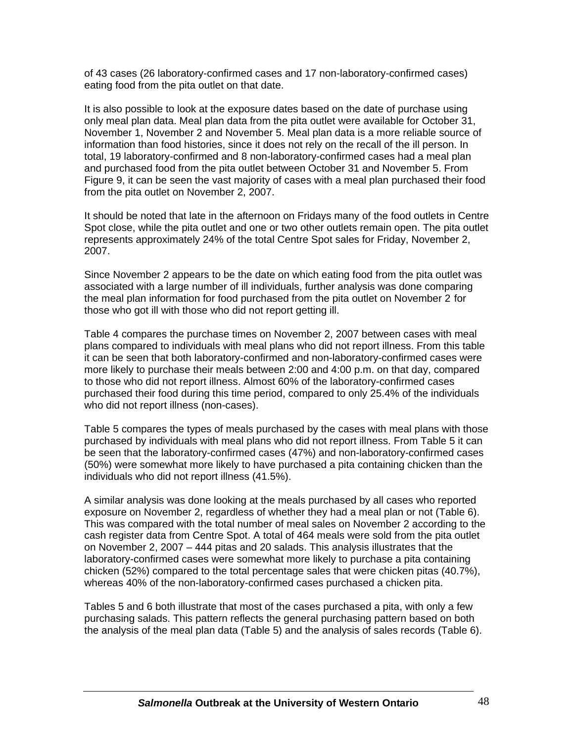of 43 cases (26 laboratory-confirmed cases and 17 non-laboratory-confirmed cases) eating food from the pita outlet on that date.

It is also possible to look at the exposure dates based on the date of purchase using only meal plan data. Meal plan data from the pita outlet were available for October 31, November 1, November 2 and November 5. Meal plan data is a more reliable source of information than food histories, since it does not rely on the recall of the ill person. In total, 19 laboratory-confirmed and 8 non-laboratory-confirmed cases had a meal plan and purchased food from the pita outlet between October 31 and November 5. From Figure 9, it can be seen the vast majority of cases with a meal plan purchased their food from the pita outlet on November 2, 2007.

It should be noted that late in the afternoon on Fridays many of the food outlets in Centre Spot close, while the pita outlet and one or two other outlets remain open. The pita outlet represents approximately 24% of the total Centre Spot sales for Friday, November 2, 2007.

Since November 2 appears to be the date on which eating food from the pita outlet was associated with a large number of ill individuals, further analysis was done comparing the meal plan information for food purchased from the pita outlet on November 2 for those who got ill with those who did not report getting ill.

Table 4 compares the purchase times on November 2, 2007 between cases with meal plans compared to individuals with meal plans who did not report illness. From this table it can be seen that both laboratory-confirmed and non-laboratory-confirmed cases were more likely to purchase their meals between 2:00 and 4:00 p.m. on that day, compared to those who did not report illness. Almost 60% of the laboratory-confirmed cases purchased their food during this time period, compared to only 25.4% of the individuals who did not report illness (non-cases).

Table 5 compares the types of meals purchased by the cases with meal plans with those purchased by individuals with meal plans who did not report illness. From Table 5 it can be seen that the laboratory-confirmed cases (47%) and non-laboratory-confirmed cases (50%) were somewhat more likely to have purchased a pita containing chicken than the individuals who did not report illness (41.5%).

A similar analysis was done looking at the meals purchased by all cases who reported exposure on November 2, regardless of whether they had a meal plan or not (Table 6). This was compared with the total number of meal sales on November 2 according to the cash register data from Centre Spot. A total of 464 meals were sold from the pita outlet on November 2, 2007 – 444 pitas and 20 salads. This analysis illustrates that the laboratory-confirmed cases were somewhat more likely to purchase a pita containing chicken (52%) compared to the total percentage sales that were chicken pitas (40.7%), whereas 40% of the non-laboratory-confirmed cases purchased a chicken pita.

Tables 5 and 6 both illustrate that most of the cases purchased a pita, with only a few purchasing salads. This pattern reflects the general purchasing pattern based on both the analysis of the meal plan data (Table 5) and the analysis of sales records (Table 6).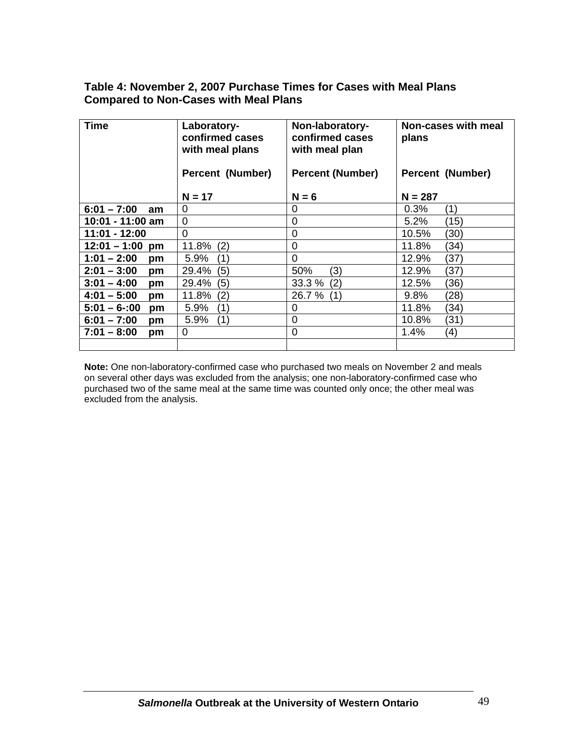## **Table 4: November 2, 2007 Purchase Times for Cases with Meal Plans Compared to Non-Cases with Meal Plans**

| <b>Time</b>          | Laboratory-<br>confirmed cases<br>with meal plans | Non-laboratory-<br>confirmed cases<br>with meal plan | Non-cases with meal<br>plans |
|----------------------|---------------------------------------------------|------------------------------------------------------|------------------------------|
|                      | <b>Percent (Number)</b>                           | <b>Percent (Number)</b>                              | <b>Percent (Number)</b>      |
|                      | $N = 17$                                          | $N = 6$                                              | $N = 287$                    |
| $6:01 - 7:00$<br>am  | 0                                                 | 0                                                    | 0.3%<br>(1)                  |
| 10:01 - 11:00 am     | $\mathbf 0$                                       | 0                                                    | 5.2%<br>(15)                 |
| 11:01 - 12:00        | $\mathbf 0$                                       | 0                                                    | 10.5%<br>(30)                |
| $12:01 - 1:00$<br>pm | (2)<br>11.8%                                      | 0                                                    | (34)<br>11.8%                |
| $1:01 - 2:00$<br>pm  | (1)<br>5.9%                                       | $\Omega$                                             | (37)<br>12.9%                |
| $2:01 - 3:00$<br>pm  | (5)<br>29.4%                                      | 50%<br>(3)                                           | (37)<br>12.9%                |
| $3:01 - 4:00$<br>pm  | (5)<br>29.4%                                      | (2)<br>33.3 %                                        | (36)<br>12.5%                |
| $4:01 - 5:00$<br>pm  | (2)<br>11.8%                                      | 26.7 %<br>(1)                                        | 9.8%<br>(28)                 |
| $5:01 - 6:00$<br>pm  | (1)<br>5.9%                                       | 0                                                    | 11.8%<br>(34)                |
| $6:01 - 7:00$<br>pm  | 5.9%<br>(1)                                       | 0                                                    | 10.8%<br>(31)                |
| $7:01 - 8:00$<br>pm  | $\overline{0}$                                    | 0                                                    | 1.4%<br>(4)                  |
|                      |                                                   |                                                      |                              |

**Note:** One non-laboratory-confirmed case who purchased two meals on November 2 and meals on several other days was excluded from the analysis; one non-laboratory-confirmed case who purchased two of the same meal at the same time was counted only once; the other meal was excluded from the analysis.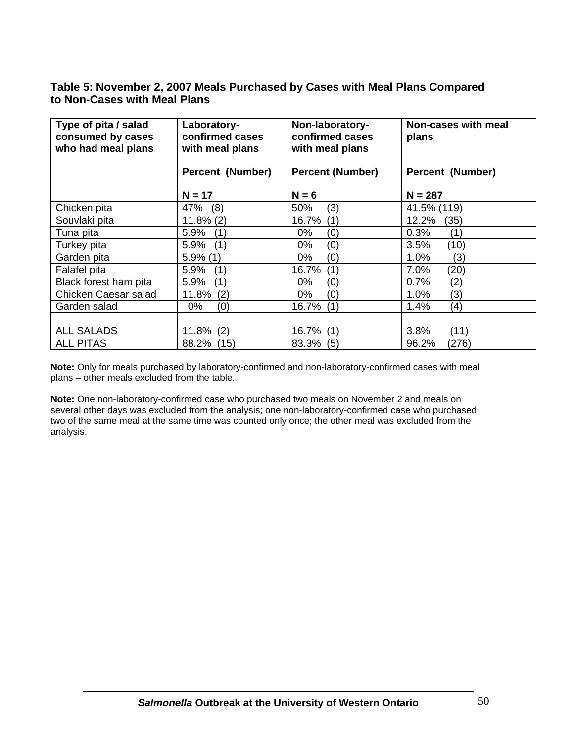## **Table 5: November 2, 2007 Meals Purchased by Cases with Meal Plans Compared to Non-Cases with Meal Plans**

| Type of pita / salad<br>consumed by cases<br>who had meal plans | Laboratory-<br>confirmed cases<br>with meal plans | Non-laboratory-<br>confirmed cases<br>with meal plans | Non-cases with meal<br>plans |
|-----------------------------------------------------------------|---------------------------------------------------|-------------------------------------------------------|------------------------------|
|                                                                 | <b>Percent (Number)</b>                           | <b>Percent (Number)</b>                               | <b>Percent (Number)</b>      |
|                                                                 | $N = 17$                                          | $N = 6$                                               | $N = 287$                    |
| Chicken pita                                                    | 47%<br>(8)                                        | 50%<br>(3)                                            | 41.5% (119)                  |
| Souvlaki pita                                                   | $11.8\%$ (2)                                      | (1)<br>16.7%                                          | 12.2%<br>(35)                |
| Tuna pita                                                       | 5.9%                                              | (0)                                                   | 0.3%                         |
|                                                                 | (1)                                               | $0\%$                                                 | (1)                          |
| Turkey pita                                                     | (1)                                               | (0)                                                   | 3.5%                         |
|                                                                 | 5.9%                                              | 0%                                                    | (10)                         |
| Garden pita                                                     | $5.9\%$ (1)                                       | (0)<br>0%                                             | (3)<br>1.0%                  |
| Falafel pita                                                    | (1)                                               | (1)                                                   | 7.0%                         |
|                                                                 | 5.9%                                              | 16.7%                                                 | (20)                         |
| Black forest ham pita                                           | 5.9%                                              | (0)                                                   | 0.7%                         |
|                                                                 | (1)                                               | $0\%$                                                 | (2)                          |
| Chicken Caesar salad                                            | 11.8%                                             | (0)                                                   | (3)                          |
|                                                                 | (2)                                               | $0\%$                                                 | 1.0%                         |
| Garden salad                                                    | (0)                                               | (1)                                                   | 1.4%                         |
|                                                                 | 0%                                                | 16.7%                                                 | (4)                          |
|                                                                 |                                                   |                                                       |                              |
| <b>ALL SALADS</b>                                               | 11.8%                                             | (1)                                                   | 3.8%                         |
|                                                                 | (2)                                               | 16.7%                                                 | (11)                         |
| <b>ALL PITAS</b>                                                | 88.2%                                             | 83.3%                                                 | 96.2%                        |
|                                                                 | (15)                                              | (5)                                                   | (276)                        |

**Note:** Only for meals purchased by laboratory-confirmed and non-laboratory-confirmed cases with meal plans – other meals excluded from the table.

**Note:** One non-laboratory-confirmed case who purchased two meals on November 2 and meals on several other days was excluded from the analysis; one non-laboratory-confirmed case who purchased two of the same meal at the same time was counted only once; the other meal was excluded from the analysis.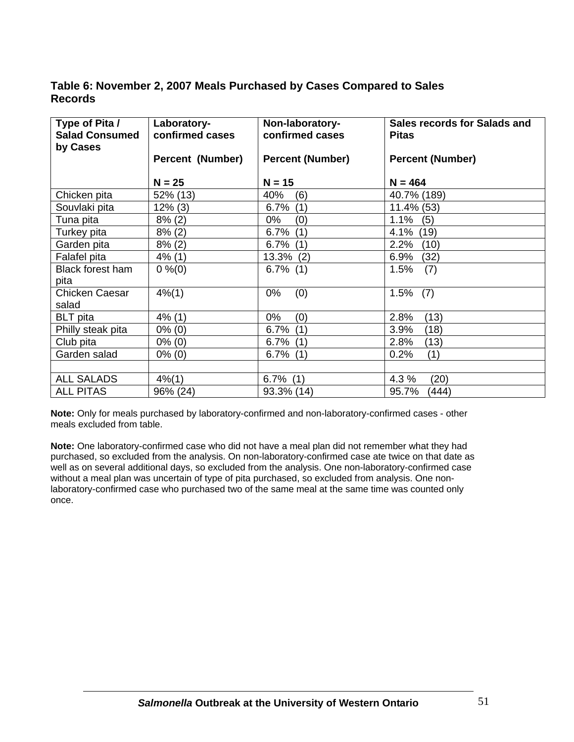## **Table 6: November 2, 2007 Meals Purchased by Cases Compared to Sales Records**

| Type of Pita /<br><b>Salad Consumed</b><br>by Cases | Laboratory-<br>confirmed cases | Non-laboratory-<br>confirmed cases | Sales records for Salads and<br><b>Pitas</b> |
|-----------------------------------------------------|--------------------------------|------------------------------------|----------------------------------------------|
|                                                     | <b>Percent (Number)</b>        | <b>Percent (Number)</b>            | <b>Percent (Number)</b>                      |
|                                                     | $N = 25$                       | $N = 15$                           | $N = 464$                                    |
| Chicken pita                                        | 52% (13)                       | 40%<br>(6)                         | 40.7% (189)                                  |
| Souvlaki pita                                       | $12\%$ (3)                     | (1)<br>6.7%                        | 11.4% (53)                                   |
| Tuna pita                                           | $8\%$ (2)                      | (0)<br>0%                          | 1.1%<br>(5)                                  |
| Turkey pita                                         | $8\%$ (2)                      | (1)<br>$6.7\%$                     | (19)<br>4.1%                                 |
| Garden pita                                         | $8\%$ (2)                      | $6.7\%$ (1)                        | 2.2%<br>(10)                                 |
| Falafel pita                                        | $4\%$ (1)                      | 13.3% (2)                          | 6.9%<br>(32)                                 |
| Black forest ham                                    | $0\%(0)$                       | $6.7\%$ (1)                        | (7)<br>1.5%                                  |
| pita                                                |                                |                                    |                                              |
| <b>Chicken Caesar</b>                               | $4\% (1)$                      | (0)<br>0%                          | 1.5%<br>(7)                                  |
| salad                                               |                                |                                    |                                              |
| <b>BLT</b> pita                                     | $4\%$ (1)                      | (0)<br>0%                          | 2.8%<br>(13)                                 |
| Philly steak pita                                   | $0\%$ (0)                      | 6.7%<br>(1)                        | 3.9%<br>(18)                                 |
| Club pita                                           | $0\%$ (0)                      | $6.7\%$ (1)                        | (13)<br>2.8%                                 |
| Garden salad                                        | $0\%$ (0)                      | $6.7\%$ (1)                        | (1)<br>0.2%                                  |
|                                                     |                                |                                    |                                              |
| <b>ALL SALADS</b>                                   | $4\%$ (1)                      | $6.7\%$ (1)                        | 4.3 %<br>(20)                                |
| <b>ALL PITAS</b>                                    | 96% (24)                       | 93.3% (14)                         | (444)<br>95.7%                               |

**Note:** Only for meals purchased by laboratory-confirmed and non-laboratory-confirmed cases - other meals excluded from table.

**Note:** One laboratory-confirmed case who did not have a meal plan did not remember what they had purchased, so excluded from the analysis. On non-laboratory-confirmed case ate twice on that date as well as on several additional days, so excluded from the analysis. One non-laboratory-confirmed case without a meal plan was uncertain of type of pita purchased, so excluded from analysis. One nonlaboratory-confirmed case who purchased two of the same meal at the same time was counted only once.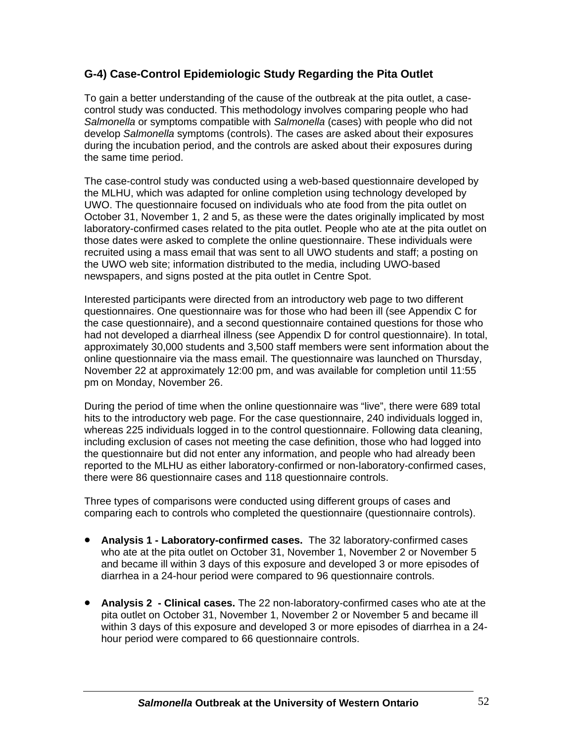## **G-4) Case-Control Epidemiologic Study Regarding the Pita Outlet**

To gain a better understanding of the cause of the outbreak at the pita outlet, a casecontrol study was conducted. This methodology involves comparing people who had *Salmonella* or symptoms compatible with *Salmonella* (cases) with people who did not develop *Salmonella* symptoms (controls). The cases are asked about their exposures during the incubation period, and the controls are asked about their exposures during the same time period.

The case-control study was conducted using a web-based questionnaire developed by the MLHU, which was adapted for online completion using technology developed by UWO. The questionnaire focused on individuals who ate food from the pita outlet on October 31, November 1, 2 and 5, as these were the dates originally implicated by most laboratory-confirmed cases related to the pita outlet. People who ate at the pita outlet on those dates were asked to complete the online questionnaire. These individuals were recruited using a mass email that was sent to all UWO students and staff; a posting on the UWO web site; information distributed to the media, including UWO-based newspapers, and signs posted at the pita outlet in Centre Spot.

Interested participants were directed from an introductory web page to two different questionnaires. One questionnaire was for those who had been ill (see Appendix C for the case questionnaire), and a second questionnaire contained questions for those who had not developed a diarrheal illness (see Appendix D for control questionnaire). In total, approximately 30,000 students and 3,500 staff members were sent information about the online questionnaire via the mass email. The questionnaire was launched on Thursday, November 22 at approximately 12:00 pm, and was available for completion until 11:55 pm on Monday, November 26.

During the period of time when the online questionnaire was "live", there were 689 total hits to the introductory web page. For the case questionnaire, 240 individuals logged in, whereas 225 individuals logged in to the control questionnaire. Following data cleaning, including exclusion of cases not meeting the case definition, those who had logged into the questionnaire but did not enter any information, and people who had already been reported to the MLHU as either laboratory-confirmed or non-laboratory-confirmed cases, there were 86 questionnaire cases and 118 questionnaire controls.

Three types of comparisons were conducted using different groups of cases and comparing each to controls who completed the questionnaire (questionnaire controls).

- **Analysis 1 Laboratory-confirmed cases.** The 32 laboratory-confirmed cases who ate at the pita outlet on October 31, November 1, November 2 or November 5 and became ill within 3 days of this exposure and developed 3 or more episodes of diarrhea in a 24-hour period were compared to 96 questionnaire controls.
- **Analysis 2 Clinical cases.** The 22 non-laboratory-confirmed cases who ate at the pita outlet on October 31, November 1, November 2 or November 5 and became ill within 3 days of this exposure and developed 3 or more episodes of diarrhea in a 24 hour period were compared to 66 questionnaire controls.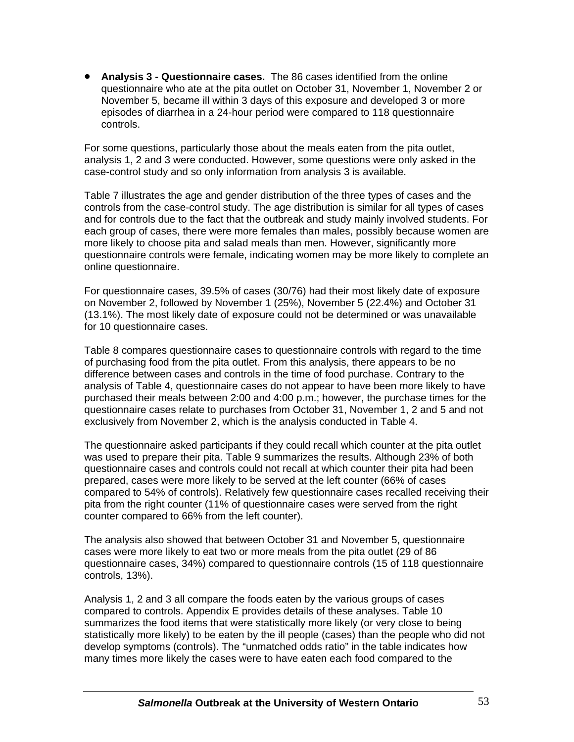• **Analysis 3 - Questionnaire cases.** The 86 cases identified from the online questionnaire who ate at the pita outlet on October 31, November 1, November 2 or November 5, became ill within 3 days of this exposure and developed 3 or more episodes of diarrhea in a 24-hour period were compared to 118 questionnaire controls.

For some questions, particularly those about the meals eaten from the pita outlet, analysis 1, 2 and 3 were conducted. However, some questions were only asked in the case-control study and so only information from analysis 3 is available.

Table 7 illustrates the age and gender distribution of the three types of cases and the controls from the case-control study. The age distribution is similar for all types of cases and for controls due to the fact that the outbreak and study mainly involved students. For each group of cases, there were more females than males, possibly because women are more likely to choose pita and salad meals than men. However, significantly more questionnaire controls were female, indicating women may be more likely to complete an online questionnaire.

For questionnaire cases, 39.5% of cases (30/76) had their most likely date of exposure on November 2, followed by November 1 (25%), November 5 (22.4%) and October 31 (13.1%). The most likely date of exposure could not be determined or was unavailable for 10 questionnaire cases.

Table 8 compares questionnaire cases to questionnaire controls with regard to the time of purchasing food from the pita outlet. From this analysis, there appears to be no difference between cases and controls in the time of food purchase. Contrary to the analysis of Table 4, questionnaire cases do not appear to have been more likely to have purchased their meals between 2:00 and 4:00 p.m.; however, the purchase times for the questionnaire cases relate to purchases from October 31, November 1, 2 and 5 and not exclusively from November 2, which is the analysis conducted in Table 4.

The questionnaire asked participants if they could recall which counter at the pita outlet was used to prepare their pita. Table 9 summarizes the results. Although 23% of both questionnaire cases and controls could not recall at which counter their pita had been prepared, cases were more likely to be served at the left counter (66% of cases compared to 54% of controls). Relatively few questionnaire cases recalled receiving their pita from the right counter (11% of questionnaire cases were served from the right counter compared to 66% from the left counter).

The analysis also showed that between October 31 and November 5, questionnaire cases were more likely to eat two or more meals from the pita outlet (29 of 86 questionnaire cases, 34%) compared to questionnaire controls (15 of 118 questionnaire controls, 13%).

Analysis 1, 2 and 3 all compare the foods eaten by the various groups of cases compared to controls. Appendix E provides details of these analyses. Table 10 summarizes the food items that were statistically more likely (or very close to being statistically more likely) to be eaten by the ill people (cases) than the people who did not develop symptoms (controls). The "unmatched odds ratio" in the table indicates how many times more likely the cases were to have eaten each food compared to the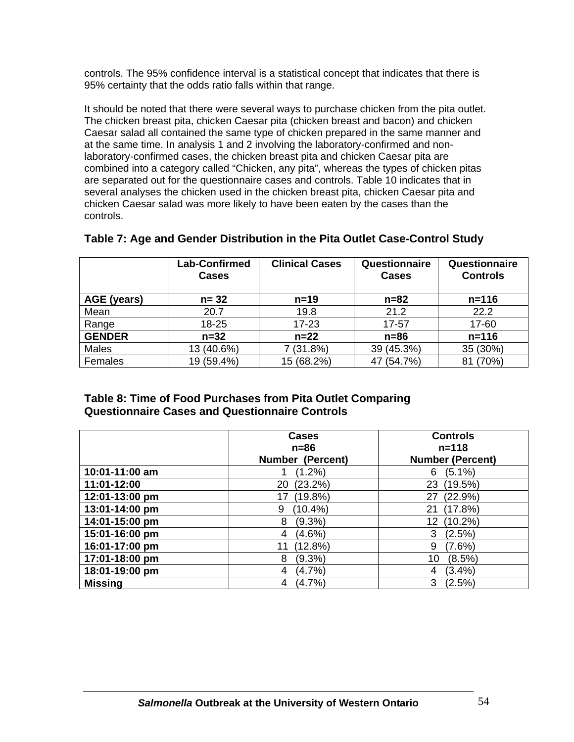controls. The 95% confidence interval is a statistical concept that indicates that there is 95% certainty that the odds ratio falls within that range.

It should be noted that there were several ways to purchase chicken from the pita outlet. The chicken breast pita, chicken Caesar pita (chicken breast and bacon) and chicken Caesar salad all contained the same type of chicken prepared in the same manner and at the same time. In analysis 1 and 2 involving the laboratory-confirmed and nonlaboratory-confirmed cases, the chicken breast pita and chicken Caesar pita are combined into a category called "Chicken, any pita", whereas the types of chicken pitas are separated out for the questionnaire cases and controls. Table 10 indicates that in several analyses the chicken used in the chicken breast pita, chicken Caesar pita and chicken Caesar salad was more likely to have been eaten by the cases than the controls.

|               | <b>Lab-Confirmed</b><br><b>Cases</b> | <b>Clinical Cases</b> | Questionnaire<br><b>Cases</b> | Questionnaire<br><b>Controls</b> |
|---------------|--------------------------------------|-----------------------|-------------------------------|----------------------------------|
| AGE (years)   | $n = 32$                             | $n=19$                | $n = 82$                      | $n = 116$                        |
| Mean          | 20.7                                 | 19.8                  | 21.2                          | 22.2                             |
| Range         | $18 - 25$                            | $17 - 23$             | 17-57                         | 17-60                            |
| <b>GENDER</b> | $n=32$                               | $n = 22$              | $n=86$                        | $n = 116$                        |
| <b>Males</b>  | 13 (40.6%)                           | $(31.8\%)$            | 39 (45.3%)                    | 35 (30%)                         |
| Females       | 19 (59.4%)                           | 15 (68.2%)            | 47 (54.7%)                    | (70%)<br>81                      |

## **Table 7: Age and Gender Distribution in the Pita Outlet Case-Control Study**

## **Table 8: Time of Food Purchases from Pita Outlet Comparing Questionnaire Cases and Questionnaire Controls**

|                | <b>Cases</b><br>$n = 86$ | <b>Controls</b><br>$n = 118$ |
|----------------|--------------------------|------------------------------|
|                | <b>Number (Percent)</b>  | <b>Number (Percent)</b>      |
| 10:01-11:00 am | $(1.2\%)$                | $(5.1\%)$<br>6               |
| 11:01-12:00    | (23.2%)<br>20            | (19.5%)<br>23                |
| 12:01-13:00 pm | (19.8%)<br>17            | (22.9%)<br>27                |
| 13:01-14:00 pm | $(10.4\%)$<br>9          | (17.8%)<br>21                |
| 14:01-15:00 pm | 8<br>$(9.3\%)$           | $(10.2\%)$<br>12             |
| 15:01-16:00 pm | $(4.6\%)$<br>4           | 3<br>(2.5%)                  |
| 16:01-17:00 pm | (12.8%)<br>11            | 9<br>(7.6%)                  |
| 17:01-18:00 pm | $(9.3\%)$<br>8           | (8.5%)<br>10                 |
| 18:01-19:00 pm | $(4.7\%)$<br>4           | $(3.4\%)$<br>4               |
| <b>Missing</b> | $(4.7\%)$<br>4           | 3<br>(2.5%)                  |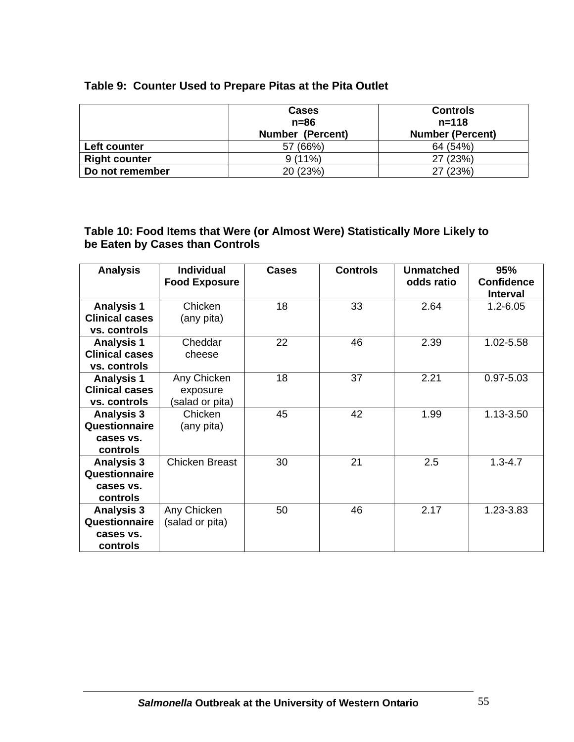|  | Table 9: Counter Used to Prepare Pitas at the Pita Outlet |  |  |  |
|--|-----------------------------------------------------------|--|--|--|
|--|-----------------------------------------------------------|--|--|--|

|                      | <b>Cases</b><br>$n=86$<br><b>Number (Percent)</b> | <b>Controls</b><br>$n = 118$<br><b>Number (Percent)</b> |
|----------------------|---------------------------------------------------|---------------------------------------------------------|
| Left counter         | 57 (66%)                                          | 64 (54%)                                                |
| <b>Right counter</b> | $9(11\%)$                                         | 27 (23%)                                                |
| Do not remember      | 20 (23%)                                          | 27 (23%)                                                |

## **Table 10: Food Items that Were (or Almost Were) Statistically More Likely to be Eaten by Cases than Controls**

| <b>Analysis</b>       | <b>Individual</b><br><b>Food Exposure</b> | <b>Cases</b> | <b>Controls</b> | <b>Unmatched</b><br>odds ratio | 95%<br><b>Confidence</b> |
|-----------------------|-------------------------------------------|--------------|-----------------|--------------------------------|--------------------------|
|                       |                                           |              |                 |                                | <b>Interval</b>          |
| <b>Analysis 1</b>     | Chicken                                   | 18           | 33              | 2.64                           | $1.2 - 6.05$             |
| <b>Clinical cases</b> | (any pita)                                |              |                 |                                |                          |
| vs. controls          |                                           |              |                 |                                |                          |
| <b>Analysis 1</b>     | Cheddar                                   | 22           | 46              | 2.39                           | 1.02-5.58                |
| <b>Clinical cases</b> | cheese                                    |              |                 |                                |                          |
| vs. controls          |                                           |              |                 |                                |                          |
| <b>Analysis 1</b>     | Any Chicken                               | 18           | 37              | 2.21                           | $0.97 - 5.03$            |
| <b>Clinical cases</b> | exposure                                  |              |                 |                                |                          |
| vs. controls          | (salad or pita)                           |              |                 |                                |                          |
| <b>Analysis 3</b>     | Chicken                                   | 45           | 42              | 1.99                           | 1.13-3.50                |
| Questionnaire         | (any pita)                                |              |                 |                                |                          |
| cases vs.             |                                           |              |                 |                                |                          |
| controls              |                                           |              |                 |                                |                          |
| <b>Analysis 3</b>     | <b>Chicken Breast</b>                     | 30           | 21              | 2.5                            | $1.3 - 4.7$              |
| Questionnaire         |                                           |              |                 |                                |                          |
| cases vs.             |                                           |              |                 |                                |                          |
| controls              |                                           |              |                 |                                |                          |
| <b>Analysis 3</b>     | Any Chicken                               | 50           | 46              | 2.17                           | 1.23-3.83                |
| Questionnaire         | (salad or pita)                           |              |                 |                                |                          |
| cases vs.             |                                           |              |                 |                                |                          |
| controls              |                                           |              |                 |                                |                          |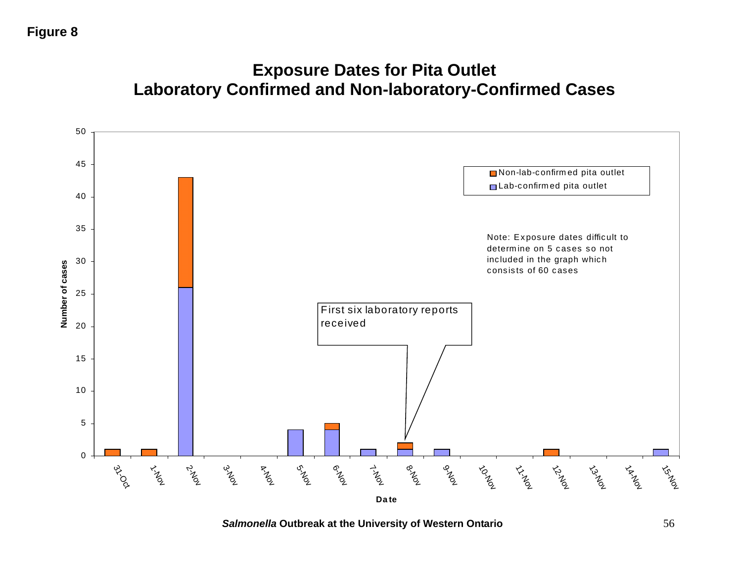# **Figure 8**

# **Exposure Dates for Pita Outlet Laboratory Confirmed and Non-laboratory-Confirmed Cases**



*Salmonella* **Outbreak at the University of Western Ontario** 56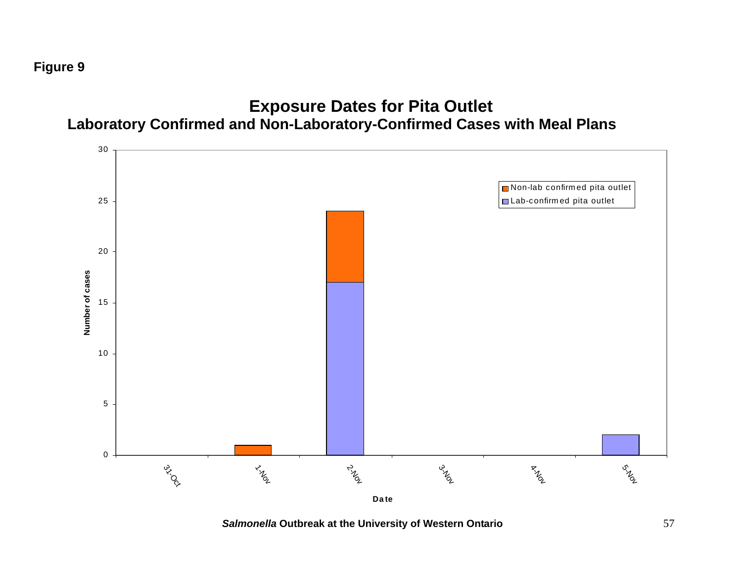**Figure 9**



# **Exposure Dates for Pita Outlet**

*Salmonella* **Outbreak at the University of Western Ontario** 57

**Da te**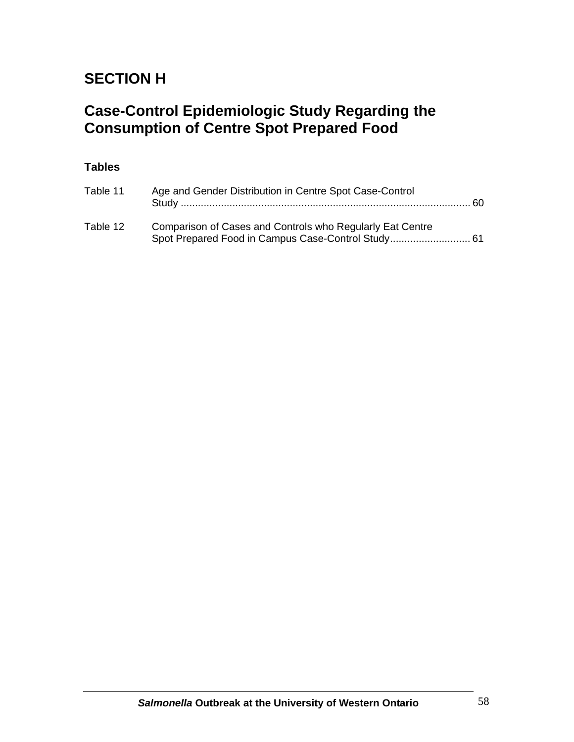# **SECTION H**

# **Case-Control Epidemiologic Study Regarding the Consumption of Centre Spot Prepared Food**

# **Tables**

| Table 11 | Age and Gender Distribution in Centre Spot Case-Control   | -60. |
|----------|-----------------------------------------------------------|------|
| Table 12 | Comparison of Cases and Controls who Regularly Eat Centre |      |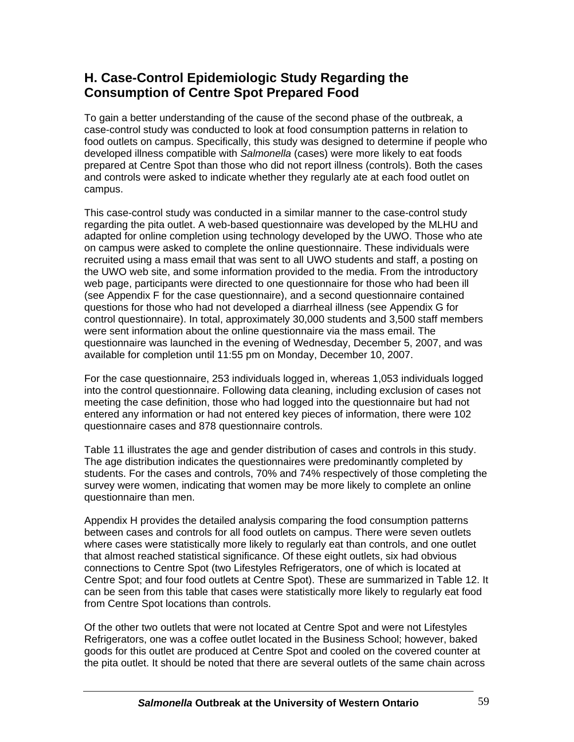# **H. Case-Control Epidemiologic Study Regarding the Consumption of Centre Spot Prepared Food**

To gain a better understanding of the cause of the second phase of the outbreak, a case-control study was conducted to look at food consumption patterns in relation to food outlets on campus. Specifically, this study was designed to determine if people who developed illness compatible with *Salmonella* (cases) were more likely to eat foods prepared at Centre Spot than those who did not report illness (controls). Both the cases and controls were asked to indicate whether they regularly ate at each food outlet on campus.

This case-control study was conducted in a similar manner to the case-control study regarding the pita outlet. A web-based questionnaire was developed by the MLHU and adapted for online completion using technology developed by the UWO. Those who ate on campus were asked to complete the online questionnaire. These individuals were recruited using a mass email that was sent to all UWO students and staff, a posting on the UWO web site, and some information provided to the media. From the introductory web page, participants were directed to one questionnaire for those who had been ill (see Appendix F for the case questionnaire), and a second questionnaire contained questions for those who had not developed a diarrheal illness (see Appendix G for control questionnaire). In total, approximately 30,000 students and 3,500 staff members were sent information about the online questionnaire via the mass email. The questionnaire was launched in the evening of Wednesday, December 5, 2007, and was available for completion until 11:55 pm on Monday, December 10, 2007.

For the case questionnaire, 253 individuals logged in, whereas 1,053 individuals logged into the control questionnaire. Following data cleaning, including exclusion of cases not meeting the case definition, those who had logged into the questionnaire but had not entered any information or had not entered key pieces of information, there were 102 questionnaire cases and 878 questionnaire controls.

Table 11 illustrates the age and gender distribution of cases and controls in this study. The age distribution indicates the questionnaires were predominantly completed by students. For the cases and controls, 70% and 74% respectively of those completing the survey were women, indicating that women may be more likely to complete an online questionnaire than men.

Appendix H provides the detailed analysis comparing the food consumption patterns between cases and controls for all food outlets on campus. There were seven outlets where cases were statistically more likely to regularly eat than controls, and one outlet that almost reached statistical significance. Of these eight outlets, six had obvious connections to Centre Spot (two Lifestyles Refrigerators, one of which is located at Centre Spot; and four food outlets at Centre Spot). These are summarized in Table 12. It can be seen from this table that cases were statistically more likely to regularly eat food from Centre Spot locations than controls.

Of the other two outlets that were not located at Centre Spot and were not Lifestyles Refrigerators, one was a coffee outlet located in the Business School; however, baked goods for this outlet are produced at Centre Spot and cooled on the covered counter at the pita outlet. It should be noted that there are several outlets of the same chain across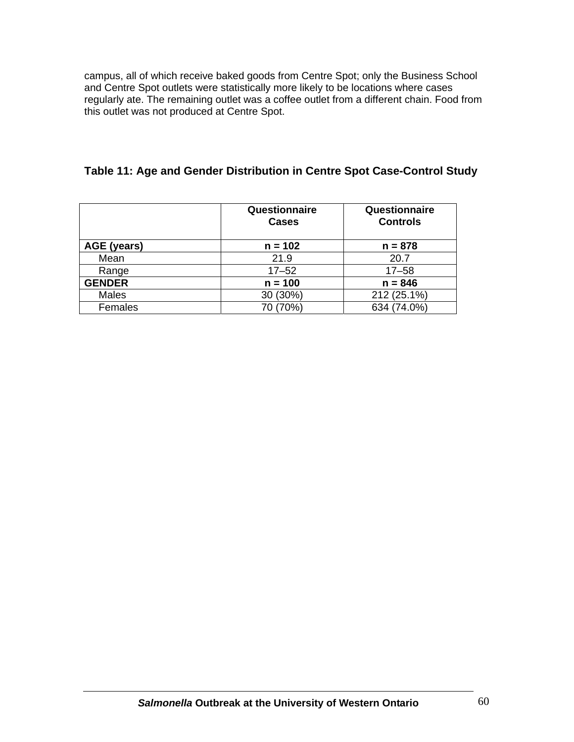campus, all of which receive baked goods from Centre Spot; only the Business School and Centre Spot outlets were statistically more likely to be locations where cases regularly ate. The remaining outlet was a coffee outlet from a different chain. Food from this outlet was not produced at Centre Spot.

# **Table 11: Age and Gender Distribution in Centre Spot Case-Control Study**

|               | Questionnaire<br><b>Cases</b> | Questionnaire<br><b>Controls</b> |
|---------------|-------------------------------|----------------------------------|
| AGE (years)   | $n = 102$                     | $n = 878$                        |
| Mean          | 21.9                          | 20.7                             |
| Range         | $17 - 52$                     | $17 - 58$                        |
| <b>GENDER</b> | $n = 100$                     | $n = 846$                        |
| <b>Males</b>  | 30 (30%)                      | 212 (25.1%)                      |
| Females       | (70%)                         | 634 (74.0%)                      |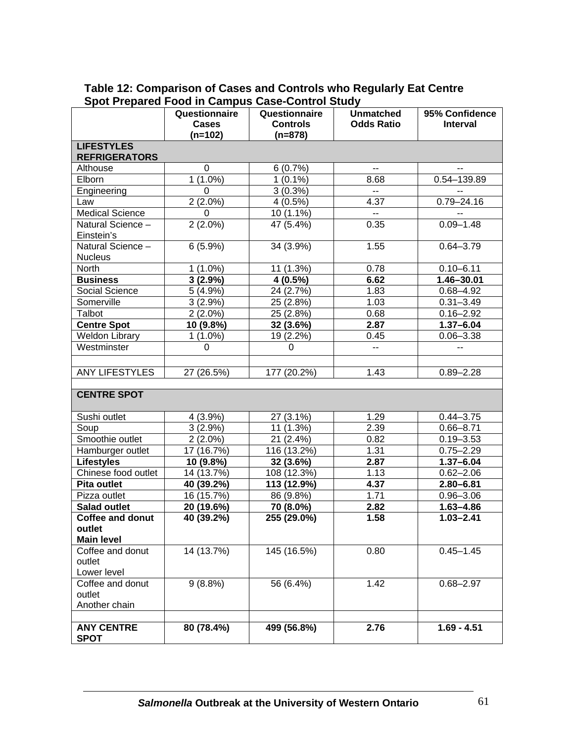|                                             | Questionnaire<br>Cases | Questionnaire<br><b>Controls</b> | <b>Unmatched</b><br><b>Odds Ratio</b> | 95% Confidence<br><b>Interval</b> |  |  |  |  |
|---------------------------------------------|------------------------|----------------------------------|---------------------------------------|-----------------------------------|--|--|--|--|
|                                             | (n=102)                | $(n=878)$                        |                                       |                                   |  |  |  |  |
| <b>LIFESTYLES</b><br><b>REFRIGERATORS</b>   |                        |                                  |                                       |                                   |  |  |  |  |
| Althouse                                    | 0                      | 6(0.7%)                          | $\overline{\phantom{a}}$              |                                   |  |  |  |  |
| Elborn                                      | $1(1.0\%)$             | $1(0.1\%)$                       | 8.68                                  | 0.54-139.89                       |  |  |  |  |
| Engineering                                 | $\Omega$               | $3(0.3\sqrt{0})$                 | $\mathbb{H}^{\mathbb{H}}$             |                                   |  |  |  |  |
| Law                                         | $2(2.0\%)$             | 4(0.5%)                          | 4.37                                  | $0.79 - 24.16$                    |  |  |  |  |
| <b>Medical Science</b>                      | $\Omega$               | 10 (1.1%)                        | $\overline{\phantom{a}}$              |                                   |  |  |  |  |
| Natural Science -<br>Einstein's             | $2(2.0\%)$             | 47 (5.4%)                        | 0.35                                  | $0.09 - 1.48$                     |  |  |  |  |
| Natural Science -<br><b>Nucleus</b>         | 6(5.9%)                | 34 (3.9%)                        | 1.55                                  | $0.64 - 3.79$                     |  |  |  |  |
| North                                       | $1(1.0\%)$             | 11 (1.3%)                        | 0.78                                  | $0.10 - 6.11$                     |  |  |  |  |
| <b>Business</b>                             | 3(2.9%)                | $4(0.5\%)$                       | 6.62                                  | 1.46-30.01                        |  |  |  |  |
| Social Science                              | 5(4.9%)                | 24 (2.7%)                        | 1.83                                  | $0.68 - 4.92$                     |  |  |  |  |
| Somerville                                  | $3(2.9\%)$             | 25 (2.8%)                        | 1.03                                  | $0.31 - 3.49$                     |  |  |  |  |
| Talbot                                      | $2(2.0\%)$             | 25 (2.8%)                        | 0.68                                  | $0.16 - 2.92$                     |  |  |  |  |
| <b>Centre Spot</b>                          | 10 (9.8%)              | 32 (3.6%)                        | 2.87                                  | $1.37 - 6.04$                     |  |  |  |  |
| <b>Weldon Library</b>                       | $1(1.0\%)$             | 19 (2.2%)                        | 0.45                                  | $0.06 - 3.38$                     |  |  |  |  |
| Westminster                                 | $\Omega$               | 0                                | $\overline{a}$                        | ۰.                                |  |  |  |  |
| <b>ANY LIFESTYLES</b>                       | 27 (26.5%)             | 177 (20.2%)                      | 1.43                                  | $0.89 - 2.28$                     |  |  |  |  |
| <b>CENTRE SPOT</b>                          |                        |                                  |                                       |                                   |  |  |  |  |
| Sushi outlet                                | 4(3.9%)                | 27 (3.1%)                        | 1.29                                  | $0.44 - 3.75$                     |  |  |  |  |
| Soup                                        | $3(2.9\%)$             | 11 (1.3%)                        | 2.39                                  | $0.66 - 8.71$                     |  |  |  |  |
| Smoothie outlet                             | $2(2.0\%)$             | 21 (2.4%)                        | 0.82                                  | $0.19 - 3.53$                     |  |  |  |  |
| Hamburger outlet                            | 17 (16.7%)             | 116 (13.2%)                      | 1.31                                  | $0.75 - 2.29$                     |  |  |  |  |
| <b>Lifestyles</b>                           | 10 (9.8%)              | 32 (3.6%)                        | 2.87                                  | $1.37 - 6.04$                     |  |  |  |  |
| Chinese food outlet                         | 14 (13.7%)             | 108 (12.3%)                      | 1.13                                  | $0.62 - 2.06$                     |  |  |  |  |
| Pita outlet                                 | 40 (39.2%)             | 113 (12.9%)                      | 4.37                                  | $2.80 - 6.81$                     |  |  |  |  |
| Pizza outlet                                | 16 (15.7%)             | 86 (9.8%)                        | 1.71                                  | $0.96 - 3.06$                     |  |  |  |  |
| <b>Salad outlet</b>                         | 20 (19.6%)             | 70 (8.0%)                        | 2.82                                  | $1.63 - 4.86$                     |  |  |  |  |
| <b>Coffee and donut</b>                     | 40 (39.2%)             | 255 (29.0%)                      | 1.58                                  | $1.03 - 2.41$                     |  |  |  |  |
| outlet<br><b>Main level</b>                 |                        |                                  |                                       |                                   |  |  |  |  |
| Coffee and donut<br>outlet<br>Lower level   | 14 (13.7%)             | 145 (16.5%)                      | 0.80                                  | $0.45 - 1.45$                     |  |  |  |  |
| Coffee and donut<br>outlet<br>Another chain | $9(8.8\%)$             | 56 (6.4%)                        | 1.42                                  | $0.68 - 2.97$                     |  |  |  |  |
| <b>ANY CENTRE</b><br><b>SPOT</b>            | 80 (78.4%)             | 499 (56.8%)                      | 2.76                                  | $1.69 - 4.51$                     |  |  |  |  |

## **Table 12: Comparison of Cases and Controls who Regularly Eat Centre Spot Prepared Food in Campus Case-Control Study**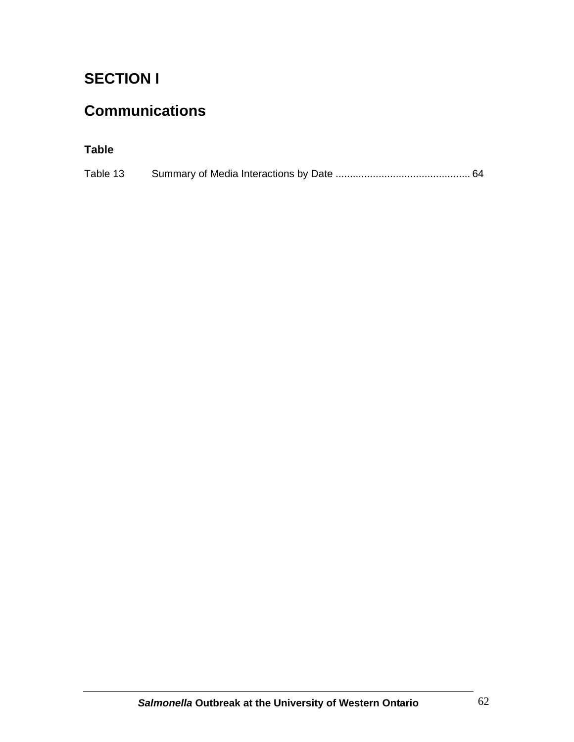# **SECTION I**

# **Communications**

# **Table**

| Table 13 |  |  |  |
|----------|--|--|--|
|          |  |  |  |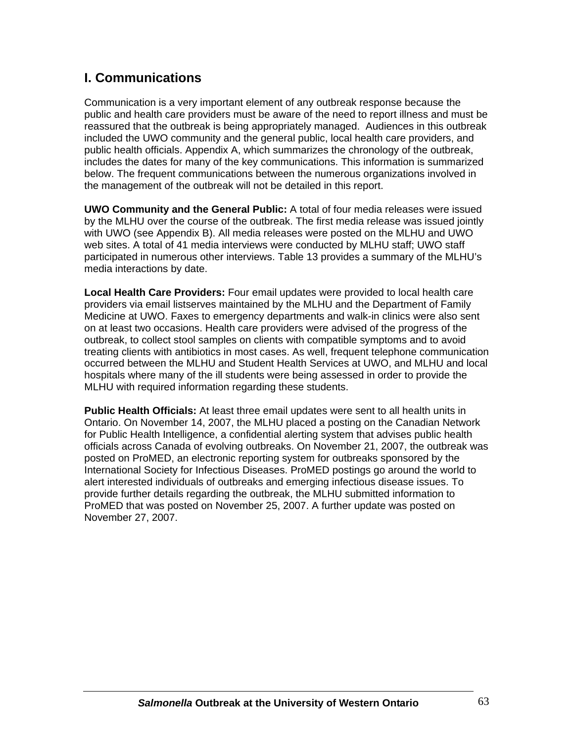# **I. Communications**

Communication is a very important element of any outbreak response because the public and health care providers must be aware of the need to report illness and must be reassured that the outbreak is being appropriately managed. Audiences in this outbreak included the UWO community and the general public, local health care providers, and public health officials. Appendix A, which summarizes the chronology of the outbreak, includes the dates for many of the key communications. This information is summarized below. The frequent communications between the numerous organizations involved in the management of the outbreak will not be detailed in this report.

**UWO Community and the General Public:** A total of four media releases were issued by the MLHU over the course of the outbreak. The first media release was issued jointly with UWO (see Appendix B). All media releases were posted on the MLHU and UWO web sites. A total of 41 media interviews were conducted by MLHU staff; UWO staff participated in numerous other interviews. Table 13 provides a summary of the MLHU's media interactions by date.

**Local Health Care Providers:** Four email updates were provided to local health care providers via email listserves maintained by the MLHU and the Department of Family Medicine at UWO. Faxes to emergency departments and walk-in clinics were also sent on at least two occasions. Health care providers were advised of the progress of the outbreak, to collect stool samples on clients with compatible symptoms and to avoid treating clients with antibiotics in most cases. As well, frequent telephone communication occurred between the MLHU and Student Health Services at UWO, and MLHU and local hospitals where many of the ill students were being assessed in order to provide the MLHU with required information regarding these students.

**Public Health Officials:** At least three email updates were sent to all health units in Ontario. On November 14, 2007, the MLHU placed a posting on the Canadian Network for Public Health Intelligence, a confidential alerting system that advises public health officials across Canada of evolving outbreaks. On November 21, 2007, the outbreak was posted on ProMED, an electronic reporting system for outbreaks sponsored by the International Society for Infectious Diseases. ProMED postings go around the world to alert interested individuals of outbreaks and emerging infectious disease issues. To provide further details regarding the outbreak, the MLHU submitted information to ProMED that was posted on November 25, 2007. A further update was posted on November 27, 2007.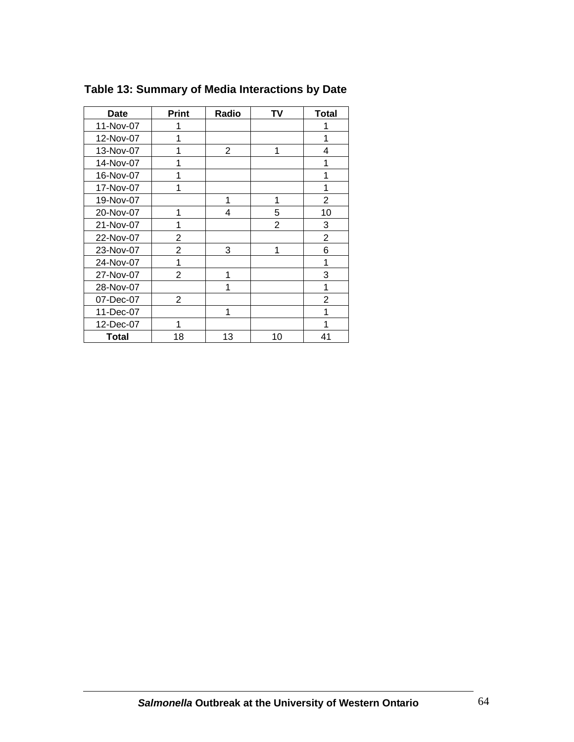| <b>Date</b>  | <b>Print</b>   | Radio          | TV             | <b>Total</b>   |
|--------------|----------------|----------------|----------------|----------------|
| 11-Nov-07    | 1              |                |                | 1              |
| 12-Nov-07    | 1              |                |                | 1              |
| 13-Nov-07    | 1              | $\overline{2}$ | 1              | 4              |
| 14-Nov-07    | 1              |                |                | 1              |
| 16-Nov-07    | 1              |                |                | 1              |
| 17-Nov-07    | 1              |                |                | 1              |
| 19-Nov-07    |                | 1              | 1              | $\overline{2}$ |
| 20-Nov-07    | 1              | 4              | 5              | 10             |
| 21-Nov-07    | 1              |                | $\overline{2}$ | 3              |
| 22-Nov-07    | 2              |                |                | $\overline{2}$ |
| 23-Nov-07    | 2              | 3              | 1              | 6              |
| 24-Nov-07    | 1              |                |                | 1              |
| 27-Nov-07    | 2              | 1              |                | 3              |
| 28-Nov-07    |                | 1              |                | 1              |
| 07-Dec-07    | $\overline{2}$ |                |                | $\overline{2}$ |
| 11-Dec-07    |                | 1              |                | 1              |
| 12-Dec-07    | 1              |                |                | 1              |
| <b>Total</b> | 18             | 13             | 10             | 41             |

**Table 13: Summary of Media Interactions by Date**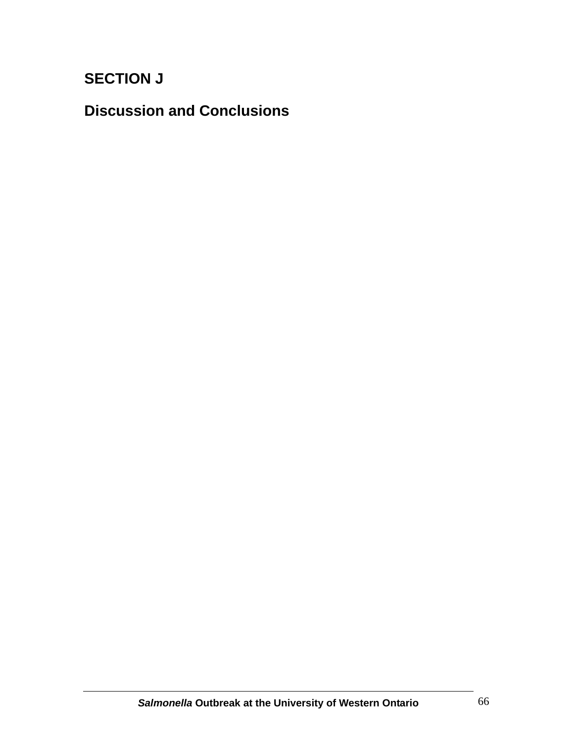# **SECTION J**

**Discussion and Conclusions**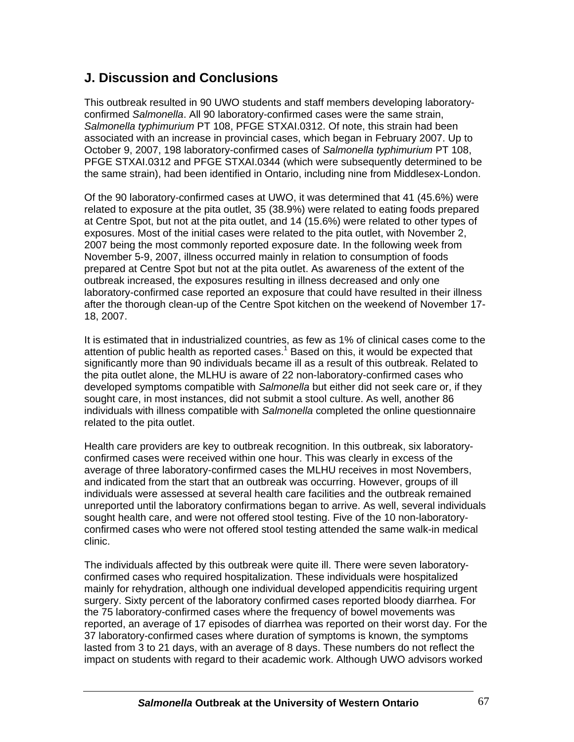# **J. Discussion and Conclusions**

This outbreak resulted in 90 UWO students and staff members developing laboratoryconfirmed *Salmonella*. All 90 laboratory-confirmed cases were the same strain, *Salmonella typhimurium* PT 108, PFGE STXAI.0312. Of note, this strain had been associated with an increase in provincial cases, which began in February 2007. Up to October 9, 2007, 198 laboratory-confirmed cases of *Salmonella typhimurium* PT 108, PFGE STXAI.0312 and PFGE STXAI.0344 (which were subsequently determined to be the same strain), had been identified in Ontario, including nine from Middlesex-London.

Of the 90 laboratory-confirmed cases at UWO, it was determined that 41 (45.6%) were related to exposure at the pita outlet, 35 (38.9%) were related to eating foods prepared at Centre Spot, but not at the pita outlet, and 14 (15.6%) were related to other types of exposures. Most of the initial cases were related to the pita outlet, with November 2, 2007 being the most commonly reported exposure date. In the following week from November 5-9, 2007, illness occurred mainly in relation to consumption of foods prepared at Centre Spot but not at the pita outlet. As awareness of the extent of the outbreak increased, the exposures resulting in illness decreased and only one laboratory-confirmed case reported an exposure that could have resulted in their illness after the thorough clean-up of the Centre Spot kitchen on the weekend of November 17- 18, 2007.

It is estimated that in industrialized countries, as few as 1% of clinical cases come to the attention of public health as reported cases. $^1$  Based on this, it would be expected that significantly more than 90 individuals became ill as a result of this outbreak. Related to the pita outlet alone, the MLHU is aware of 22 non-laboratory-confirmed cases who developed symptoms compatible with *Salmonella* but either did not seek care or, if they sought care, in most instances, did not submit a stool culture. As well, another 86 individuals with illness compatible with *Salmonella* completed the online questionnaire related to the pita outlet.

Health care providers are key to outbreak recognition. In this outbreak, six laboratoryconfirmed cases were received within one hour. This was clearly in excess of the average of three laboratory-confirmed cases the MLHU receives in most Novembers, and indicated from the start that an outbreak was occurring. However, groups of ill individuals were assessed at several health care facilities and the outbreak remained unreported until the laboratory confirmations began to arrive. As well, several individuals sought health care, and were not offered stool testing. Five of the 10 non-laboratoryconfirmed cases who were not offered stool testing attended the same walk-in medical clinic.

The individuals affected by this outbreak were quite ill. There were seven laboratoryconfirmed cases who required hospitalization. These individuals were hospitalized mainly for rehydration, although one individual developed appendicitis requiring urgent surgery. Sixty percent of the laboratory confirmed cases reported bloody diarrhea. For the 75 laboratory-confirmed cases where the frequency of bowel movements was reported, an average of 17 episodes of diarrhea was reported on their worst day. For the 37 laboratory-confirmed cases where duration of symptoms is known, the symptoms lasted from 3 to 21 days, with an average of 8 days. These numbers do not reflect the impact on students with regard to their academic work. Although UWO advisors worked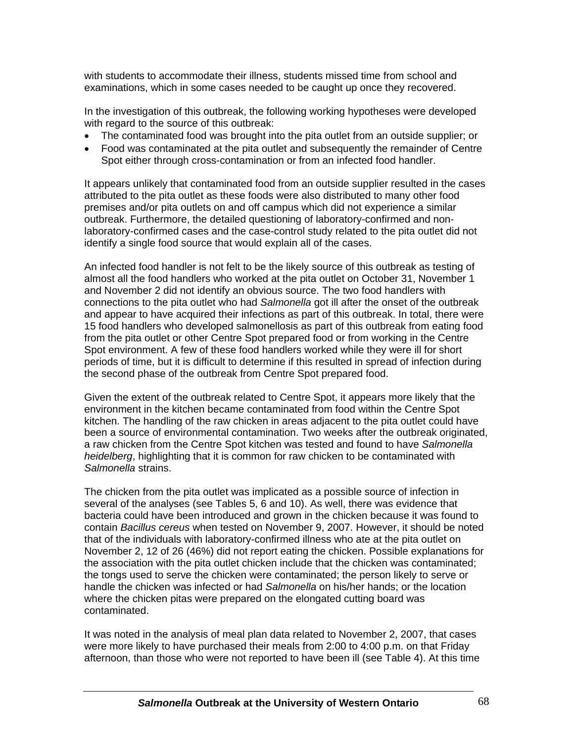with students to accommodate their illness, students missed time from school and examinations, which in some cases needed to be caught up once they recovered.

In the investigation of this outbreak, the following working hypotheses were developed with regard to the source of this outbreak:

- The contaminated food was brought into the pita outlet from an outside supplier; or
- Food was contaminated at the pita outlet and subsequently the remainder of Centre Spot either through cross-contamination or from an infected food handler.

It appears unlikely that contaminated food from an outside supplier resulted in the cases attributed to the pita outlet as these foods were also distributed to many other food premises and/or pita outlets on and off campus which did not experience a similar outbreak. Furthermore, the detailed questioning of laboratory-confirmed and nonlaboratory-confirmed cases and the case-control study related to the pita outlet did not identify a single food source that would explain all of the cases.

An infected food handler is not felt to be the likely source of this outbreak as testing of almost all the food handlers who worked at the pita outlet on October 31, November 1 and November 2 did not identify an obvious source. The two food handlers with connections to the pita outlet who had *Salmonella* got ill after the onset of the outbreak and appear to have acquired their infections as part of this outbreak. In total, there were 15 food handlers who developed salmonellosis as part of this outbreak from eating food from the pita outlet or other Centre Spot prepared food or from working in the Centre Spot environment. A few of these food handlers worked while they were ill for short periods of time, but it is difficult to determine if this resulted in spread of infection during the second phase of the outbreak from Centre Spot prepared food.

Given the extent of the outbreak related to Centre Spot, it appears more likely that the environment in the kitchen became contaminated from food within the Centre Spot kitchen. The handling of the raw chicken in areas adjacent to the pita outlet could have been a source of environmental contamination. Two weeks after the outbreak originated, a raw chicken from the Centre Spot kitchen was tested and found to have *Salmonella heidelberg*, highlighting that it is common for raw chicken to be contaminated with *Salmonella* strains.

The chicken from the pita outlet was implicated as a possible source of infection in several of the analyses (see Tables 5, 6 and 10). As well, there was evidence that bacteria could have been introduced and grown in the chicken because it was found to contain *Bacillus cereus* when tested on November 9, 2007. However, it should be noted that of the individuals with laboratory-confirmed illness who ate at the pita outlet on November 2, 12 of 26 (46%) did not report eating the chicken. Possible explanations for the association with the pita outlet chicken include that the chicken was contaminated; the tongs used to serve the chicken were contaminated; the person likely to serve or handle the chicken was infected or had *Salmonella* on his/her hands; or the location where the chicken pitas were prepared on the elongated cutting board was contaminated.

It was noted in the analysis of meal plan data related to November 2, 2007, that cases were more likely to have purchased their meals from 2:00 to 4:00 p.m. on that Friday afternoon, than those who were not reported to have been ill (see Table 4). At this time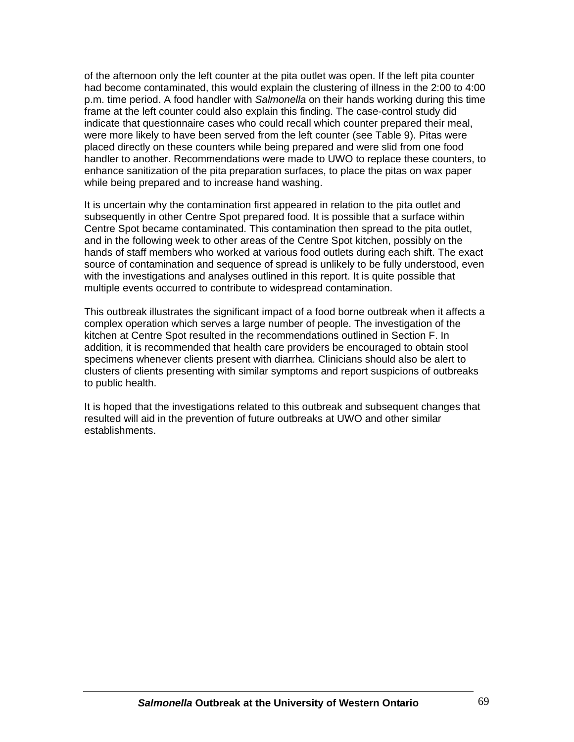of the afternoon only the left counter at the pita outlet was open. If the left pita counter had become contaminated, this would explain the clustering of illness in the 2:00 to 4:00 p.m. time period. A food handler with *Salmonella* on their hands working during this time frame at the left counter could also explain this finding. The case-control study did indicate that questionnaire cases who could recall which counter prepared their meal, were more likely to have been served from the left counter (see Table 9). Pitas were placed directly on these counters while being prepared and were slid from one food handler to another. Recommendations were made to UWO to replace these counters, to enhance sanitization of the pita preparation surfaces, to place the pitas on wax paper while being prepared and to increase hand washing.

It is uncertain why the contamination first appeared in relation to the pita outlet and subsequently in other Centre Spot prepared food. It is possible that a surface within Centre Spot became contaminated. This contamination then spread to the pita outlet, and in the following week to other areas of the Centre Spot kitchen, possibly on the hands of staff members who worked at various food outlets during each shift. The exact source of contamination and sequence of spread is unlikely to be fully understood, even with the investigations and analyses outlined in this report. It is quite possible that multiple events occurred to contribute to widespread contamination.

This outbreak illustrates the significant impact of a food borne outbreak when it affects a complex operation which serves a large number of people. The investigation of the kitchen at Centre Spot resulted in the recommendations outlined in Section F. In addition, it is recommended that health care providers be encouraged to obtain stool specimens whenever clients present with diarrhea. Clinicians should also be alert to clusters of clients presenting with similar symptoms and report suspicions of outbreaks to public health.

It is hoped that the investigations related to this outbreak and subsequent changes that resulted will aid in the prevention of future outbreaks at UWO and other similar establishments.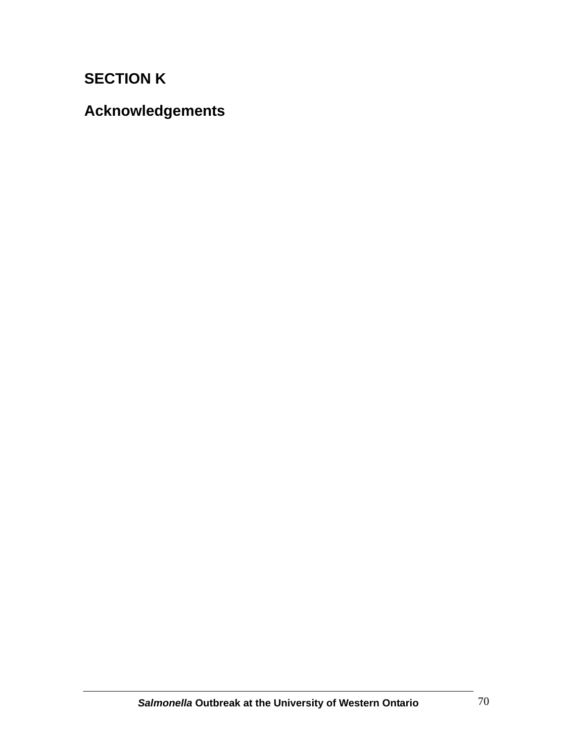# **SECTION K**

**Acknowledgements**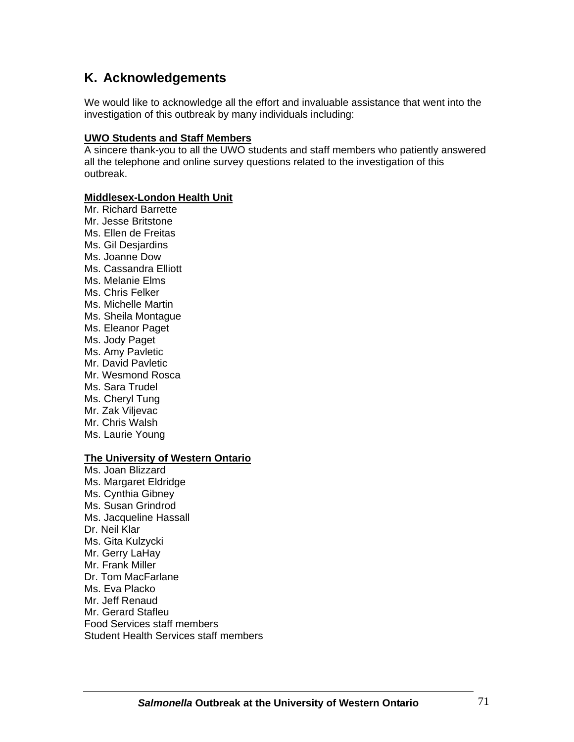# **K. Acknowledgements**

We would like to acknowledge all the effort and invaluable assistance that went into the investigation of this outbreak by many individuals including:

#### **UWO Students and Staff Members**

A sincere thank-you to all the UWO students and staff members who patiently answered all the telephone and online survey questions related to the investigation of this outbreak.

#### **Middlesex-London Health Unit**

Mr. Richard Barrette Mr. Jesse Britstone Ms. Ellen de Freitas Ms. Gil Desjardins Ms. Joanne Dow Ms. Cassandra Elliott Ms. Melanie Elms Ms. Chris Felker Ms. Michelle Martin Ms. Sheila Montague Ms. Eleanor Paget Ms. Jody Paget Ms. Amy Pavletic Mr. David Pavletic Mr. Wesmond Rosca Ms. Sara Trudel Ms. Cheryl Tung Mr. Zak Viljevac Mr. Chris Walsh Ms. Laurie Young

## **The University of Western Ontario**

Ms. Joan Blizzard Ms. Margaret Eldridge Ms. Cynthia Gibney Ms. Susan Grindrod Ms. Jacqueline Hassall Dr. Neil Klar Ms. Gita Kulzycki Mr. Gerry LaHay Mr. Frank Miller Dr. Tom MacFarlane Ms. Eva Placko Mr. Jeff Renaud Mr. Gerard Stafleu Food Services staff members Student Health Services staff members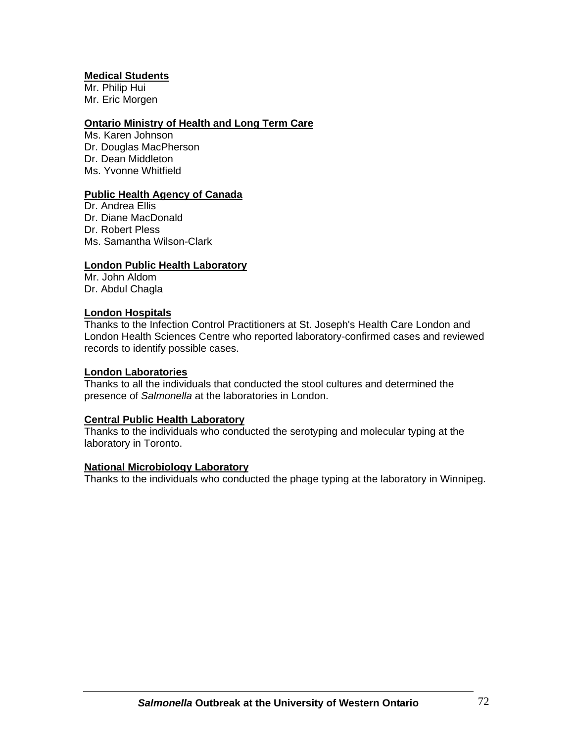#### **Medical Students**

Mr. Philip Hui Mr. Eric Morgen

#### **Ontario Ministry of Health and Long Term Care**

Ms. Karen Johnson Dr. Douglas MacPherson Dr. Dean Middleton Ms. Yvonne Whitfield

#### **Public Health Agency of Canada**

Dr. Andrea Ellis Dr. Diane MacDonald Dr. Robert Pless Ms. Samantha Wilson-Clark

#### **London Public Health Laboratory**

Mr. John Aldom Dr. Abdul Chagla

#### **London Hospitals**

Thanks to the Infection Control Practitioners at St. Joseph's Health Care London and London Health Sciences Centre who reported laboratory-confirmed cases and reviewed records to identify possible cases.

#### **London Laboratories**

Thanks to all the individuals that conducted the stool cultures and determined the presence of *Salmonella* at the laboratories in London.

#### **Central Public Health Laboratory**

Thanks to the individuals who conducted the serotyping and molecular typing at the laboratory in Toronto.

#### **National Microbiology Laboratory**

Thanks to the individuals who conducted the phage typing at the laboratory in Winnipeg.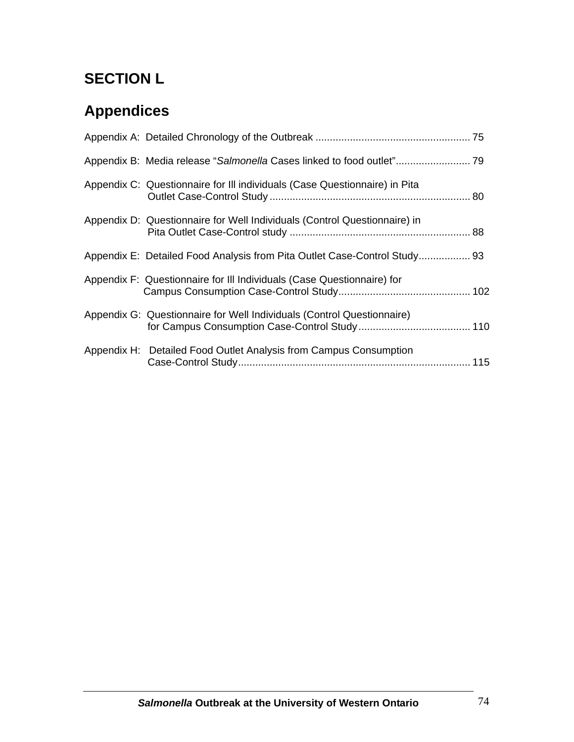# **SECTION L**

# **Appendices**

| Appendix C: Questionnaire for III individuals (Case Questionnaire) in Pita |  |
|----------------------------------------------------------------------------|--|
| Appendix D: Questionnaire for Well Individuals (Control Questionnaire) in  |  |
| Appendix E: Detailed Food Analysis from Pita Outlet Case-Control Study 93  |  |
| Appendix F: Questionnaire for III Individuals (Case Questionnaire) for     |  |
| Appendix G: Questionnaire for Well Individuals (Control Questionnaire)     |  |
| Appendix H: Detailed Food Outlet Analysis from Campus Consumption          |  |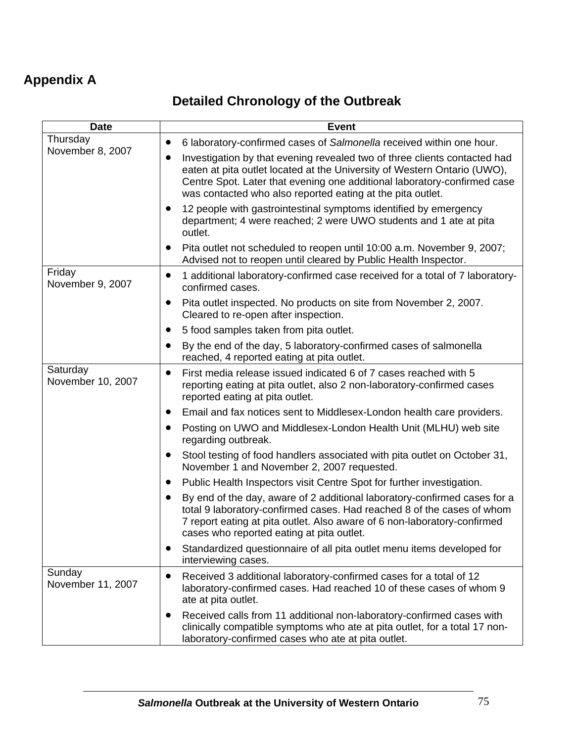# **Appendix A**

# **Detailed Chronology of the Outbreak**

| <b>Date</b>                   | <b>Event</b>                                                                                                                                                                                                                                                                                    |
|-------------------------------|-------------------------------------------------------------------------------------------------------------------------------------------------------------------------------------------------------------------------------------------------------------------------------------------------|
| Thursday                      | 6 laboratory-confirmed cases of Salmonella received within one hour.<br>$\bullet$                                                                                                                                                                                                               |
| November 8, 2007              | Investigation by that evening revealed two of three clients contacted had<br>eaten at pita outlet located at the University of Western Ontario (UWO),<br>Centre Spot. Later that evening one additional laboratory-confirmed case<br>was contacted who also reported eating at the pita outlet. |
|                               | 12 people with gastrointestinal symptoms identified by emergency<br>$\bullet$<br>department; 4 were reached; 2 were UWO students and 1 ate at pita<br>outlet.                                                                                                                                   |
|                               | Pita outlet not scheduled to reopen until 10:00 a.m. November 9, 2007;<br>$\bullet$<br>Advised not to reopen until cleared by Public Health Inspector.                                                                                                                                          |
| Friday<br>November 9, 2007    | 1 additional laboratory-confirmed case received for a total of 7 laboratory-<br>$\bullet$<br>confirmed cases.                                                                                                                                                                                   |
|                               | Pita outlet inspected. No products on site from November 2, 2007.<br>$\bullet$<br>Cleared to re-open after inspection.                                                                                                                                                                          |
|                               | 5 food samples taken from pita outlet.<br>$\bullet$                                                                                                                                                                                                                                             |
|                               | By the end of the day, 5 laboratory-confirmed cases of salmonella<br>$\bullet$<br>reached, 4 reported eating at pita outlet.                                                                                                                                                                    |
| Saturday<br>November 10, 2007 | First media release issued indicated 6 of 7 cases reached with 5<br>$\bullet$<br>reporting eating at pita outlet, also 2 non-laboratory-confirmed cases<br>reported eating at pita outlet.                                                                                                      |
|                               | Email and fax notices sent to Middlesex-London health care providers.<br>$\bullet$                                                                                                                                                                                                              |
|                               | Posting on UWO and Middlesex-London Health Unit (MLHU) web site<br>regarding outbreak.                                                                                                                                                                                                          |
|                               | Stool testing of food handlers associated with pita outlet on October 31,<br>$\bullet$<br>November 1 and November 2, 2007 requested.                                                                                                                                                            |
|                               | Public Health Inspectors visit Centre Spot for further investigation.<br>$\bullet$                                                                                                                                                                                                              |
|                               | By end of the day, aware of 2 additional laboratory-confirmed cases for a<br>total 9 laboratory-confirmed cases. Had reached 8 of the cases of whom<br>7 report eating at pita outlet. Also aware of 6 non-laboratory-confirmed<br>cases who reported eating at pita outlet.                    |
|                               | Standardized questionnaire of all pita outlet menu items developed for<br>interviewing cases.                                                                                                                                                                                                   |
| Sunday<br>November 11, 2007   | Received 3 additional laboratory-confirmed cases for a total of 12<br>$\bullet$<br>laboratory-confirmed cases. Had reached 10 of these cases of whom 9<br>ate at pita outlet.                                                                                                                   |
|                               | Received calls from 11 additional non-laboratory-confirmed cases with<br>clinically compatible symptoms who ate at pita outlet, for a total 17 non-<br>laboratory-confirmed cases who ate at pita outlet.                                                                                       |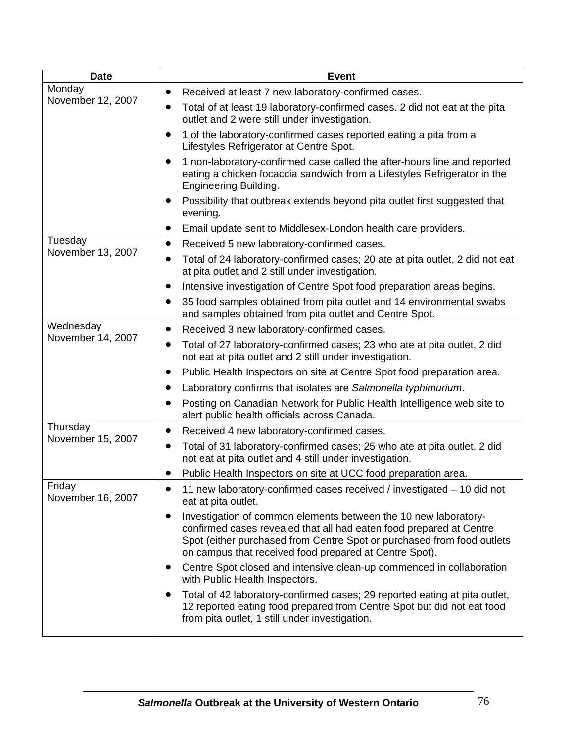| <b>Date</b>                 | <b>Event</b>                                                                                                                                                                                                                                                                            |
|-----------------------------|-----------------------------------------------------------------------------------------------------------------------------------------------------------------------------------------------------------------------------------------------------------------------------------------|
| Monday                      | Received at least 7 new laboratory-confirmed cases.<br>$\bullet$                                                                                                                                                                                                                        |
| November 12, 2007           | Total of at least 19 laboratory-confirmed cases. 2 did not eat at the pita<br>outlet and 2 were still under investigation.                                                                                                                                                              |
|                             | 1 of the laboratory-confirmed cases reported eating a pita from a<br>$\bullet$<br>Lifestyles Refrigerator at Centre Spot.                                                                                                                                                               |
|                             | 1 non-laboratory-confirmed case called the after-hours line and reported<br>eating a chicken focaccia sandwich from a Lifestyles Refrigerator in the<br><b>Engineering Building.</b>                                                                                                    |
|                             | Possibility that outbreak extends beyond pita outlet first suggested that<br>evening.                                                                                                                                                                                                   |
|                             | Email update sent to Middlesex-London health care providers.<br>$\bullet$                                                                                                                                                                                                               |
| Tuesday                     | Received 5 new laboratory-confirmed cases.<br>$\bullet$                                                                                                                                                                                                                                 |
| November 13, 2007           | Total of 24 laboratory-confirmed cases; 20 ate at pita outlet, 2 did not eat<br>$\bullet$<br>at pita outlet and 2 still under investigation.                                                                                                                                            |
|                             | Intensive investigation of Centre Spot food preparation areas begins.<br>$\bullet$                                                                                                                                                                                                      |
|                             | 35 food samples obtained from pita outlet and 14 environmental swabs<br>$\bullet$<br>and samples obtained from pita outlet and Centre Spot.                                                                                                                                             |
| Wednesday                   | Received 3 new laboratory-confirmed cases.<br>$\bullet$                                                                                                                                                                                                                                 |
| November 14, 2007           | Total of 27 laboratory-confirmed cases; 23 who ate at pita outlet, 2 did<br>$\bullet$<br>not eat at pita outlet and 2 still under investigation.                                                                                                                                        |
|                             | Public Health Inspectors on site at Centre Spot food preparation area.                                                                                                                                                                                                                  |
|                             | Laboratory confirms that isolates are Salmonella typhimurium.                                                                                                                                                                                                                           |
|                             | Posting on Canadian Network for Public Health Intelligence web site to<br>alert public health officials across Canada.                                                                                                                                                                  |
| Thursday                    | Received 4 new laboratory-confirmed cases.<br>$\bullet$                                                                                                                                                                                                                                 |
| November 15, 2007           | Total of 31 laboratory-confirmed cases; 25 who ate at pita outlet, 2 did<br>$\bullet$<br>not eat at pita outlet and 4 still under investigation.                                                                                                                                        |
|                             | Public Health Inspectors on site at UCC food preparation area.                                                                                                                                                                                                                          |
| Friday<br>November 16, 2007 | 11 new laboratory-confirmed cases received / investigated - 10 did not<br>eat at pita outlet.                                                                                                                                                                                           |
|                             | Investigation of common elements between the 10 new laboratory-<br>$\bullet$<br>confirmed cases revealed that all had eaten food prepared at Centre<br>Spot (either purchased from Centre Spot or purchased from food outlets<br>on campus that received food prepared at Centre Spot). |
|                             | Centre Spot closed and intensive clean-up commenced in collaboration<br>$\bullet$<br>with Public Health Inspectors.                                                                                                                                                                     |
|                             | Total of 42 laboratory-confirmed cases; 29 reported eating at pita outlet,<br>12 reported eating food prepared from Centre Spot but did not eat food<br>from pita outlet, 1 still under investigation.                                                                                  |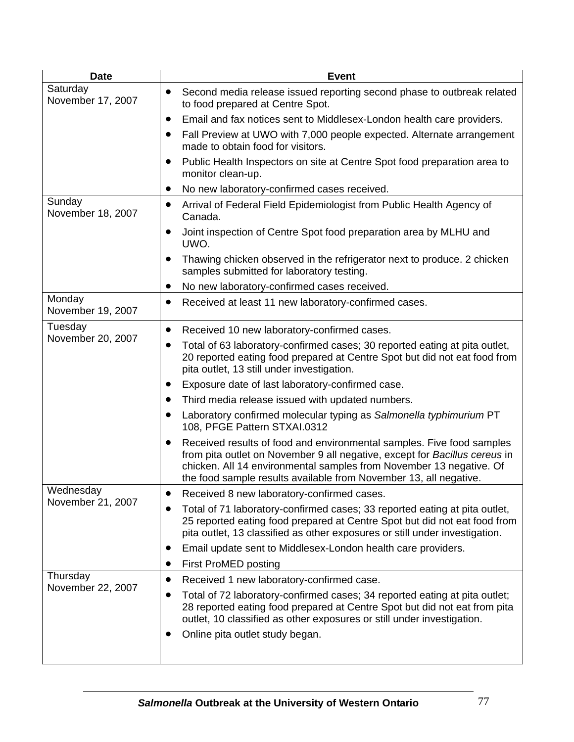| <b>Date</b>                   | <b>Event</b>                                                                                                                                                                                                                                                                                                 |
|-------------------------------|--------------------------------------------------------------------------------------------------------------------------------------------------------------------------------------------------------------------------------------------------------------------------------------------------------------|
| Saturday<br>November 17, 2007 | Second media release issued reporting second phase to outbreak related<br>to food prepared at Centre Spot.                                                                                                                                                                                                   |
|                               | Email and fax notices sent to Middlesex-London health care providers.                                                                                                                                                                                                                                        |
|                               | Fall Preview at UWO with 7,000 people expected. Alternate arrangement<br>$\bullet$<br>made to obtain food for visitors.                                                                                                                                                                                      |
|                               | Public Health Inspectors on site at Centre Spot food preparation area to<br>$\bullet$<br>monitor clean-up.                                                                                                                                                                                                   |
|                               | No new laboratory-confirmed cases received.<br>$\bullet$                                                                                                                                                                                                                                                     |
| Sunday<br>November 18, 2007   | Arrival of Federal Field Epidemiologist from Public Health Agency of<br>$\bullet$<br>Canada.                                                                                                                                                                                                                 |
|                               | Joint inspection of Centre Spot food preparation area by MLHU and<br>$\bullet$<br>UWO.                                                                                                                                                                                                                       |
|                               | Thawing chicken observed in the refrigerator next to produce. 2 chicken<br>samples submitted for laboratory testing.                                                                                                                                                                                         |
|                               | No new laboratory-confirmed cases received.<br>$\bullet$                                                                                                                                                                                                                                                     |
| Monday<br>November 19, 2007   | Received at least 11 new laboratory-confirmed cases.<br>$\bullet$                                                                                                                                                                                                                                            |
| Tuesday                       | Received 10 new laboratory-confirmed cases.<br>$\bullet$                                                                                                                                                                                                                                                     |
| November 20, 2007             | Total of 63 laboratory-confirmed cases; 30 reported eating at pita outlet,<br>20 reported eating food prepared at Centre Spot but did not eat food from<br>pita outlet, 13 still under investigation.                                                                                                        |
|                               | Exposure date of last laboratory-confirmed case.<br>$\bullet$                                                                                                                                                                                                                                                |
|                               | Third media release issued with updated numbers.                                                                                                                                                                                                                                                             |
|                               | Laboratory confirmed molecular typing as Salmonella typhimurium PT<br>108, PFGE Pattern STXAI.0312                                                                                                                                                                                                           |
|                               | Received results of food and environmental samples. Five food samples<br>$\bullet$<br>from pita outlet on November 9 all negative, except for Bacillus cereus in<br>chicken. All 14 environmental samples from November 13 negative. Of<br>the food sample results available from November 13, all negative. |
| Wednesday                     | Received 8 new laboratory-confirmed cases.                                                                                                                                                                                                                                                                   |
| November 21, 2007             | Total of 71 laboratory-confirmed cases; 33 reported eating at pita outlet,<br>$\bullet$<br>25 reported eating food prepared at Centre Spot but did not eat food from<br>pita outlet, 13 classified as other exposures or still under investigation.                                                          |
|                               | Email update sent to Middlesex-London health care providers.<br>$\bullet$                                                                                                                                                                                                                                    |
|                               | First ProMED posting                                                                                                                                                                                                                                                                                         |
| Thursday                      | Received 1 new laboratory-confirmed case.<br>$\bullet$                                                                                                                                                                                                                                                       |
| November 22, 2007             | Total of 72 laboratory-confirmed cases; 34 reported eating at pita outlet;<br>$\bullet$<br>28 reported eating food prepared at Centre Spot but did not eat from pita<br>outlet, 10 classified as other exposures or still under investigation.                                                               |
|                               | Online pita outlet study began.<br>$\bullet$                                                                                                                                                                                                                                                                 |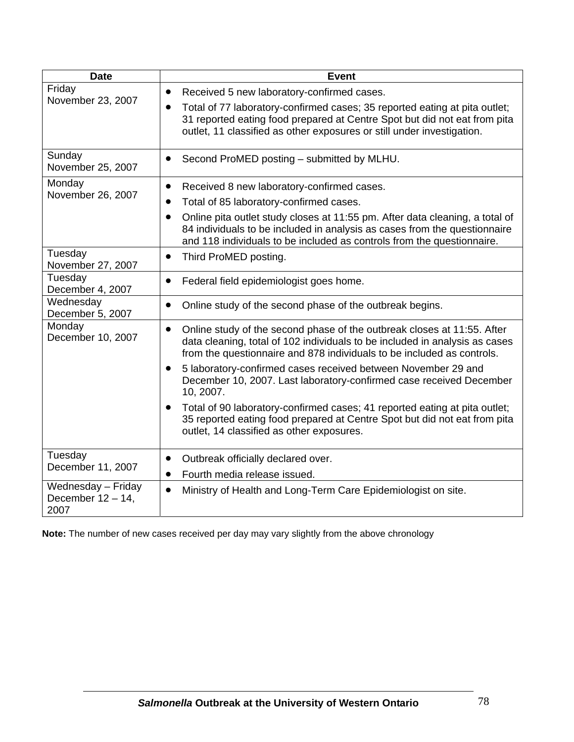| <b>Date</b>                                        | <b>Event</b>                                                                                                                                                                                                                                   |
|----------------------------------------------------|------------------------------------------------------------------------------------------------------------------------------------------------------------------------------------------------------------------------------------------------|
| Friday                                             | Received 5 new laboratory-confirmed cases.<br>$\bullet$                                                                                                                                                                                        |
| November 23, 2007                                  | Total of 77 laboratory-confirmed cases; 35 reported eating at pita outlet;<br>$\bullet$<br>31 reported eating food prepared at Centre Spot but did not eat from pita<br>outlet, 11 classified as other exposures or still under investigation. |
| Sunday<br>November 25, 2007                        | Second ProMED posting - submitted by MLHU.<br>$\bullet$                                                                                                                                                                                        |
| Monday                                             | Received 8 new laboratory-confirmed cases.<br>$\bullet$                                                                                                                                                                                        |
| November 26, 2007                                  | Total of 85 laboratory-confirmed cases.                                                                                                                                                                                                        |
|                                                    | Online pita outlet study closes at 11:55 pm. After data cleaning, a total of<br>84 individuals to be included in analysis as cases from the questionnaire<br>and 118 individuals to be included as controls from the questionnaire.            |
| Tuesday<br>November 27, 2007                       | Third ProMED posting.<br>$\bullet$                                                                                                                                                                                                             |
| Tuesday<br>December 4, 2007                        | Federal field epidemiologist goes home.<br>$\bullet$                                                                                                                                                                                           |
| Wednesday<br>December 5, 2007                      | Online study of the second phase of the outbreak begins.<br>$\bullet$                                                                                                                                                                          |
| Monday<br>December 10, 2007                        | Online study of the second phase of the outbreak closes at 11:55. After<br>$\bullet$<br>data cleaning, total of 102 individuals to be included in analysis as cases<br>from the questionnaire and 878 individuals to be included as controls.  |
|                                                    | 5 laboratory-confirmed cases received between November 29 and<br>$\bullet$<br>December 10, 2007. Last laboratory-confirmed case received December<br>10, 2007.                                                                                 |
|                                                    | Total of 90 laboratory-confirmed cases; 41 reported eating at pita outlet;<br>$\bullet$<br>35 reported eating food prepared at Centre Spot but did not eat from pita<br>outlet, 14 classified as other exposures.                              |
| Tuesday                                            | Outbreak officially declared over.<br>$\bullet$                                                                                                                                                                                                |
| December 11, 2007                                  | Fourth media release issued.<br>$\bullet$                                                                                                                                                                                                      |
| Wednesday - Friday<br>December $12 - 14$ ,<br>2007 | Ministry of Health and Long-Term Care Epidemiologist on site.<br>$\bullet$                                                                                                                                                                     |

**Note:** The number of new cases received per day may vary slightly from the above chronology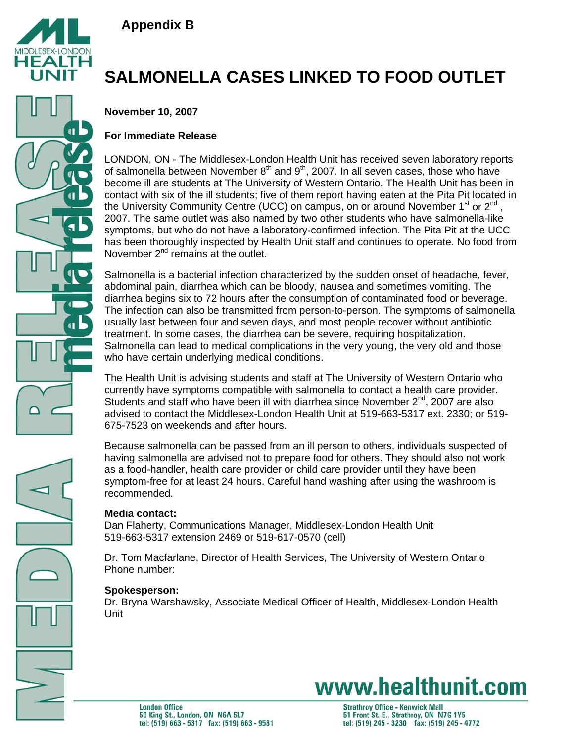



# **SALMONELLA CASES LINKED TO FOOD OUTLET**

**November 10, 2007**

# **For Immediate Release**

LONDON, ON - The Middlesex-London Health Unit has received seven laboratory reports of salmonella between November  $8<sup>th</sup>$  and  $9<sup>th</sup>$ , 2007. In all seven cases, those who have become ill are students at The University of Western Ontario. The Health Unit has been in contact with six of the ill students; five of them report having eaten at the Pita Pit located in the University Community Centre (UCC) on campus, on or around November  $1^{st}$  or  $2^{nd}$ , 2007. The same outlet was also named by two other students who have salmonella-like symptoms, but who do not have a laboratory-confirmed infection. The Pita Pit at the UCC has been thoroughly inspected by Health Unit staff and continues to operate. No food from November  $2<sup>nd</sup>$  remains at the outlet.

Salmonella is a bacterial infection characterized by the sudden onset of headache, fever, abdominal pain, diarrhea which can be bloody, nausea and sometimes vomiting. The diarrhea begins six to 72 hours after the consumption of contaminated food or beverage. The infection can also be transmitted from person-to-person. The symptoms of salmonella usually last between four and seven days, and most people recover without antibiotic treatment. In some cases, the diarrhea can be severe, requiring hospitalization. Salmonella can lead to medical complications in the very young, the very old and those who have certain underlying medical conditions.

The Health Unit is advising students and staff at The University of Western Ontario who currently have symptoms compatible with salmonella to contact a health care provider. Students and staff who have been ill with diarrhea since November  $2<sup>nd</sup>$ , 2007 are also advised to contact the Middlesex-London Health Unit at 519-663-5317 ext. 2330; or 519- 675-7523 on weekends and after hours.

Because salmonella can be passed from an ill person to others, individuals suspected of having salmonella are advised not to prepare food for others. They should also not work as a food-handler, health care provider or child care provider until they have been symptom-free for at least 24 hours. Careful hand washing after using the washroom is recommended.

# **Media contact:**

Dan Flaherty, Communications Manager, Middlesex-London Health Unit 519-663-5317 extension 2469 or 519-617-0570 (cell)

Dr. Tom Macfarlane, Director of Health Services, The University of Western Ontario Phone number:

# **Spokesperson:**

Dr. Bryna Warshawsky, Associate Medical Officer of Health, Middlesex-London Health Unit

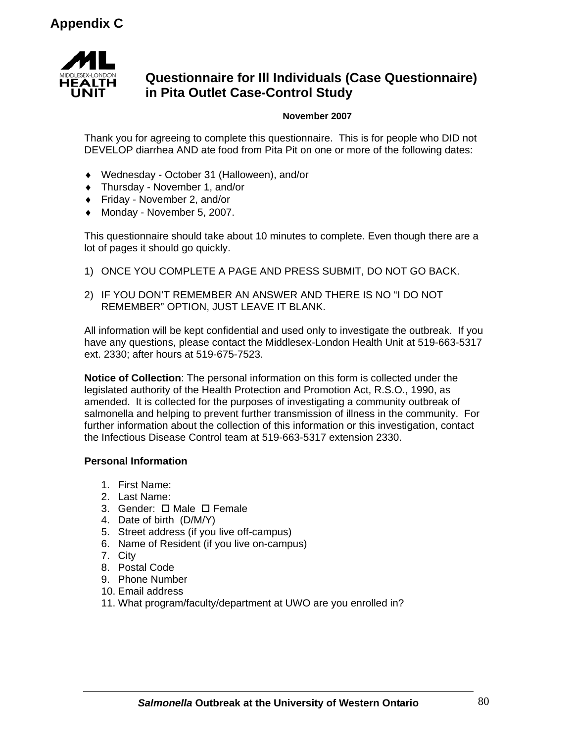

# **Questionnaire for Ill Individuals (Case Questionnaire) in Pita Outlet Case-Control Study**

## **November 2007**

Thank you for agreeing to complete this questionnaire. This is for people who DID not DEVELOP diarrhea AND ate food from Pita Pit on one or more of the following dates:

- ♦ Wednesday October 31 (Halloween), and/or
- ♦ Thursday November 1, and/or
- ♦ Friday November 2, and/or
- ♦ Monday November 5, 2007.

This questionnaire should take about 10 minutes to complete. Even though there are a lot of pages it should go quickly.

- 1) ONCE YOU COMPLETE A PAGE AND PRESS SUBMIT, DO NOT GO BACK.
- 2) IF YOU DON'T REMEMBER AN ANSWER AND THERE IS NO "I DO NOT REMEMBER" OPTION, JUST LEAVE IT BLANK.

All information will be kept confidential and used only to investigate the outbreak. If you have any questions, please contact the Middlesex-London Health Unit at 519-663-5317 ext. 2330; after hours at 519-675-7523.

**Notice of Collection**: The personal information on this form is collected under the legislated authority of the Health Protection and Promotion Act, R.S.O., 1990, as amended. It is collected for the purposes of investigating a community outbreak of salmonella and helping to prevent further transmission of illness in the community. For further information about the collection of this information or this investigation, contact the Infectious Disease Control team at 519-663-5317 extension 2330.

## **Personal Information**

- 1. First Name:
- 2. Last Name:
- 3. Gender:  $\Box$  Male  $\Box$  Female
- 4. Date of birth (D/M/Y)
- 5. Street address (if you live off-campus)
- 6. Name of Resident (if you live on-campus)
- 7. City
- 8. Postal Code
- 9. Phone Number
- 10. Email address
- 11. What program/faculty/department at UWO are you enrolled in?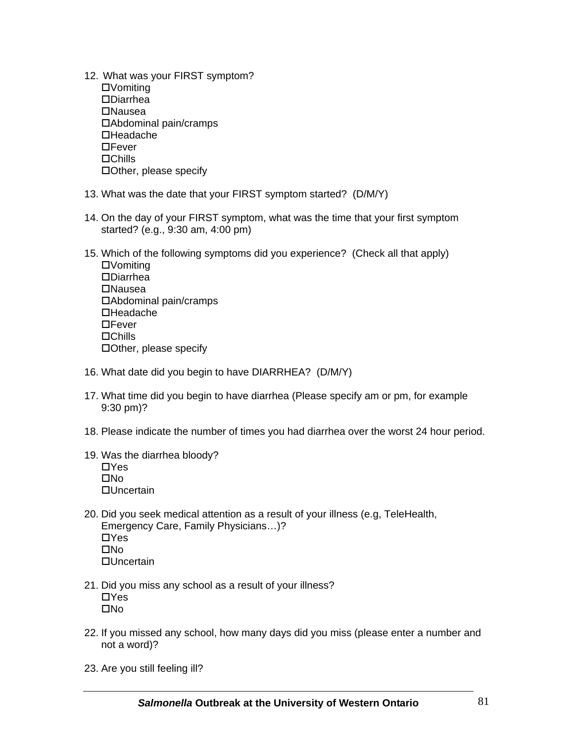- 12. What was your FIRST symptom? Vomiting Diarrhea Nausea Abdominal pain/cramps **□Headache DE**ever **□Chills** Other, please specify
- 13. What was the date that your FIRST symptom started? (D/M/Y)
- 14. On the day of your FIRST symptom, what was the time that your first symptom started? (e.g., 9:30 am, 4:00 pm)
- 15. Which of the following symptoms did you experience? (Check all that apply) Vomiting Diarrhea **□Nausea** Abdominal pain/cramps **□Headache □Fever □Chills** Other, please specify
- 16. What date did you begin to have DIARRHEA? (D/M/Y)
- 17. What time did you begin to have diarrhea (Please specify am or pm, for example 9:30 pm)?
- 18. Please indicate the number of times you had diarrhea over the worst 24 hour period.
- 19. Was the diarrhea bloody?  $\Box$ Yes  $\Box$ No Uncertain
- 20. Did you seek medical attention as a result of your illness (e.g, TeleHealth, Emergency Care, Family Physicians…)?  $\Box$ Yes  $\Box$ No □Uncertain
- 21. Did you miss any school as a result of your illness?  $\Box$ Yes  $\Box$ No
- 22. If you missed any school, how many days did you miss (please enter a number and not a word)?
- 23. Are you still feeling ill?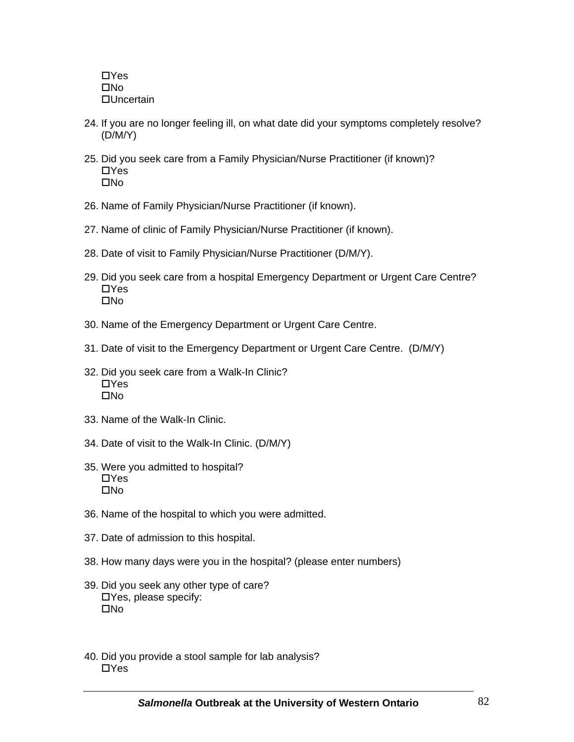$\Box$ Yes  $\square$ No **□Uncertain** 

- 24. If you are no longer feeling ill, on what date did your symptoms completely resolve? (D/M/Y)
- 25. Did you seek care from a Family Physician/Nurse Practitioner (if known)?  $\Box$ Yes  $\Box$ No
- 26. Name of Family Physician/Nurse Practitioner (if known).
- 27. Name of clinic of Family Physician/Nurse Practitioner (if known).
- 28. Date of visit to Family Physician/Nurse Practitioner (D/M/Y).
- 29. Did you seek care from a hospital Emergency Department or Urgent Care Centre? **□Yes**  $\Box$ No
- 30. Name of the Emergency Department or Urgent Care Centre.
- 31. Date of visit to the Emergency Department or Urgent Care Centre. (D/M/Y)
- 32. Did you seek care from a Walk-In Clinic?  $\Box$ Yes  $\Box$ No
- 33. Name of the Walk-In Clinic.
- 34. Date of visit to the Walk-In Clinic. (D/M/Y)
- 35. Were you admitted to hospital?  $\Box$ Yes  $\Box$ No
- 36. Name of the hospital to which you were admitted.
- 37. Date of admission to this hospital.
- 38. How many days were you in the hospital? (please enter numbers)
- 39. Did you seek any other type of care? Yes, please specify:  $\Box$ No
- 40. Did you provide a stool sample for lab analysis?  $\Box$ Yes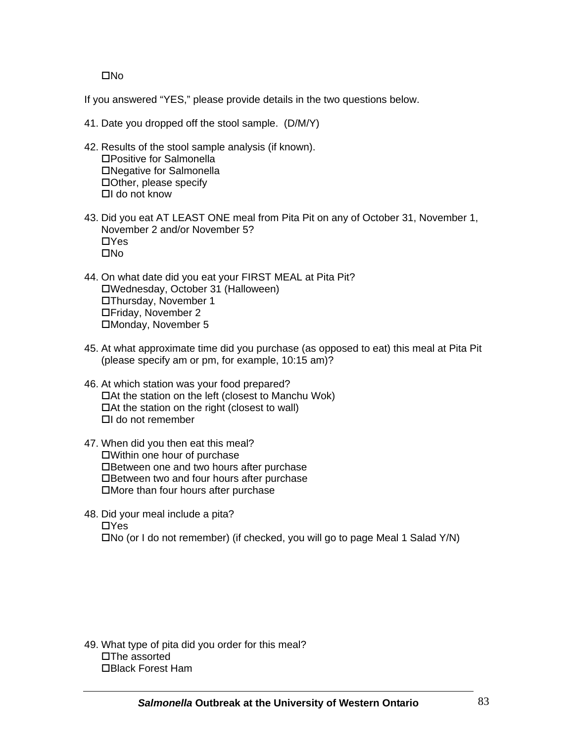$\square$ No

If you answered "YES," please provide details in the two questions below.

- 41. Date you dropped off the stool sample. (D/M/Y)
- 42. Results of the stool sample analysis (if known). Positive for Salmonella Negative for Salmonella Other, please specify  $\Box$ I do not know
- 43. Did you eat AT LEAST ONE meal from Pita Pit on any of October 31, November 1, November 2 and/or November 5?  $\Box$ Yes  $\square$ No
- 44. On what date did you eat your FIRST MEAL at Pita Pit? Wednesday, October 31 (Halloween) Thursday, November 1 Friday, November 2 Monday, November 5
- 45. At what approximate time did you purchase (as opposed to eat) this meal at Pita Pit (please specify am or pm, for example, 10:15 am)?
- 46. At which station was your food prepared? At the station on the left (closest to Manchu Wok)  $\Box$  At the station on the right (closest to wall)  $\Box$ I do not remember
- 47. When did you then eat this meal? Within one hour of purchase Between one and two hours after purchase Between two and four hours after purchase More than four hours after purchase
- 48. Did your meal include a pita? **□Yes** No (or I do not remember) (if checked, you will go to page Meal 1 Salad Y/N)

49. What type of pita did you order for this meal? The assorted Black Forest Ham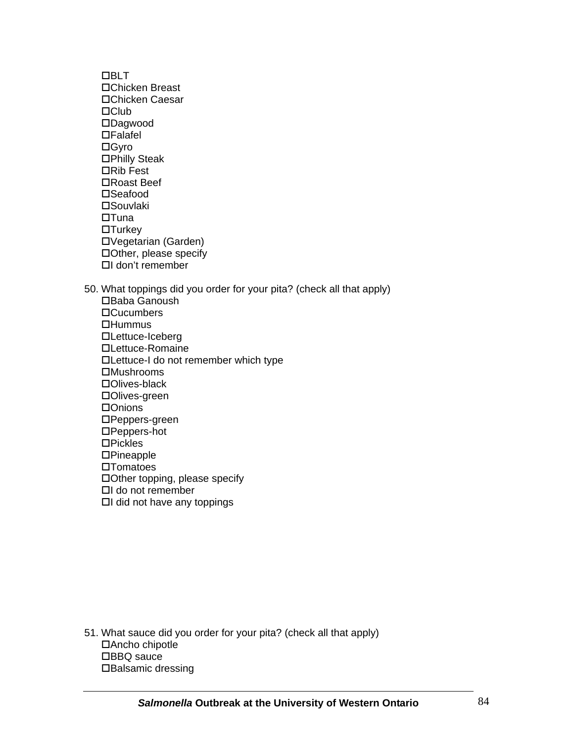**DBLT** Chicken Breast Chicken Caesar  $\Box$ Club Dagwood  $\Box$ Falafel □ Gyro Philly Steak **□Rib Fest** Roast Beef □Seafood **□Souvlaki**  $\Box$ Tuna  $\Box$ Turkey Vegetarian (Garden) Other, please specify I don't remember

50. What toppings did you order for your pita? (check all that apply) Baba Ganoush □Cucumbers  $\Box$ Hummus Lettuce-Iceberg Lettuce-Romaine Lettuce-I do not remember which type Mushrooms Olives-black **□Olives-green** □Onions Peppers-green Peppers-hot  $DP$ ickles □Pineapple  $\square$ Tomatoes Other topping, please specify I do not remember  $\Box$ I did not have any toppings

51. What sauce did you order for your pita? (check all that apply) Ancho chipotle □BBQ sauce □Balsamic dressing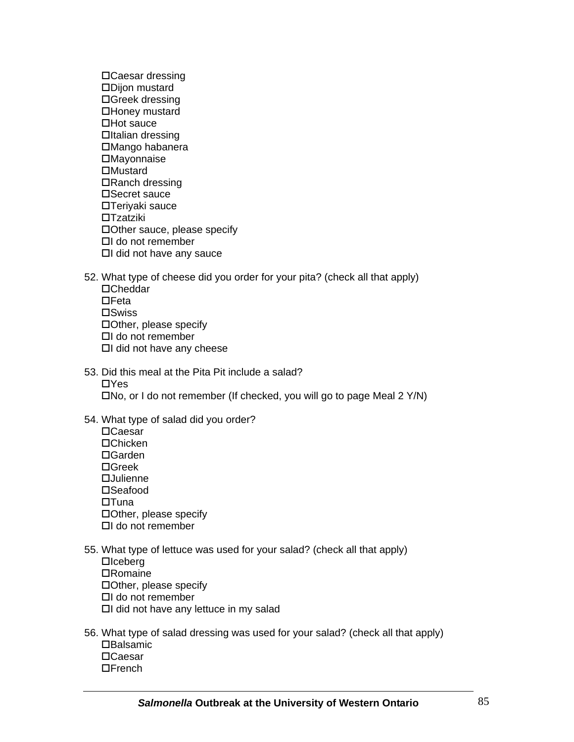Caesar dressing Dijon mustard Greek dressing Honey mustard  $\Box$ Hot sauce  $D$ Italian dressing Mango habanera **□Mayonnaise □Mustard** □Ranch dressing □Secret sauce Teriyaki sauce **□Tzatziki** Other sauce, please specify  $\Box$ I do not remember  $\Box$ I did not have any sauce

52. What type of cheese did you order for your pita? (check all that apply) Cheddar  $nFeta$  $\square$ Swiss Other, please specify  $\Box$ I do not remember  $\Box$ I did not have any cheese

- 53. Did this meal at the Pita Pit include a salad?  $\Box$ Yes No, or I do not remember (If checked, you will go to page Meal 2 Y/N)
- 54. What type of salad did you order? □Caesar □Chicken Garden Greek **□Julienne** □Seafood  $\Box$ Tuna Other, please specify  $\Box$ I do not remember
- 55. What type of lettuce was used for your salad? (check all that apply)  $\Box$ Iceberg **□Romaine** Other, please specify  $\Box$ I do not remember  $\Box$ I did not have any lettuce in my salad
- 56. What type of salad dressing was used for your salad? (check all that apply) **□Balsamic** Caesar  $\Box$ French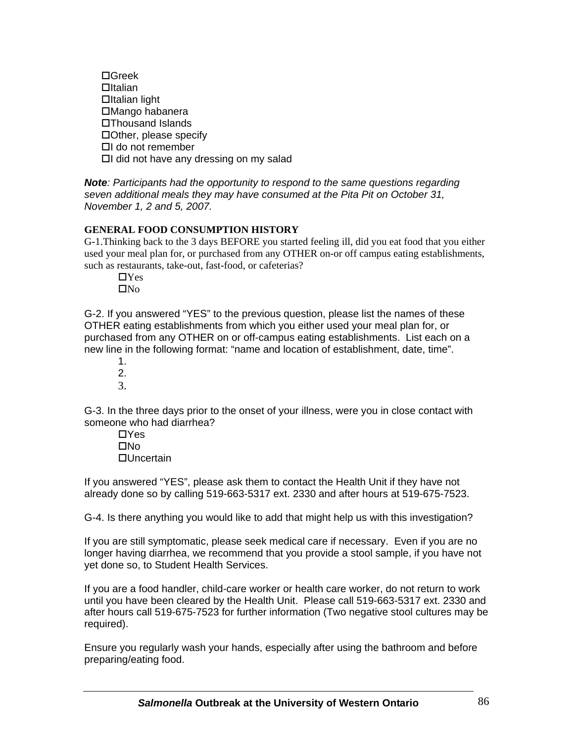Greek  $n$ Italian  $a$ Italian light Mango habanera Thousand Islands Other, please specify  $\Box$ I do not remember  $\Box$ I did not have any dressing on my salad

*Note: Participants had the opportunity to respond to the same questions regarding seven additional meals they may have consumed at the Pita Pit on October 31, November 1, 2 and 5, 2007.*

## **GENERAL FOOD CONSUMPTION HISTORY**

G-1.Thinking back to the 3 days BEFORE you started feeling ill, did you eat food that you either used your meal plan for, or purchased from any OTHER on-or off campus eating establishments, such as restaurants, take-out, fast-food, or cafeterias?

 $\Box$ Yes  $\Box$ No

G-2. If you answered "YES" to the previous question, please list the names of these OTHER eating establishments from which you either used your meal plan for, or purchased from any OTHER on or off-campus eating establishments. List each on a new line in the following format: "name and location of establishment, date, time".

1. 2. 3.

G-3. In the three days prior to the onset of your illness, were you in close contact with someone who had diarrhea?

> $\Box$ Yes  $\Box$ No Uncertain

If you answered "YES", please ask them to contact the Health Unit if they have not already done so by calling 519-663-5317 ext. 2330 and after hours at 519-675-7523.

G-4. Is there anything you would like to add that might help us with this investigation?

If you are still symptomatic, please seek medical care if necessary. Even if you are no longer having diarrhea, we recommend that you provide a stool sample, if you have not yet done so, to Student Health Services.

If you are a food handler, child-care worker or health care worker, do not return to work until you have been cleared by the Health Unit. Please call 519-663-5317 ext. 2330 and after hours call 519-675-7523 for further information (Two negative stool cultures may be required).

Ensure you regularly wash your hands, especially after using the bathroom and before preparing/eating food.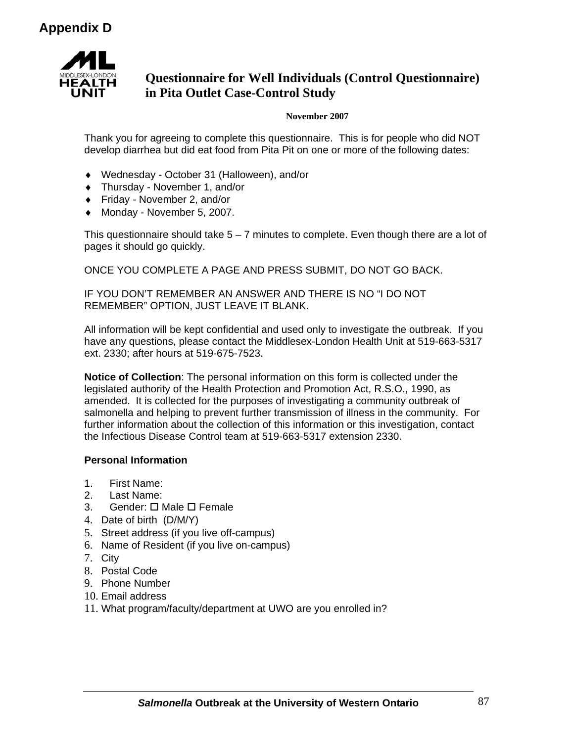

# **Questionnaire for Well Individuals (Control Questionnaire) in Pita Outlet Case-Control Study**

#### **November 2007**

Thank you for agreeing to complete this questionnaire. This is for people who did NOT develop diarrhea but did eat food from Pita Pit on one or more of the following dates:

- ♦ Wednesday October 31 (Halloween), and/or
- ♦ Thursday November 1, and/or
- ♦ Friday November 2, and/or
- ♦ Monday November 5, 2007.

This questionnaire should take  $5 - 7$  minutes to complete. Even though there are a lot of pages it should go quickly.

ONCE YOU COMPLETE A PAGE AND PRESS SUBMIT, DO NOT GO BACK.

IF YOU DON'T REMEMBER AN ANSWER AND THERE IS NO "I DO NOT REMEMBER" OPTION, JUST LEAVE IT BLANK.

All information will be kept confidential and used only to investigate the outbreak. If you have any questions, please contact the Middlesex-London Health Unit at 519-663-5317 ext. 2330; after hours at 519-675-7523.

**Notice of Collection**: The personal information on this form is collected under the legislated authority of the Health Protection and Promotion Act, R.S.O., 1990, as amended. It is collected for the purposes of investigating a community outbreak of salmonella and helping to prevent further transmission of illness in the community. For further information about the collection of this information or this investigation, contact the Infectious Disease Control team at 519-663-5317 extension 2330.

## **Personal Information**

- 1. First Name:
- 2. Last Name:
- 3. Gender: **O** Male **O** Female
- 4. Date of birth (D/M/Y)
- 5. Street address (if you live off-campus)
- 6. Name of Resident (if you live on-campus)
- 7. City
- 8. Postal Code
- 9. Phone Number
- 10. Email address
- 11. What program/faculty/department at UWO are you enrolled in?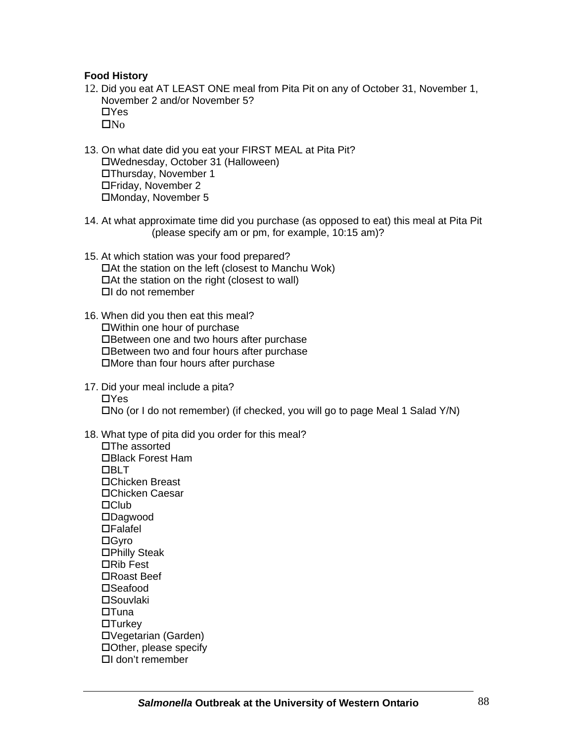## **Food History**

- 12. Did you eat AT LEAST ONE meal from Pita Pit on any of October 31, November 1, November 2 and/or November 5?  $\Box$ Yes  $\square$ No
- 13. On what date did you eat your FIRST MEAL at Pita Pit? Wednesday, October 31 (Halloween) Thursday, November 1 Friday, November 2 Monday, November 5
- 14. At what approximate time did you purchase (as opposed to eat) this meal at Pita Pit (please specify am or pm, for example, 10:15 am)?
- 15. At which station was your food prepared?  $\Box$  At the station on the left (closest to Manchu Wok)  $\Box$  At the station on the right (closest to wall)  $\Box$ I do not remember
- 16. When did you then eat this meal? Within one hour of purchase Between one and two hours after purchase Between two and four hours after purchase More than four hours after purchase
- 17. Did your meal include a pita?  $\Box$ Yes No (or I do not remember) (if checked, you will go to page Meal 1 Salad Y/N)
- 18. What type of pita did you order for this meal?

 $\square$ The assorted Black Forest Ham **DBLT** Chicken Breast Chicken Caesar  $\Box$ Club Dagwood Falafel **□Gyro □Philly Steak □Rib Fest** Roast Beef □Seafood **MSouvlaki**  $\Box$ Tuna  $\Box$ Turkey Vegetarian (Garden) Other, please specify I don't remember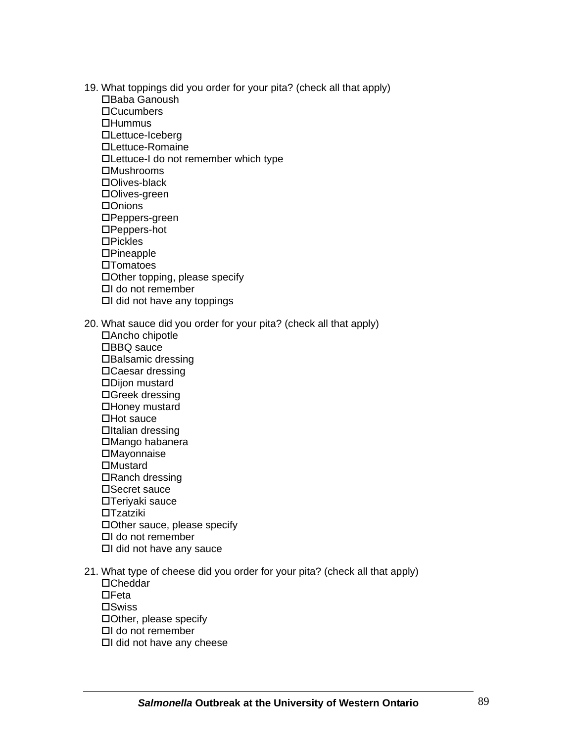- 19. What toppings did you order for your pita? (check all that apply)
	- Baba Ganoush □Cucumbers
	- $\Box$ Hummus
	- Lettuce-Iceberg
	- Lettuce-Romaine
	- Lettuce-I do not remember which type
	- **□Mushrooms**
	- Olives-black
	- Olives-green
	- □Onions
	- Peppers-green
	- Peppers-hot
	- $DP$ ickles
	- **□Pineapple**
	- $\square$ Tomatoes
	- Other topping, please specify
	- $\Box$ I do not remember
	- $\Box$ I did not have any toppings
- 20. What sauce did you order for your pita? (check all that apply)
	- Ancho chipotle □BBQ sauce □Balsamic dressing Caesar dressing Dijon mustard Greek dressing Honey mustard  $\Box$ Hot sauce  $a$ Italian dressing Mango habanera **□Mayonnaise □Mustard** □Ranch dressing □Secret sauce Teriyaki sauce **□Tzatziki** Other sauce, please specify  $\Box$ I do not remember  $\Box$ I did not have any sauce
- 21. What type of cheese did you order for your pita? (check all that apply)
	- Cheddar
	- $\Box$ Feta
	- **□Swiss**
	- Other, please specify
	- $\Box$ I do not remember
	- $\Box$ I did not have any cheese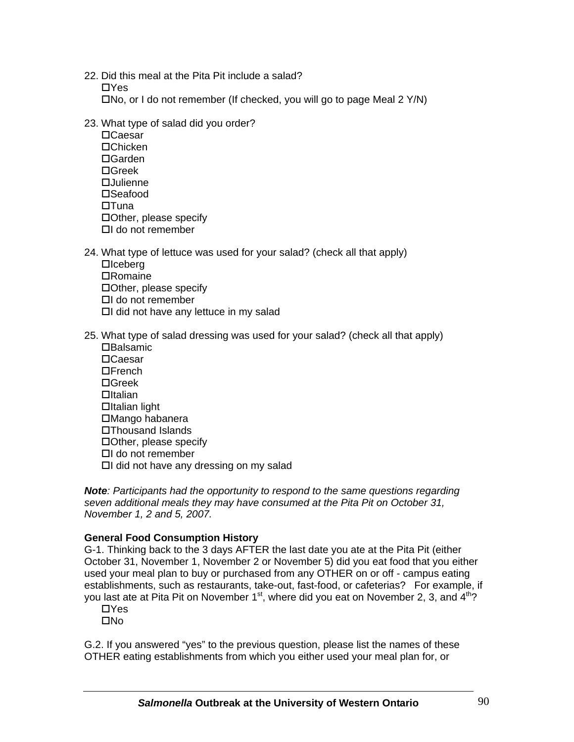22. Did this meal at the Pita Pit include a salad?  $\Box$ Yes  $\square$ No, or I do not remember (If checked, you will go to page Meal 2 Y/N)

- 23. What type of salad did you order?
	- Caesar Chicken Garden Greek Julienne  $\square$ Seafood  $\Pi$ Tuna Other, please specify  $\Box$ I do not remember
- 24. What type of lettuce was used for your salad? (check all that apply)  $\Box$ Iceberg **□Romaine** Other, please specify  $\Box$ I do not remember  $\Box$ I did not have any lettuce in my salad
- 25. What type of salad dressing was used for your salad? (check all that apply)  $\Box$ Balsamic □Caesar  $\Box$ French Greek  $a$ Italian  $\Box$ Italian light Mango habanera Thousand Islands Other, please specify  $\Box$ I do not remember  $\Box$ I did not have any dressing on my salad

*Note: Participants had the opportunity to respond to the same questions regarding seven additional meals they may have consumed at the Pita Pit on October 31, November 1, 2 and 5, 2007.*

## **General Food Consumption History**

G-1. Thinking back to the 3 days AFTER the last date you ate at the Pita Pit (either October 31, November 1, November 2 or November 5) did you eat food that you either used your meal plan to buy or purchased from any OTHER on or off - campus eating establishments, such as restaurants, take-out, fast-food, or cafeterias? For example, if you last ate at Pita Pit on November  $1<sup>st</sup>$ , where did you eat on November 2, 3, and  $4<sup>th</sup>$ ?

 $\Box$ Yes  $\Box$ No

G.2. If you answered "yes" to the previous question, please list the names of these OTHER eating establishments from which you either used your meal plan for, or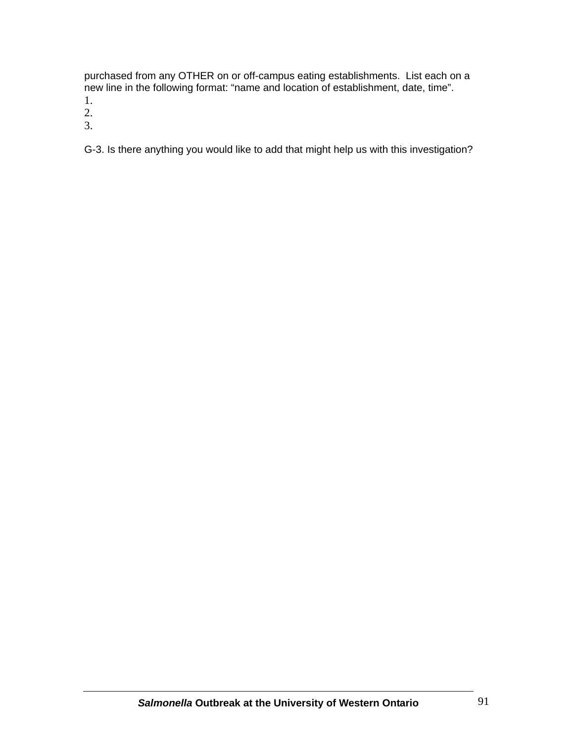purchased from any OTHER on or off-campus eating establishments. List each on a new line in the following format: "name and location of establishment, date, time".

1.

2.

3.

G-3. Is there anything you would like to add that might help us with this investigation?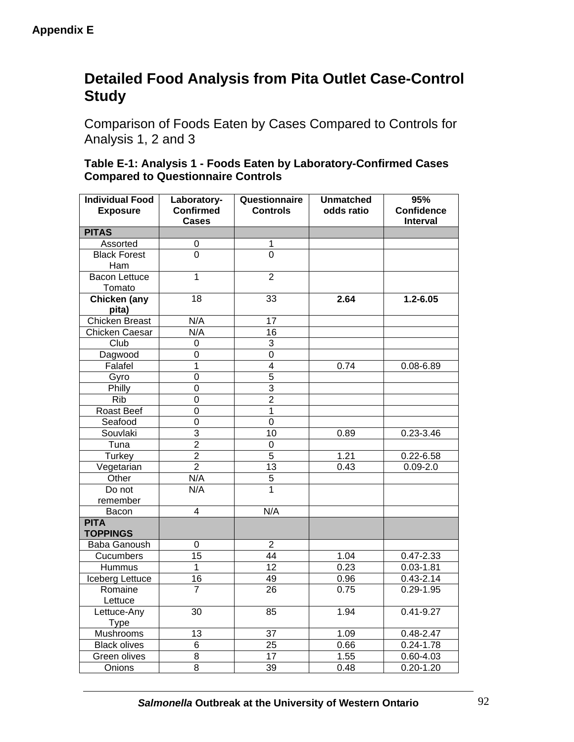# **Detailed Food Analysis from Pita Outlet Case-Control Study**

Comparison of Foods Eaten by Cases Compared to Controls for Analysis 1, 2 and 3

| Table E-1: Analysis 1 - Foods Eaten by Laboratory-Confirmed Cases |
|-------------------------------------------------------------------|
| <b>Compared to Questionnaire Controls</b>                         |

| <b>Individual Food</b><br><b>Exposure</b> | Laboratory-<br><b>Confirmed</b> | Questionnaire<br><b>Controls</b> | <b>Unmatched</b><br>odds ratio | 95%<br><b>Confidence</b> |
|-------------------------------------------|---------------------------------|----------------------------------|--------------------------------|--------------------------|
|                                           | <b>Cases</b>                    |                                  |                                | <b>Interval</b>          |
| <b>PITAS</b>                              |                                 |                                  |                                |                          |
| Assorted                                  | 0                               | 1                                |                                |                          |
| <b>Black Forest</b><br>Ham                | $\overline{0}$                  | $\overline{0}$                   |                                |                          |
| Bacon Lettuce<br>Tomato                   | $\overline{1}$                  | $\overline{2}$                   |                                |                          |
| <b>Chicken</b> (any<br>pita)              | 18                              | 33                               | 2.64                           | $1.2 - 6.05$             |
| <b>Chicken Breast</b>                     | N/A                             | 17                               |                                |                          |
| Chicken Caesar                            | N/A                             | 16                               |                                |                          |
| Club                                      | 0                               | 3                                |                                |                          |
| Dagwood                                   | 0                               | 0                                |                                |                          |
| Falafel                                   | $\overline{1}$                  | $\overline{4}$                   | 0.74                           | 0.08-6.89                |
| Gyro                                      | $\mathsf 0$                     | $\overline{5}$                   |                                |                          |
| Philly                                    | 0                               | $\overline{3}$                   |                                |                          |
| <b>Rib</b>                                | 0                               | $\overline{2}$                   |                                |                          |
| Roast Beef                                | $\overline{0}$                  | $\mathbf 1$                      |                                |                          |
| Seafood                                   | $\overline{0}$                  | $\overline{0}$                   |                                |                          |
| Souvlaki                                  | $\overline{3}$                  | 10                               | 0.89                           | 0.23-3.46                |
| Tuna                                      | $\overline{2}$                  | 0                                |                                |                          |
| Turkey                                    | $\overline{2}$                  | $\overline{5}$                   | 1.21                           | $0.22 - 6.58$            |
| Vegetarian                                | $\overline{2}$                  | $\overline{13}$                  | 0.43                           | $0.09 - 2.0$             |
| Other                                     | N/A                             | 5                                |                                |                          |
| Do not<br>remember                        | N/A                             | $\overline{1}$                   |                                |                          |
| Bacon                                     | $\overline{4}$                  | N/A                              |                                |                          |
| <b>PITA</b><br><b>TOPPINGS</b>            |                                 |                                  |                                |                          |
| Baba Ganoush                              | $\mathbf 0$                     | $\overline{2}$                   |                                |                          |
| Cucumbers                                 | 15                              | 44                               | 1.04                           | $0.47 - 2.33$            |
| Hummus                                    | $\mathbf{1}$                    | 12                               | 0.23                           | $0.03 - 1.81$            |
| Iceberg Lettuce                           | 16                              | 49                               | 0.96                           | $0.43 - 2.14$            |
| Romaine<br>Lettuce                        | $\overline{7}$                  | 26                               | 0.75                           | $0.29 - 1.95$            |
| Lettuce-Any<br><b>Type</b>                | 30                              | 85                               | 1.94                           | $0.41 - 9.27$            |
| Mushrooms                                 | 13                              | 37                               | 1.09                           | $0.48 - 2.47$            |
| <b>Black olives</b>                       | 6                               | 25                               | 0.66                           | $0.24 - 1.78$            |
| Green olives                              | $\overline{8}$                  | 17                               | 1.55                           | 0.60-4.03                |
| Onions                                    | $\overline{8}$                  | 39                               | 0.48                           | $0.20 - 1.20$            |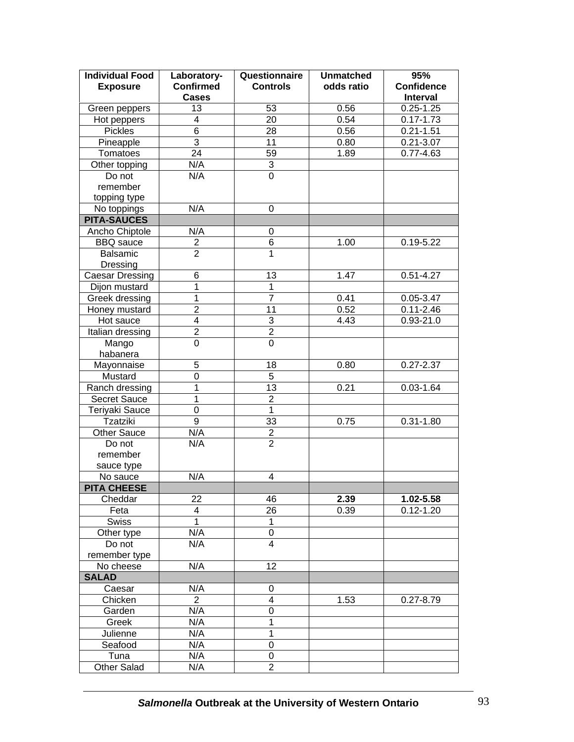| <b>Individual Food</b><br><b>Exposure</b> | Laboratory-<br><b>Confirmed</b> | Questionnaire<br><b>Controls</b> | <b>Unmatched</b><br>odds ratio | 95%<br><b>Confidence</b> |
|-------------------------------------------|---------------------------------|----------------------------------|--------------------------------|--------------------------|
|                                           | <b>Cases</b>                    |                                  |                                | <b>Interval</b>          |
| Green peppers                             | 13                              | 53                               | 0.56                           | $0.25 - 1.25$            |
| Hot peppers                               | 4                               | $\overline{20}$                  | 0.54                           | $0.17 - 1.73$            |
| Pickles                                   | $\overline{6}$                  | 28                               | 0.56                           | $0.21 - 1.51$            |
| Pineapple                                 | $\overline{3}$                  | 11                               | 0.80                           | $0.21 - 3.07$            |
| Tomatoes                                  | $\overline{24}$                 | 59                               | 1.89                           | $0.77 - 4.63$            |
| Other topping                             | N/A                             | $\overline{3}$                   |                                |                          |
| Do not                                    | N/A                             | $\overline{0}$                   |                                |                          |
| remember                                  |                                 |                                  |                                |                          |
| topping type                              |                                 |                                  |                                |                          |
| No toppings                               | N/A                             | 0                                |                                |                          |
| <b>PITA-SAUCES</b>                        |                                 |                                  |                                |                          |
| Ancho Chiptole                            | N/A                             | 0                                |                                |                          |
| <b>BBQ</b> sauce                          | $\overline{2}$                  | $\,6$                            | 1.00                           | $0.19 - 5.22$            |
| Balsamic                                  | $\overline{2}$                  | 1                                |                                |                          |
| Dressing                                  |                                 |                                  |                                |                          |
| <b>Caesar Dressing</b>                    | 6                               | 13                               | 1.47                           | $0.51 - 4.27$            |
| Dijon mustard                             | 1                               | 1                                |                                |                          |
| Greek dressing                            | 1                               | $\overline{7}$                   | 0.41                           | $0.05 - 3.47$            |
| Honey mustard                             | $\overline{2}$                  | $\overline{11}$                  | 0.52                           | $0.11 - 2.46$            |
| Hot sauce                                 | 4                               | 3                                | 4.43                           | $0.93 - 21.0$            |
| Italian dressing                          | $\overline{2}$                  | $\overline{2}$                   |                                |                          |
| Mango                                     | $\overline{0}$                  | $\overline{0}$                   |                                |                          |
| habanera                                  |                                 |                                  |                                |                          |
| Mayonnaise                                | 5                               | 18                               | 0.80                           | $0.27 - 2.37$            |
| Mustard                                   | 0                               | $\overline{5}$                   |                                |                          |
| Ranch dressing                            | 1                               | 13                               | 0.21                           | $0.03 - 1.64$            |
| <b>Secret Sauce</b>                       | $\mathbf{1}$                    | $\overline{2}$                   |                                |                          |
| Teriyaki Sauce                            | 0                               | $\overline{1}$                   |                                |                          |
| Tzatziki                                  | $\overline{9}$                  | 33                               | 0.75                           | $0.31 - 1.80$            |
| <b>Other Sauce</b>                        | N/A                             | $\overline{2}$                   |                                |                          |
| Do not                                    | N/A                             | $\overline{2}$                   |                                |                          |
| remember                                  |                                 |                                  |                                |                          |
| sauce type                                |                                 |                                  |                                |                          |
| No sauce                                  | N/A                             | $\overline{4}$                   |                                |                          |
| <b>PITA CHEESE</b>                        |                                 |                                  |                                |                          |
| Cheddar                                   | 22                              | 46                               | 2.39                           | 1.02-5.58                |
| Feta                                      | 4                               | 26                               | 0.39                           | $0.12 - 1.20$            |
| Swiss                                     | $\overline{1}$                  | 1                                |                                |                          |
| Other type                                | N/A                             | $\pmb{0}$                        |                                |                          |
| Do not                                    | N/A                             | $\overline{4}$                   |                                |                          |
| remember type                             |                                 |                                  |                                |                          |
| No cheese                                 | N/A                             | 12                               |                                |                          |
| <b>SALAD</b>                              |                                 |                                  |                                |                          |
| Caesar                                    | N/A                             | 0                                |                                |                          |
| Chicken                                   | $\overline{2}$                  | 4                                | 1.53                           | $0.27 - 8.79$            |
| Garden                                    | N/A                             | $\pmb{0}$                        |                                |                          |
| Greek                                     | N/A                             | $\mathbf{1}$                     |                                |                          |
| Julienne                                  | N/A                             | $\mathbf{1}$                     |                                |                          |
| Seafood                                   | N/A                             | $\boldsymbol{0}$                 |                                |                          |
| Tuna                                      | N/A                             | 0                                |                                |                          |
| <b>Other Salad</b>                        | N/A                             | $\overline{2}$                   |                                |                          |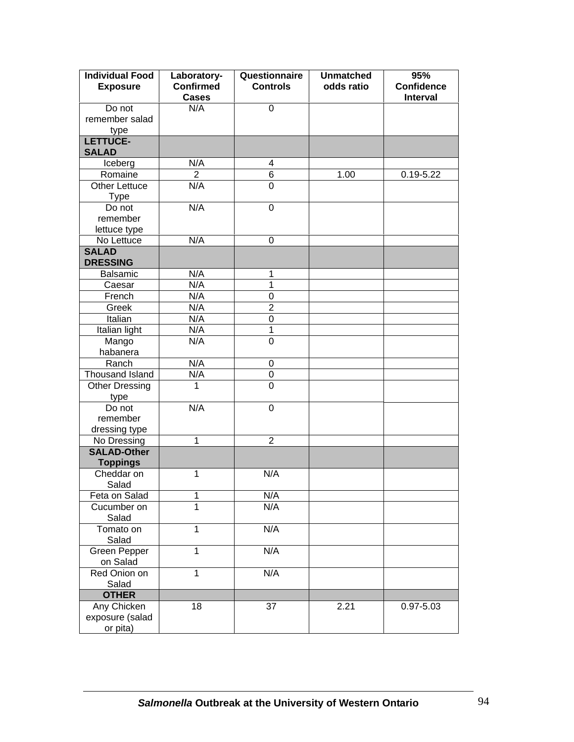| <b>Individual Food</b><br><b>Exposure</b> | Laboratory-<br><b>Confirmed</b><br><b>Cases</b> | Questionnaire<br><b>Controls</b> | <b>Unmatched</b><br>odds ratio | 95%<br><b>Confidence</b><br><b>Interval</b> |
|-------------------------------------------|-------------------------------------------------|----------------------------------|--------------------------------|---------------------------------------------|
| Do not<br>remember salad<br>type          | N/A                                             | 0                                |                                |                                             |
| LETTUCE-<br><b>SALAD</b>                  |                                                 |                                  |                                |                                             |
| Iceberg                                   | N/A                                             | 4                                |                                |                                             |
| Romaine                                   | $\overline{2}$                                  | 6                                | 1.00                           | $0.19 - 5.22$                               |
| <b>Other Lettuce</b><br>Type              | N/A                                             | 0                                |                                |                                             |
| Do not                                    | N/A                                             | $\mathbf 0$                      |                                |                                             |
| remember                                  |                                                 |                                  |                                |                                             |
| lettuce type                              |                                                 |                                  |                                |                                             |
| No Lettuce                                | N/A                                             | $\mathbf 0$                      |                                |                                             |
| <b>SALAD</b>                              |                                                 |                                  |                                |                                             |
| <b>DRESSING</b>                           |                                                 |                                  |                                |                                             |
| Balsamic                                  | N/A                                             | 1                                |                                |                                             |
| Caesar                                    | N/A                                             | 1                                |                                |                                             |
| French                                    | N/A                                             | $\boldsymbol{0}$                 |                                |                                             |
| Greek                                     | N/A                                             | $\overline{2}$                   |                                |                                             |
| Italian                                   | N/A                                             | $\boldsymbol{0}$                 |                                |                                             |
| Italian light                             | N/A                                             | $\mathbf{1}$                     |                                |                                             |
| Mango                                     | N/A                                             | $\mathbf 0$                      |                                |                                             |
| habanera                                  |                                                 |                                  |                                |                                             |
| Ranch                                     | N/A                                             | 0                                |                                |                                             |
| Thousand Island                           | N/A                                             | 0                                |                                |                                             |
| <b>Other Dressing</b>                     | 1                                               | $\overline{0}$                   |                                |                                             |
| type                                      |                                                 |                                  |                                |                                             |
| Do not                                    | N/A                                             | $\mathbf 0$                      |                                |                                             |
| remember                                  |                                                 |                                  |                                |                                             |
| dressing type                             |                                                 |                                  |                                |                                             |
| No Dressing                               | $\overline{1}$                                  | $\overline{2}$                   |                                |                                             |
| <b>SALAD-Other</b>                        |                                                 |                                  |                                |                                             |
| <b>Toppings</b>                           |                                                 |                                  |                                |                                             |
| Cheddar on<br>Salad                       | 1                                               | N/A                              |                                |                                             |
| Feta on Salad                             | 1                                               | N/A                              |                                |                                             |
| Cucumber on<br>Salad                      | 1                                               | N/A                              |                                |                                             |
| Tomato on                                 | 1                                               | N/A                              |                                |                                             |
| Salad                                     |                                                 |                                  |                                |                                             |
| <b>Green Pepper</b>                       | $\mathbf 1$                                     | N/A                              |                                |                                             |
| on Salad                                  |                                                 |                                  |                                |                                             |
| Red Onion on                              | $\mathbf{1}$                                    | N/A                              |                                |                                             |
| Salad                                     |                                                 |                                  |                                |                                             |
| <b>OTHER</b>                              |                                                 |                                  |                                |                                             |
| Any Chicken                               | 18                                              | 37                               | 2.21                           | 0.97-5.03                                   |
| exposure (salad                           |                                                 |                                  |                                |                                             |
| or pita)                                  |                                                 |                                  |                                |                                             |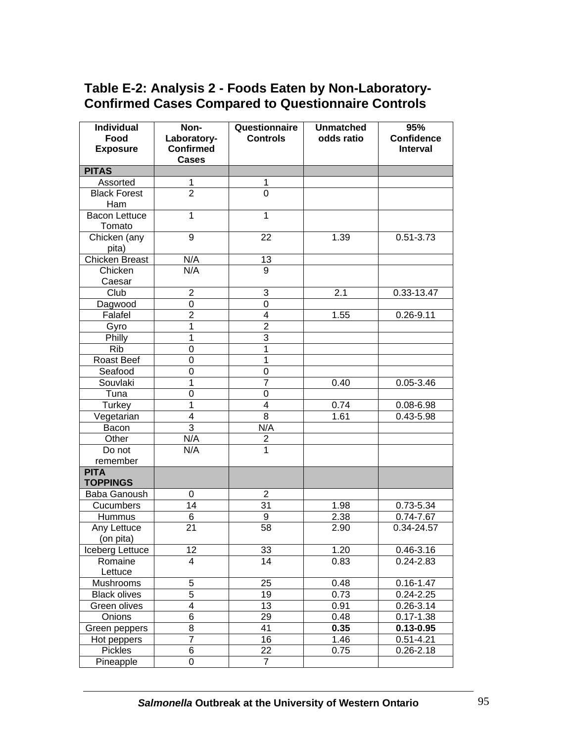# **Table E-2: Analysis 2 - Foods Eaten by Non-Laboratory-Confirmed Cases Compared to Questionnaire Controls**

| <b>Individual</b><br>Food | Non-<br>Laboratory-              | Questionnaire<br><b>Controls</b> | <b>Unmatched</b><br>odds ratio | 95%<br><b>Confidence</b>   |
|---------------------------|----------------------------------|----------------------------------|--------------------------------|----------------------------|
| <b>Exposure</b>           | <b>Confirmed</b><br><b>Cases</b> |                                  |                                | <b>Interval</b>            |
| <b>PITAS</b>              |                                  |                                  |                                |                            |
| Assorted                  | 1                                | 1                                |                                |                            |
| <b>Black Forest</b>       | $\overline{2}$                   | $\overline{0}$                   |                                |                            |
| Ham                       |                                  |                                  |                                |                            |
| <b>Bacon Lettuce</b>      | $\mathbf 1$                      | 1                                |                                |                            |
| Tomato                    |                                  |                                  |                                |                            |
| Chicken (any              | 9                                | 22                               | 1.39                           | $0.51 - 3.73$              |
| pita)                     |                                  |                                  |                                |                            |
| <b>Chicken Breast</b>     | N/A                              | 13                               |                                |                            |
| Chicken                   | N/A                              | $\overline{9}$                   |                                |                            |
| Caesar                    |                                  |                                  |                                |                            |
| Club                      | $\overline{2}$                   | 3                                | 2.1                            | 0.33-13.47                 |
| Dagwood                   | 0                                | 0                                |                                |                            |
| Falafel                   | $\overline{2}$                   | 4                                | 1.55                           | $0.26 - 9.11$              |
| Gyro                      | 1                                | $\overline{2}$                   |                                |                            |
| Philly                    | 1                                | 3                                |                                |                            |
| <b>Rib</b>                | 0                                | 1                                |                                |                            |
| Roast Beef                | 0                                | 1                                |                                |                            |
| Seafood                   | 0                                | 0<br>$\overline{7}$              |                                |                            |
| Souvlaki                  | 1                                |                                  | 0.40                           | $0.05 - 3.46$              |
| Tuna                      | 0<br>1                           | 0<br>$\overline{\mathbf{4}}$     |                                |                            |
| Turkey                    | 4                                | 8                                | 0.74<br>1.61                   | $0.08 - 6.98$<br>0.43-5.98 |
| Vegetarian<br>Bacon       | $\overline{3}$                   | N/A                              |                                |                            |
| Other                     | N/A                              | $\overline{\mathbf{c}}$          |                                |                            |
| Do not                    | N/A                              | $\overline{1}$                   |                                |                            |
| remember                  |                                  |                                  |                                |                            |
| <b>PITA</b>               |                                  |                                  |                                |                            |
| <b>TOPPINGS</b>           |                                  |                                  |                                |                            |
| Baba Ganoush              | 0                                | $\overline{c}$                   |                                |                            |
| Cucumbers                 | 14                               | 31                               | 1.98                           | 0.73-5.34                  |
| Hummus                    | 6                                | $\boldsymbol{9}$                 | 2.38                           | $0.74 - 7.67$              |
| Any Lettuce               | 21                               | 58                               | 2.90                           | 0.34-24.57                 |
| (on pita)                 |                                  |                                  |                                |                            |
| Iceberg Lettuce           | 12                               | 33                               | 1.20                           | 0.46-3.16                  |
| Romaine                   | 4                                | 14                               | 0.83                           | $0.24 - 2.83$              |
| Lettuce                   |                                  |                                  |                                |                            |
| Mushrooms                 | 5                                | 25                               | 0.48                           | $0.16 - 1.47$              |
| <b>Black olives</b>       | $\overline{5}$                   | 19                               | 0.73                           | $0.24 - 2.25$              |
| Green olives              | 4                                | 13                               | 0.91                           | $0.26 - 3.14$              |
| Onions                    | 6                                | 29                               | 0.48                           | $0.17 - 1.38$              |
| Green peppers             | 8                                | 41                               | 0.35                           | $0.13 - 0.95$              |
| Hot peppers               | $\overline{7}$                   | 16                               | 1.46                           | $0.51 - 4.21$              |
| Pickles                   | 6                                | 22                               | 0.75                           | $0.26 - 2.18$              |
| Pineapple                 | 0                                | $\overline{7}$                   |                                |                            |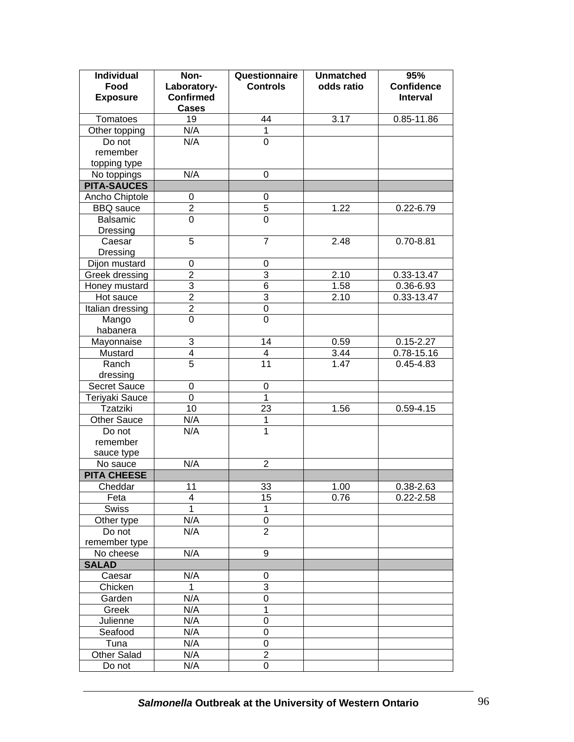| <b>Individual</b>         | Non-                               | Questionnaire   | <b>Unmatched</b> | 95%                                  |
|---------------------------|------------------------------------|-----------------|------------------|--------------------------------------|
| Food<br><b>Exposure</b>   | Laboratory-<br><b>Confirmed</b>    | <b>Controls</b> | odds ratio       | <b>Confidence</b><br><b>Interval</b> |
|                           | <b>Cases</b>                       |                 |                  |                                      |
| Tomatoes                  | 19                                 | 44              | 3.17             | 0.85-11.86                           |
| Other topping             | N/A                                | $\mathbf{1}$    |                  |                                      |
| Do not                    | N/A                                | 0               |                  |                                      |
| remember                  |                                    |                 |                  |                                      |
| topping type              |                                    |                 |                  |                                      |
| No toppings               | N/A                                | 0               |                  |                                      |
| <b>PITA-SAUCES</b>        |                                    |                 |                  |                                      |
| Ancho Chiptole            | $\mathbf 0$                        | $\pmb{0}$       |                  |                                      |
| <b>BBQ</b> sauce          | $\overline{2}$                     | $\overline{5}$  | 1.22             | $0.22 - 6.79$                        |
| Balsamic                  | $\mathbf 0$                        | 0               |                  |                                      |
| Dressing                  |                                    |                 |                  |                                      |
| Caesar                    | 5                                  | $\overline{7}$  | 2.48             | $0.70 - 8.81$                        |
| Dressing                  |                                    |                 |                  |                                      |
| Dijon mustard             | $\boldsymbol{0}$<br>$\overline{2}$ | 0<br>3          |                  |                                      |
| Greek dressing            | $\overline{3}$                     | $\overline{6}$  | 2.10             | 0.33-13.47                           |
| Honey mustard             | $\overline{2}$                     | $\overline{3}$  | 1.58             | 0.36-6.93                            |
| Hot sauce                 | $\overline{2}$                     | $\pmb{0}$       | 2.10             | 0.33-13.47                           |
| Italian dressing<br>Mango | $\overline{0}$                     | $\overline{0}$  |                  |                                      |
| habanera                  |                                    |                 |                  |                                      |
| Mayonnaise                | 3                                  | 14              | 0.59             | $0.15 - 2.27$                        |
| Mustard                   | 4                                  | $\overline{4}$  | 3.44             | 0.78-15.16                           |
| Ranch                     | $\overline{5}$                     | 11              | 1.47             | $0.45 - 4.83$                        |
| dressing                  |                                    |                 |                  |                                      |
| Secret Sauce              | $\boldsymbol{0}$                   | $\pmb{0}$       |                  |                                      |
| Teriyaki Sauce            | $\mathbf 0$                        | $\mathbf{1}$    |                  |                                      |
| <b>Tzatziki</b>           | 10                                 | 23              | 1.56             | $0.59 - 4.15$                        |
| <b>Other Sauce</b>        | N/A                                | $\mathbf{1}$    |                  |                                      |
| Do not                    | N/A                                | $\mathbf{1}$    |                  |                                      |
| remember                  |                                    |                 |                  |                                      |
| sauce type                |                                    |                 |                  |                                      |
| No sauce                  | N/A                                | 2               |                  |                                      |
| <b>PITA CHEESE</b>        |                                    |                 |                  |                                      |
| Cheddar                   | 11                                 | 33              | 1.00             | 0.38-2.63                            |
| Feta                      | 4                                  | 15              | 0.76             | $0.22 - 2.58$                        |
| Swiss                     | 1                                  | 1               |                  |                                      |
| Other type                | N/A                                | 0               |                  |                                      |
| Do not                    | N/A                                | $\overline{2}$  |                  |                                      |
| remember type             |                                    |                 |                  |                                      |
| No cheese                 | N/A                                | 9               |                  |                                      |
| <b>SALAD</b>              |                                    |                 |                  |                                      |
| Caesar                    | N/A                                | 0               |                  |                                      |
| Chicken                   | 1                                  | 3               |                  |                                      |
| Garden                    | N/A                                | 0               |                  |                                      |
| Greek                     | N/A                                | 1               |                  |                                      |
| Julienne                  | N/A                                | 0               |                  |                                      |
| Seafood                   | N/A                                | 0               |                  |                                      |
| Tuna                      | N/A                                | 0               |                  |                                      |
| <b>Other Salad</b>        | N/A                                | 2               |                  |                                      |
| Do not                    | N/A                                | 0               |                  |                                      |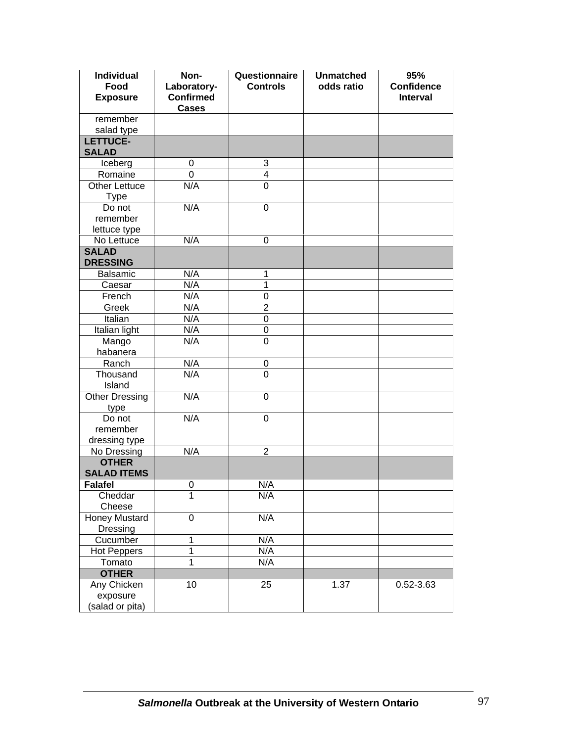| <b>Individual</b><br>Food<br><b>Exposure</b> | Non-<br>Laboratory-<br><b>Confirmed</b> | Questionnaire<br><b>Controls</b> | <b>Unmatched</b><br>odds ratio | 95%<br><b>Confidence</b><br><b>Interval</b> |
|----------------------------------------------|-----------------------------------------|----------------------------------|--------------------------------|---------------------------------------------|
|                                              | <b>Cases</b>                            |                                  |                                |                                             |
| remember                                     |                                         |                                  |                                |                                             |
| salad type                                   |                                         |                                  |                                |                                             |
| LETTUCE-                                     |                                         |                                  |                                |                                             |
| <b>SALAD</b>                                 |                                         |                                  |                                |                                             |
| Iceberg                                      | $\mathbf 0$                             | 3                                |                                |                                             |
| Romaine                                      | 0                                       | 4                                |                                |                                             |
| <b>Other Lettuce</b>                         | N/A                                     | $\overline{0}$                   |                                |                                             |
| <b>Type</b>                                  |                                         |                                  |                                |                                             |
| Do not                                       | N/A                                     | $\mathbf 0$                      |                                |                                             |
| remember                                     |                                         |                                  |                                |                                             |
| lettuce type                                 |                                         |                                  |                                |                                             |
| No Lettuce                                   | N/A                                     | $\mathbf 0$                      |                                |                                             |
| <b>SALAD</b>                                 |                                         |                                  |                                |                                             |
| <b>DRESSING</b>                              |                                         |                                  |                                |                                             |
| <b>Balsamic</b>                              | N/A                                     | 1                                |                                |                                             |
| Caesar                                       | N/A                                     | 1                                |                                |                                             |
| French                                       | N/A                                     | 0                                |                                |                                             |
| Greek                                        | N/A                                     | $\overline{2}$                   |                                |                                             |
| Italian                                      | N/A                                     | $\mathbf 0$                      |                                |                                             |
| Italian light                                | N/A                                     | $\pmb{0}$                        |                                |                                             |
| Mango                                        | N/A                                     | $\overline{0}$                   |                                |                                             |
| habanera                                     |                                         |                                  |                                |                                             |
| Ranch                                        | N/A<br>N/A                              | 0<br>$\overline{0}$              |                                |                                             |
| Thousand<br>Island                           |                                         |                                  |                                |                                             |
|                                              | N/A                                     |                                  |                                |                                             |
| <b>Other Dressing</b>                        |                                         | 0                                |                                |                                             |
| type<br>Do not                               | N/A                                     | 0                                |                                |                                             |
| remember                                     |                                         |                                  |                                |                                             |
| dressing type                                |                                         |                                  |                                |                                             |
| No Dressing                                  | N/A                                     | $\overline{2}$                   |                                |                                             |
| <b>OTHER</b>                                 |                                         |                                  |                                |                                             |
| <b>SALAD ITEMS</b>                           |                                         |                                  |                                |                                             |
| <b>Falafel</b>                               | 0                                       | N/A                              |                                |                                             |
| Cheddar                                      | 1                                       | N/A                              |                                |                                             |
| Cheese                                       |                                         |                                  |                                |                                             |
| <b>Honey Mustard</b>                         | $\overline{0}$                          | N/A                              |                                |                                             |
| Dressing                                     |                                         |                                  |                                |                                             |
| Cucumber                                     | $\mathbf 1$                             | N/A                              |                                |                                             |
| <b>Hot Peppers</b>                           | 1                                       | N/A                              |                                |                                             |
| Tomato                                       | $\mathbf 1$                             | N/A                              |                                |                                             |
| <b>OTHER</b>                                 |                                         |                                  |                                |                                             |
| Any Chicken                                  | 10                                      | 25                               | 1.37                           | 0.52-3.63                                   |
| exposure                                     |                                         |                                  |                                |                                             |
| (salad or pita)                              |                                         |                                  |                                |                                             |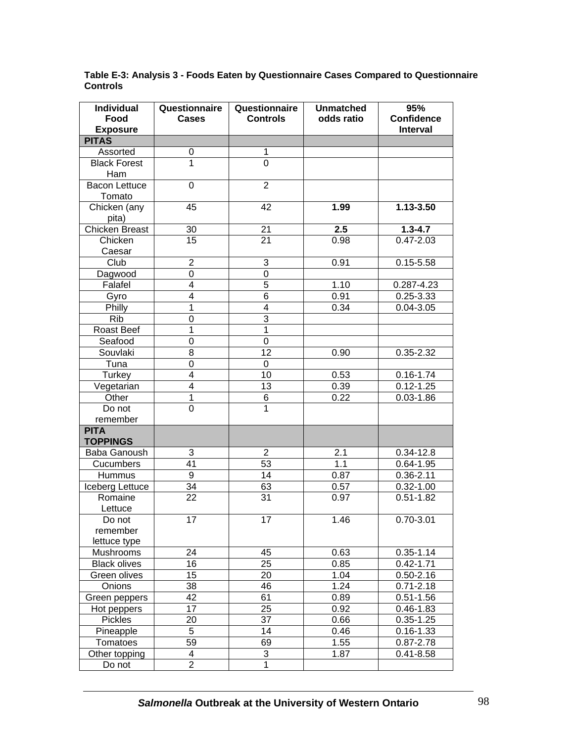| <b>Individual</b><br>Food      | Questionnaire<br><b>Cases</b> | Questionnaire<br><b>Controls</b> | <b>Unmatched</b><br>odds ratio | 95%<br><b>Confidence</b> |
|--------------------------------|-------------------------------|----------------------------------|--------------------------------|--------------------------|
| <b>Exposure</b>                |                               |                                  |                                | <b>Interval</b>          |
| <b>PITAS</b>                   |                               |                                  |                                |                          |
| Assorted                       | 0                             | 1                                |                                |                          |
| <b>Black Forest</b><br>Ham     | $\overline{1}$                | $\overline{0}$                   |                                |                          |
| <b>Bacon Lettuce</b><br>Tomato | $\mathbf 0$                   | $\overline{2}$                   |                                |                          |
| Chicken (any<br>pita)          | 45                            | 42                               | 1.99                           | 1.13-3.50                |
| <b>Chicken Breast</b>          | 30                            | 21                               | $\overline{2.5}$               | $1.3 - 4.7$              |
| Chicken                        | 15                            | 21                               | 0.98                           | $0.47 - 2.03$            |
| Caesar                         |                               |                                  |                                |                          |
| Club                           | $\overline{2}$                | 3                                | 0.91                           | $0.15 - 5.58$            |
| Dagwood                        | 0                             | $\mathbf 0$                      |                                |                          |
| Falafel                        | 4                             | $\overline{5}$                   | 1.10                           | 0.287-4.23               |
| Gyro                           | 4                             | $\overline{6}$                   | 0.91                           | $0.25 - 3.33$            |
| Philly                         | 1                             | $\overline{4}$                   | 0.34                           | $0.04 - 3.05$            |
| <b>Rib</b>                     | 0                             | $\overline{3}$                   |                                |                          |
| Roast Beef                     | 1                             | 1                                |                                |                          |
| Seafood                        | 0                             | $\mathbf 0$                      |                                |                          |
| Souvlaki                       | 8                             | 12                               | 0.90                           | 0.35-2.32                |
| Tuna                           | 0                             | $\mathbf 0$                      |                                |                          |
| Turkey                         | 4                             | 10                               | 0.53                           | $0.16 - 1.74$            |
| Vegetarian                     | 4                             | 13                               | 0.39                           | $0.12 - 1.25$            |
| Other                          | $\mathbf 1$                   | $\overline{6}$                   | 0.22                           | $0.03 - 1.86$            |
| Do not                         | $\overline{0}$                | 1                                |                                |                          |
| remember                       |                               |                                  |                                |                          |
| <b>PITA</b><br><b>TOPPINGS</b> |                               |                                  |                                |                          |
| Baba Ganoush                   | $\sqrt{3}$                    | $\overline{2}$                   | 2.1                            | $0.34 - 12.8$            |
| Cucumbers                      | 41                            | 53                               | 1.1                            | $0.64 - 1.95$            |
| Hummus                         | $\overline{9}$                | $\overline{14}$                  | 0.87                           | $0.36 - 2.11$            |
| Iceberg Lettuce                | $\overline{34}$               | 63                               | 0.57                           | $0.32 - 1.00$            |
| Romaine<br>Lettuce             | $\overline{22}$               | $\overline{31}$                  | 0.97                           | $0.51 - 1.82$            |
| Do not                         | 17                            | 17                               | 1.46                           | $0.70 - 3.01$            |
| remember                       |                               |                                  |                                |                          |
| lettuce type                   |                               |                                  |                                |                          |
| Mushrooms                      | 24                            | 45                               | 0.63                           | $0.35 - 1.14$            |
| <b>Black olives</b>            | 16                            | $\overline{25}$                  | 0.85                           | $0.42 - 1.71$            |
| Green olives                   | 15                            | 20                               | 1.04                           | $0.50 - 2.16$            |
| Onions                         | 38                            | 46                               | 1.24                           | $0.71 - 2.18$            |
| Green peppers                  | 42                            | 61                               | 0.89                           | $0.51 - 1.56$            |
| Hot peppers                    | $\overline{17}$               | $\overline{25}$                  | 0.92                           | $0.46 - 1.83$            |
| Pickles                        | 20                            | $\overline{37}$                  | 0.66                           | $0.35 - 1.25$            |
| Pineapple                      | $\overline{5}$                | 14                               | 0.46                           | $0.16 - 1.33$            |
| Tomatoes                       | 59                            | 69                               | 1.55                           | $0.87 - 2.78$            |
| Other topping                  | 4                             | 3                                | 1.87                           | $0.41 - 8.58$            |
| Do not                         | $\overline{2}$                | $\overline{1}$                   |                                |                          |

**Table E-3: Analysis 3 - Foods Eaten by Questionnaire Cases Compared to Questionnaire Controls**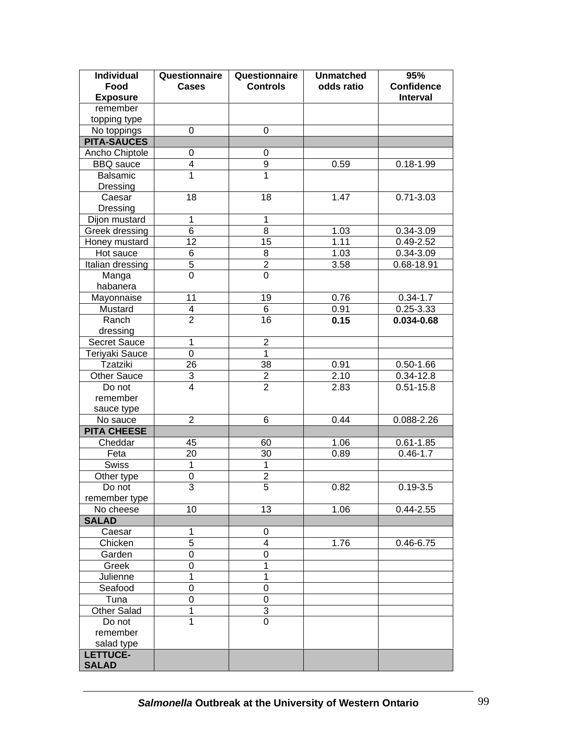| Individual<br>Food<br><b>Exposure</b> | Questionnaire<br><b>Cases</b> | Questionnaire<br><b>Controls</b> | <b>Unmatched</b><br>odds ratio | 95%<br><b>Confidence</b><br><b>Interval</b> |
|---------------------------------------|-------------------------------|----------------------------------|--------------------------------|---------------------------------------------|
| remember                              |                               |                                  |                                |                                             |
|                                       |                               |                                  |                                |                                             |
| topping type                          | 0                             | 0                                |                                |                                             |
| No toppings                           |                               |                                  |                                |                                             |
| <b>PITA-SAUCES</b>                    |                               |                                  |                                |                                             |
| Ancho Chiptole                        | 0<br>4                        | 0<br>9                           | 0.59                           |                                             |
| <b>BBQ</b> sauce<br>Balsamic          | $\overline{1}$                | $\overline{1}$                   |                                | $0.18 - 1.99$                               |
|                                       |                               |                                  |                                |                                             |
| Dressing<br>Caesar                    | 18                            | 18                               | 1.47                           | $0.71 - 3.03$                               |
| Dressing                              |                               |                                  |                                |                                             |
|                                       | $\mathbf 1$                   | $\mathbf{1}$                     |                                |                                             |
| Dijon mustard                         | $\overline{6}$                | $\overline{8}$                   | 1.03                           | 0.34-3.09                                   |
| Greek dressing                        | $\overline{12}$               | 15                               | 1.11                           | $0.49 - 2.52$                               |
| Honey mustard                         | 6                             |                                  | 1.03                           |                                             |
| Hot sauce                             |                               | 8                                |                                | 0.34-3.09                                   |
| Italian dressing                      | $\overline{5}$                | $\overline{2}$<br>$\overline{0}$ | 3.58                           | 0.68-18.91                                  |
| Manga                                 | $\overline{0}$                |                                  |                                |                                             |
| habanera                              |                               |                                  |                                |                                             |
| Mayonnaise                            | 11                            | 19                               | 0.76                           | $0.34 - 1.7$                                |
| Mustard                               | 4                             | 6                                | 0.91                           | $0.25 - 3.33$                               |
| Ranch                                 | $\overline{2}$                | 16                               | 0.15                           | 0.034-0.68                                  |
| dressing                              |                               |                                  |                                |                                             |
| Secret Sauce                          | 1                             | $\overline{2}$                   |                                |                                             |
| Teriyaki Sauce                        | $\overline{0}$                | $\overline{1}$                   |                                |                                             |
| Tzatziki                              | 26                            | 38                               | 0.91                           | $0.50 - 1.66$                               |
| <b>Other Sauce</b>                    | 3                             | $\overline{2}$                   | 2.10                           | $0.34 - 12.8$                               |
| Do not                                | $\overline{4}$                | $\overline{2}$                   | 2.83                           | $0.51 - 15.8$                               |
| remember                              |                               |                                  |                                |                                             |
| sauce type                            |                               |                                  |                                |                                             |
| No sauce                              | $\overline{2}$                | 6                                | 0.44                           | 0.088-2.26                                  |
| <b>PITA CHEESE</b>                    |                               |                                  |                                |                                             |
| Cheddar                               | 45                            | 60                               | 1.06                           | $0.61 - 1.85$                               |
| Feta                                  | 20                            | 30                               | 0.89                           | $0.46 - 1.7$                                |
| <b>Swiss</b>                          | 1                             | $\mathbf{1}$                     |                                |                                             |
| Other type                            | 0                             | $\overline{2}$                   |                                |                                             |
| Do not                                | $\overline{3}$                | $\overline{5}$                   | 0.82                           | $0.19 - 3.5$                                |
| remember type                         |                               |                                  |                                |                                             |
| No cheese                             | 10                            | 13                               | 1.06                           | $0.44 - 2.55$                               |
| <b>SALAD</b>                          |                               |                                  |                                |                                             |
| Caesar                                | 1                             | 0                                |                                |                                             |
| Chicken                               | 5                             | 4                                | 1.76                           | $0.46 - 6.75$                               |
| Garden                                | 0                             | 0                                |                                |                                             |
| Greek                                 | 0                             | 1                                |                                |                                             |
| Julienne                              | 1                             | 1                                |                                |                                             |
| Seafood                               | 0                             | 0                                |                                |                                             |
| Tuna                                  | 0                             | 0                                |                                |                                             |
| <b>Other Salad</b>                    | 1                             | 3                                |                                |                                             |
| Do not                                | 1                             | 0                                |                                |                                             |
| remember                              |                               |                                  |                                |                                             |
| salad type                            |                               |                                  |                                |                                             |
| <b>LETTUCE-</b>                       |                               |                                  |                                |                                             |
| <b>SALAD</b>                          |                               |                                  |                                |                                             |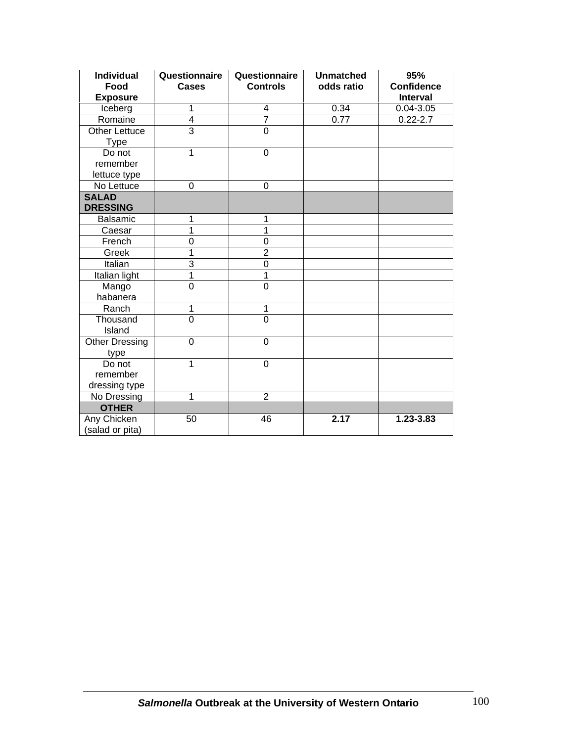| <b>Individual</b><br>Food<br><b>Exposure</b> | Questionnaire<br><b>Cases</b> | Questionnaire<br><b>Controls</b> | <b>Unmatched</b><br>odds ratio | 95%<br><b>Confidence</b><br><b>Interval</b> |
|----------------------------------------------|-------------------------------|----------------------------------|--------------------------------|---------------------------------------------|
| Iceberg                                      | 1                             | 4                                | 0.34                           | $0.04 - 3.05$                               |
| Romaine                                      | 4                             | $\overline{7}$                   | 0.77                           | $0.22 - 2.7$                                |
| <b>Other Lettuce</b><br><b>Type</b>          | $\overline{3}$                | $\overline{0}$                   |                                |                                             |
| Do not<br>remember<br>lettuce type           | $\mathbf{1}$                  | 0                                |                                |                                             |
| No Lettuce                                   | 0                             | 0                                |                                |                                             |
| <b>SALAD</b><br><b>DRESSING</b>              |                               |                                  |                                |                                             |
| <b>Balsamic</b>                              | 1                             | 1                                |                                |                                             |
| Caesar                                       | 1                             | 1                                |                                |                                             |
| French                                       | 0                             | 0                                |                                |                                             |
| Greek                                        | 1                             | $\overline{2}$                   |                                |                                             |
| Italian                                      | 3                             | $\mathbf 0$                      |                                |                                             |
| Italian light                                | $\overline{1}$                | 1                                |                                |                                             |
| Mango<br>habanera                            | $\overline{0}$                | $\overline{0}$                   |                                |                                             |
| Ranch                                        | 1                             | $\mathbf 1$                      |                                |                                             |
| Thousand<br>Island                           | $\overline{0}$                | $\overline{0}$                   |                                |                                             |
| <b>Other Dressing</b><br>type                | $\overline{0}$                | $\overline{0}$                   |                                |                                             |
| Do not<br>remember<br>dressing type          | 1                             | 0                                |                                |                                             |
| No Dressing                                  | 1                             | $\overline{2}$                   |                                |                                             |
| <b>OTHER</b>                                 |                               |                                  |                                |                                             |
| Any Chicken<br>(salad or pita)               | 50                            | 46                               | 2.17                           | 1.23-3.83                                   |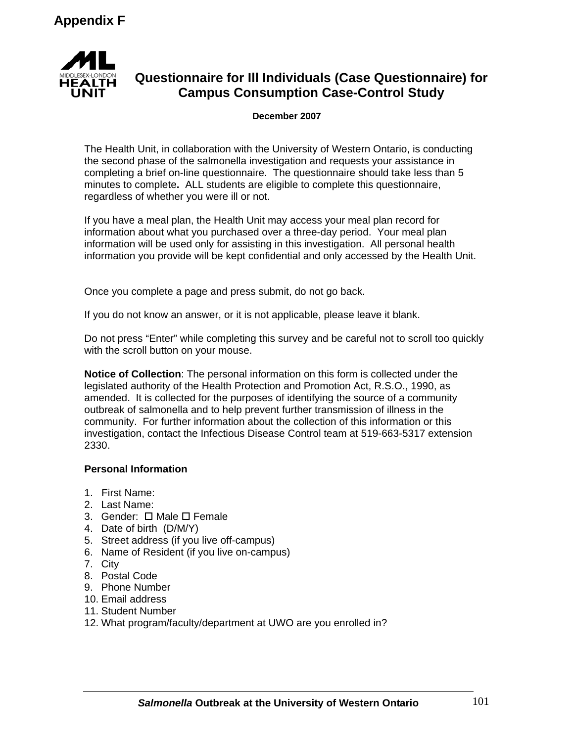

# **Questionnaire for Ill Individuals (Case Questionnaire) for Campus Consumption Case-Control Study**

#### **December 2007**

The Health Unit, in collaboration with the University of Western Ontario, is conducting the second phase of the salmonella investigation and requests your assistance in completing a brief on-line questionnaire. The questionnaire should take less than 5 minutes to complete**.** ALL students are eligible to complete this questionnaire, regardless of whether you were ill or not.

If you have a meal plan, the Health Unit may access your meal plan record for information about what you purchased over a three-day period. Your meal plan information will be used only for assisting in this investigation. All personal health information you provide will be kept confidential and only accessed by the Health Unit.

Once you complete a page and press submit, do not go back.

If you do not know an answer, or it is not applicable, please leave it blank.

Do not press "Enter" while completing this survey and be careful not to scroll too quickly with the scroll button on your mouse.

**Notice of Collection**: The personal information on this form is collected under the legislated authority of the Health Protection and Promotion Act, R.S.O., 1990, as amended. It is collected for the purposes of identifying the source of a community outbreak of salmonella and to help prevent further transmission of illness in the community. For further information about the collection of this information or this investigation, contact the Infectious Disease Control team at 519-663-5317 extension 2330.

## **Personal Information**

- 1. First Name:
- 2. Last Name:
- 3. Gender:  $\Box$  Male  $\Box$  Female
- 4. Date of birth (D/M/Y)
- 5. Street address (if you live off-campus)
- 6. Name of Resident (if you live on-campus)
- 7. City
- 8. Postal Code
- 9. Phone Number
- 10. Email address
- 11. Student Number
- 12. What program/faculty/department at UWO are you enrolled in?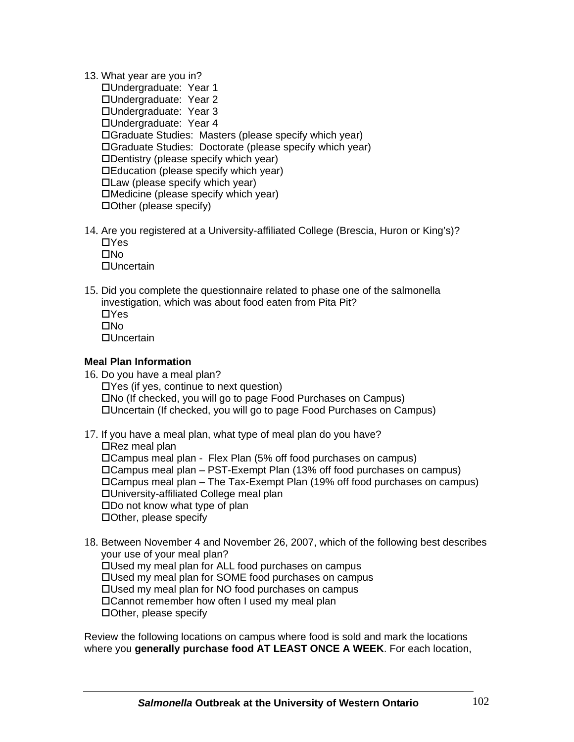13. What year are you in?

Undergraduate: Year 1 Undergraduate: Year 2 Undergraduate: Year 3 Undergraduate: Year 4 Graduate Studies: Masters (please specify which year) Graduate Studies: Doctorate (please specify which year) Dentistry (please specify which year) Education (please specify which year) Law (please specify which year) Medicine (please specify which year) Other (please specify)

14. Are you registered at a University-affiliated College (Brescia, Huron or King's)?  $\Box$ Yes  $\square$ No

□Uncertain

15. Did you complete the questionnaire related to phase one of the salmonella investigation, which was about food eaten from Pita Pit?  $\Box$ Yes  $\square$ No Uncertain

## **Meal Plan Information**

- 16. Do you have a meal plan? Yes (if yes, continue to next question) No (If checked, you will go to page Food Purchases on Campus) Uncertain (If checked, you will go to page Food Purchases on Campus)
- 17. If you have a meal plan, what type of meal plan do you have?  $\Box$ Rez meal plan Campus meal plan - Flex Plan (5% off food purchases on campus) Campus meal plan – PST-Exempt Plan (13% off food purchases on campus) Campus meal plan – The Tax-Exempt Plan (19% off food purchases on campus) University-affiliated College meal plan Do not know what type of plan Other, please specify
- 18. Between November 4 and November 26, 2007, which of the following best describes your use of your meal plan? Used my meal plan for ALL food purchases on campus Used my meal plan for SOME food purchases on campus Used my meal plan for NO food purchases on campus Cannot remember how often I used my meal plan Other, please specify

Review the following locations on campus where food is sold and mark the locations where you **generally purchase food AT LEAST ONCE A WEEK**. For each location,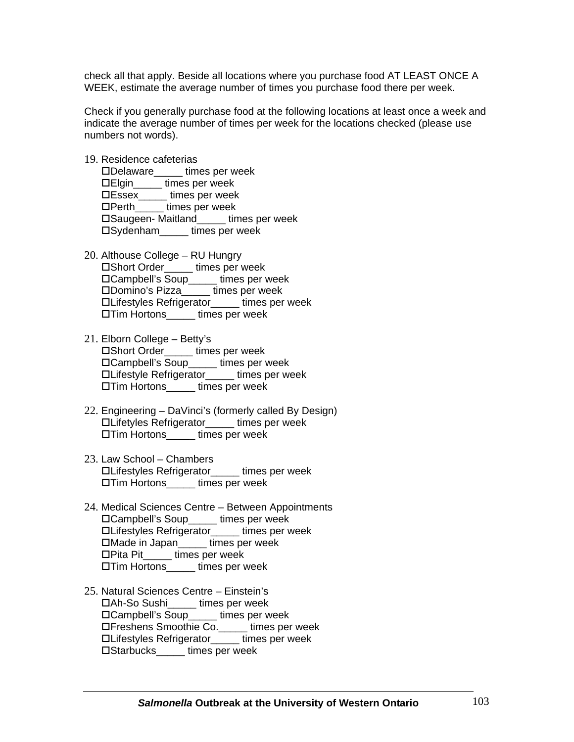check all that apply. Beside all locations where you purchase food AT LEAST ONCE A WEEK, estimate the average number of times you purchase food there per week.

Check if you generally purchase food at the following locations at least once a week and indicate the average number of times per week for the locations checked (please use numbers not words).

19. Residence cafeterias

Delaware\_\_\_\_\_ times per week Elgin\_\_\_\_\_ times per week Essex\_\_\_\_\_ times per week  $\Box$  Perth times per week Saugeen- Maitland\_\_\_\_\_ times per week Sydenham\_\_\_\_\_ times per week

- 20. Althouse College RU Hungry Short Order\_\_\_\_\_ times per week Campbell's Soup\_\_\_\_\_ times per week Domino's Pizza\_\_\_\_\_ times per week Lifestyles Refrigerator\_\_\_\_\_ times per week Tim Hortons\_\_\_\_\_ times per week
- 21. Elborn College Betty's Short Order\_\_\_\_\_ times per week Campbell's Soup\_\_\_\_\_ times per week Lifestyle Refrigerator\_\_\_\_\_ times per week Tim Hortons\_\_\_\_\_ times per week
- 22. Engineering DaVinci's (formerly called By Design) Lifetyles Refrigerator\_\_\_\_\_ times per week Tim Hortons\_\_\_\_\_ times per week
- 23. Law School Chambers Lifestyles Refrigerator\_\_\_\_\_ times per week Tim Hortons\_\_\_\_\_ times per week
- 24. Medical Sciences Centre Between Appointments Campbell's Soup\_\_\_\_\_ times per week Lifestyles Refrigerator\_\_\_\_\_ times per week □Made in Japan times per week Pita Pit\_\_\_\_\_ times per week Tim Hortons\_\_\_\_\_ times per week
- 25. Natural Sciences Centre Einstein's Ah-So Sushi\_\_\_\_\_ times per week □Campbell's Soup times per week Freshens Smoothie Co.\_\_\_\_\_ times per week Lifestyles Refrigerator\_\_\_\_\_ times per week Starbucks\_\_\_\_\_ times per week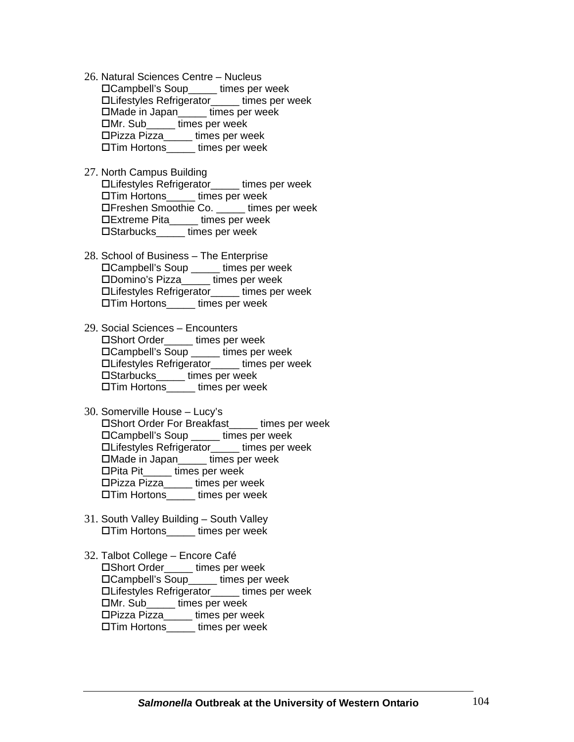- 26. Natural Sciences Centre Nucleus □Campbell's Soup times per week Lifestyles Refrigerator\_\_\_\_\_ times per week Made in Japan\_\_\_\_\_ times per week Mr. Sub\_\_\_\_\_ times per week Pizza Pizza\_\_\_\_\_ times per week Tim Hortons\_\_\_\_\_ times per week
- 27. North Campus Building Lifestyles Refrigerator\_\_\_\_\_ times per week Tim Hortons\_\_\_\_\_ times per week Freshen Smoothie Co. \_\_\_\_\_ times per week Extreme Pita\_\_\_\_\_ times per week Starbucks\_\_\_\_\_ times per week
- 28. School of Business The Enterprise Campbell's Soup \_\_\_\_\_ times per week Domino's Pizza\_\_\_\_\_ times per week Lifestyles Refrigerator\_\_\_\_\_ times per week Tim Hortons\_\_\_\_\_ times per week
- 29. Social Sciences Encounters Short Order\_\_\_\_\_ times per week Campbell's Soup \_\_\_\_\_ times per week Lifestyles Refrigerator\_\_\_\_\_ times per week Starbucks\_\_\_\_\_ times per week Tim Hortons\_\_\_\_\_ times per week
- 30. Somerville House Lucy's Short Order For Breakfast\_\_\_\_\_ times per week Campbell's Soup \_\_\_\_\_ times per week Lifestyles Refrigerator\_\_\_\_\_ times per week Made in Japan\_\_\_\_\_ times per week Pita Pit\_\_\_\_\_ times per week Pizza Pizza\_\_\_\_\_ times per week Tim Hortons\_\_\_\_\_ times per week
- 31. South Valley Building South Valley Tim Hortons\_\_\_\_\_ times per week
- 32. Talbot College Encore Café Short Order\_\_\_\_\_ times per week Campbell's Soup\_\_\_\_\_ times per week Lifestyles Refrigerator\_\_\_\_\_ times per week Mr. Sub\_\_\_\_\_ times per week Pizza Pizza\_\_\_\_\_ times per week Tim Hortons\_\_\_\_\_ times per week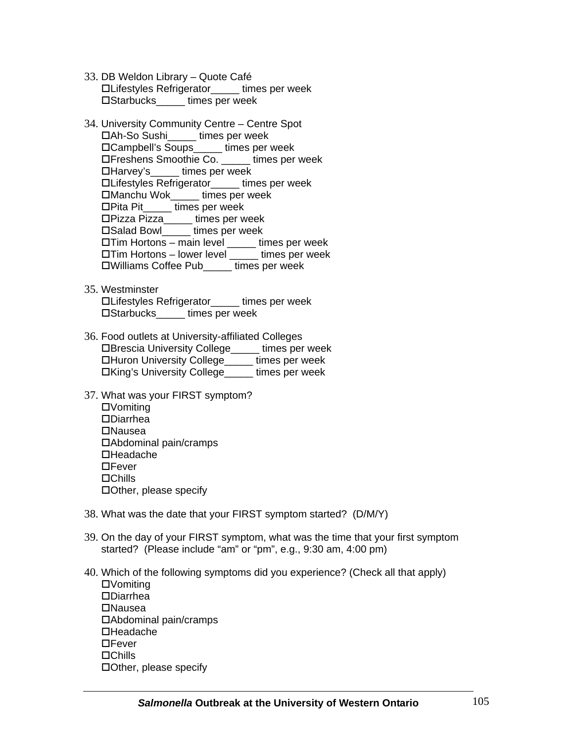- 33. DB Weldon Library Quote Café Lifestyles Refrigerator\_\_\_\_\_ times per week □Starbucks times per week
- 34. University Community Centre Centre Spot Ah-So Sushi\_\_\_\_\_ times per week □Campbell's Soups times per week Freshens Smoothie Co. \_\_\_\_\_ times per week Harvey's\_\_\_\_\_ times per week Lifestyles Refrigerator\_\_\_\_\_ times per week Manchu Wok\_\_\_\_\_ times per week Pita Pit\_\_\_\_\_ times per week Pizza Pizza\_\_\_\_\_ times per week □Salad Bowl times per week Tim Hortons – main level \_\_\_\_\_ times per week  $\Box$ Tim Hortons – lower level  $\Box$  times per week Williams Coffee Pub\_\_\_\_\_ times per week
- 35. Westminster Lifestyles Refrigerator\_\_\_\_\_ times per week □Starbucks times per week
- 36. Food outlets at University-affiliated Colleges Brescia University College\_\_\_\_\_ times per week Huron University College\_\_\_\_\_ times per week King's University College\_\_\_\_\_ times per week
- 37. What was your FIRST symptom? Vomiting Diarrhea Nausea Abdominal pain/cramps **□Headache DE**ever **□Chills** Other, please specify
- 38. What was the date that your FIRST symptom started? (D/M/Y)
- 39. On the day of your FIRST symptom, what was the time that your first symptom started? (Please include "am" or "pm", e.g., 9:30 am, 4:00 pm)
- 40. Which of the following symptoms did you experience? (Check all that apply) Vomiting Diarrhea **□Nausea** Abdominal pain/cramps Headache **□Fever □Chills** Other, please specify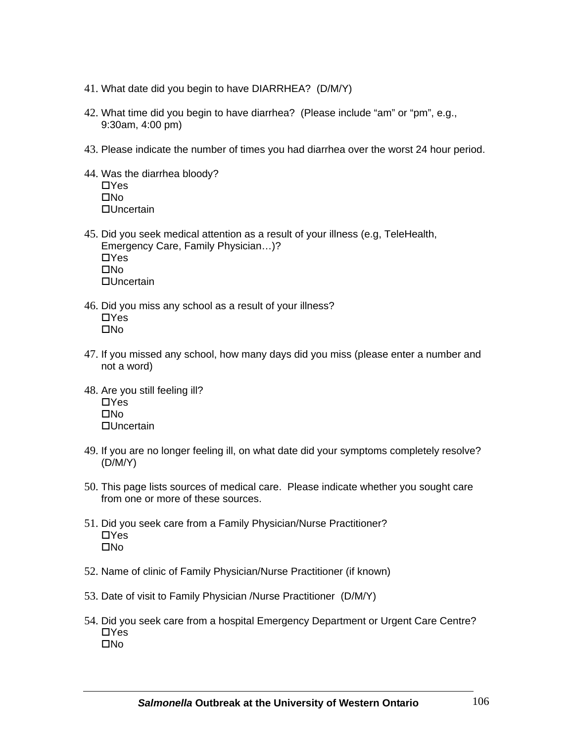- 41. What date did you begin to have DIARRHEA? (D/M/Y)
- 42. What time did you begin to have diarrhea? (Please include "am" or "pm", e.g., 9:30am, 4:00 pm)
- 43. Please indicate the number of times you had diarrhea over the worst 24 hour period.
- 44. Was the diarrhea bloody?  $\Box$ Yes  $\square$ No □Uncertain
- 45. Did you seek medical attention as a result of your illness (e.g, TeleHealth, Emergency Care, Family Physician…)?  $\Box$ Yes  $\square$ No □Uncertain
- 46. Did you miss any school as a result of your illness?  $\Box$ Yes  $\Box$ No
- 47. If you missed any school, how many days did you miss (please enter a number and not a word)
- 48. Are you still feeling ill?  $\Box$ Yes  $\square$ No **□Uncertain**
- 49. If you are no longer feeling ill, on what date did your symptoms completely resolve? (D/M/Y)
- 50. This page lists sources of medical care. Please indicate whether you sought care from one or more of these sources.
- 51. Did you seek care from a Family Physician/Nurse Practitioner?  $\Box$ Yes  $\square$ No
- 52. Name of clinic of Family Physician/Nurse Practitioner (if known)
- 53. Date of visit to Family Physician /Nurse Practitioner (D/M/Y)
- 54. Did you seek care from a hospital Emergency Department or Urgent Care Centre?  $\Box$ Yes  $\Box$ No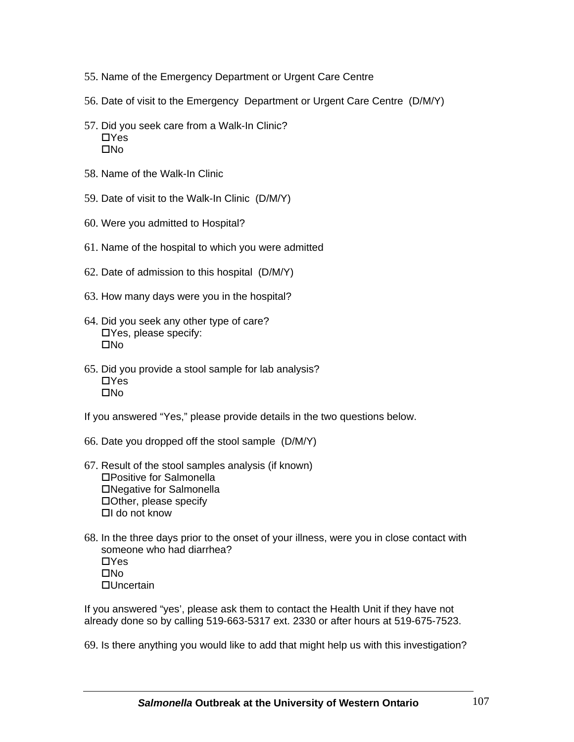- 55. Name of the Emergency Department or Urgent Care Centre
- 56. Date of visit to the Emergency Department or Urgent Care Centre (D/M/Y)
- 57. Did you seek care from a Walk-In Clinic?  $\Box$ Yes  $\Box$ No
- 58. Name of the Walk-In Clinic
- 59. Date of visit to the Walk-In Clinic (D/M/Y)
- 60. Were you admitted to Hospital?
- 61. Name of the hospital to which you were admitted
- 62. Date of admission to this hospital (D/M/Y)
- 63. How many days were you in the hospital?
- 64. Did you seek any other type of care? Yes, please specify:  $\square$ No
- 65. Did you provide a stool sample for lab analysis?  $\Box$ Yes  $\Box$ No

If you answered "Yes," please provide details in the two questions below.

- 66. Date you dropped off the stool sample (D/M/Y)
- 67. Result of the stool samples analysis (if known) Positive for Salmonella Negative for Salmonella Other, please specify  $\Pi$  do not know
- 68. In the three days prior to the onset of your illness, were you in close contact with someone who had diarrhea?  $\Box$ Yes  $\square$ No □Uncertain

If you answered "yes', please ask them to contact the Health Unit if they have not already done so by calling 519-663-5317 ext. 2330 or after hours at 519-675-7523.

69. Is there anything you would like to add that might help us with this investigation?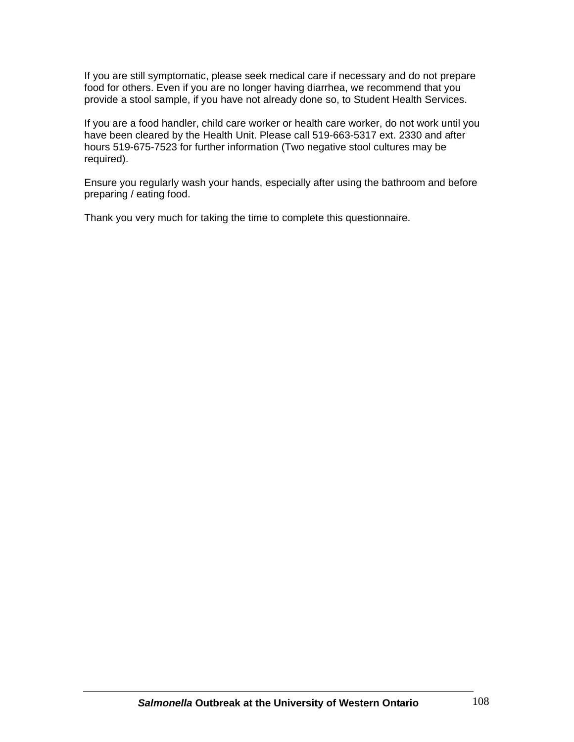If you are still symptomatic, please seek medical care if necessary and do not prepare food for others. Even if you are no longer having diarrhea, we recommend that you provide a stool sample, if you have not already done so, to Student Health Services.

If you are a food handler, child care worker or health care worker, do not work until you have been cleared by the Health Unit. Please call 519-663-5317 ext. 2330 and after hours 519-675-7523 for further information (Two negative stool cultures may be required).

Ensure you regularly wash your hands, especially after using the bathroom and before preparing / eating food.

Thank you very much for taking the time to complete this questionnaire.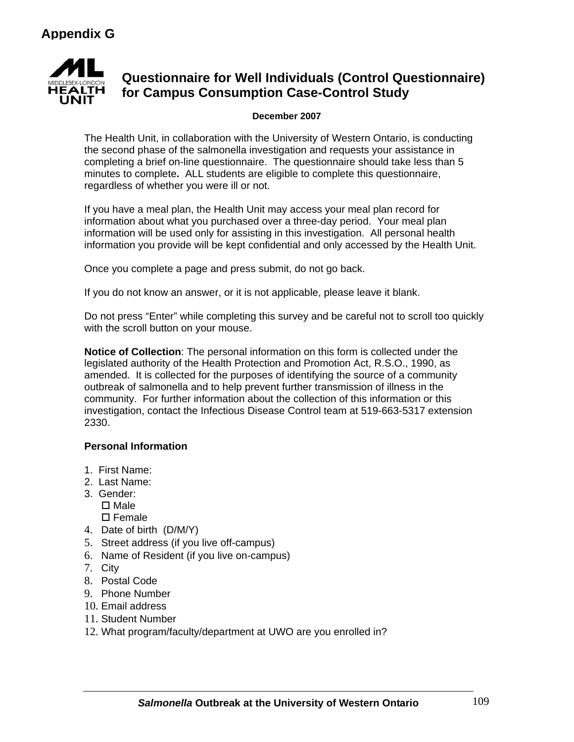

## **Questionnaire for Well Individuals (Control Questionnaire) for Campus Consumption Case-Control Study**

### **December 2007**

The Health Unit, in collaboration with the University of Western Ontario, is conducting the second phase of the salmonella investigation and requests your assistance in completing a brief on-line questionnaire. The questionnaire should take less than 5 minutes to complete**.** ALL students are eligible to complete this questionnaire, regardless of whether you were ill or not.

If you have a meal plan, the Health Unit may access your meal plan record for information about what you purchased over a three-day period. Your meal plan information will be used only for assisting in this investigation. All personal health information you provide will be kept confidential and only accessed by the Health Unit.

Once you complete a page and press submit, do not go back.

If you do not know an answer, or it is not applicable, please leave it blank.

Do not press "Enter" while completing this survey and be careful not to scroll too quickly with the scroll button on your mouse.

**Notice of Collection**: The personal information on this form is collected under the legislated authority of the Health Protection and Promotion Act, R.S.O., 1990, as amended. It is collected for the purposes of identifying the source of a community outbreak of salmonella and to help prevent further transmission of illness in the community. For further information about the collection of this information or this investigation, contact the Infectious Disease Control team at 519-663-5317 extension 2330.

### **Personal Information**

- 1. First Name:
- 2. Last Name:
- 3. Gender:  $\square$  Male  $\square$  Female
- 4. Date of birth (D/M/Y)
- 5. Street address (if you live off-campus)
- 6. Name of Resident (if you live on-campus)
- 7. City
- 8. Postal Code
- 9. Phone Number
- 10. Email address
- 11. Student Number
- 12. What program/faculty/department at UWO are you enrolled in?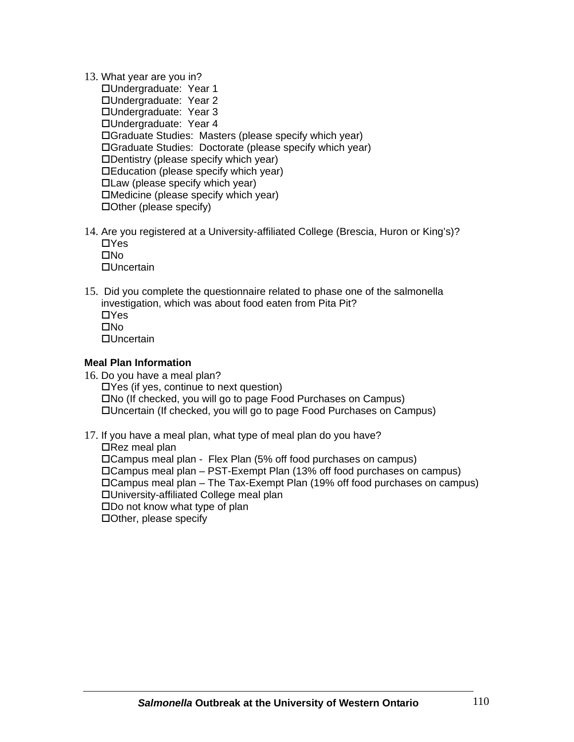13. What year are you in?

Undergraduate: Year 1 Undergraduate: Year 2 Undergraduate: Year 3 Undergraduate: Year 4 Graduate Studies: Masters (please specify which year) Graduate Studies: Doctorate (please specify which year) Dentistry (please specify which year) Education (please specify which year) Law (please specify which year) Medicine (please specify which year) Other (please specify)

14. Are you registered at a University-affiliated College (Brescia, Huron or King's)?  $\Box$ Yes  $\Box$ No

**□Uncertain** 

15. Did you complete the questionnaire related to phase one of the salmonella investigation, which was about food eaten from Pita Pit?  $\Box$ Yes  $\Box$ No **□Uncertain** 

### **Meal Plan Information**

- 16. Do you have a meal plan?  $\Box$  Yes (if yes, continue to next question) No (If checked, you will go to page Food Purchases on Campus) Uncertain (If checked, you will go to page Food Purchases on Campus)
- 17. If you have a meal plan, what type of meal plan do you have?  $\Box$ Rez meal plan Campus meal plan - Flex Plan (5% off food purchases on campus) Campus meal plan – PST-Exempt Plan (13% off food purchases on campus) Campus meal plan – The Tax-Exempt Plan (19% off food purchases on campus) University-affiliated College meal plan Do not know what type of plan Other, please specify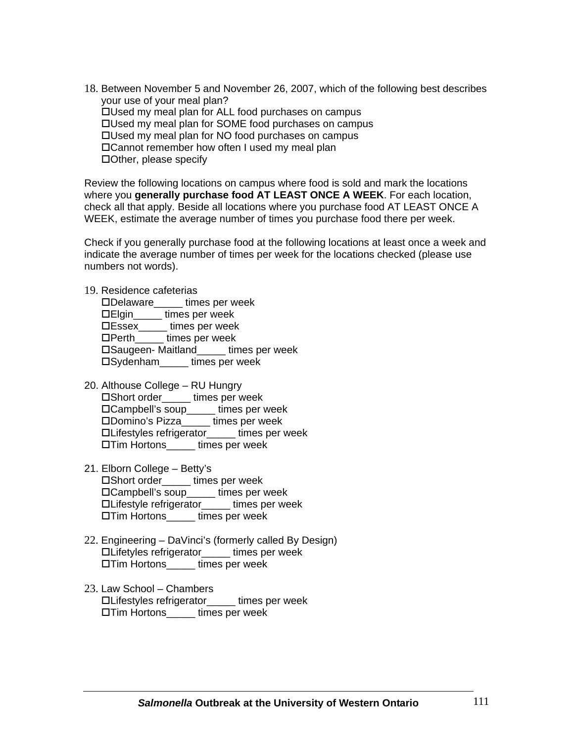18. Between November 5 and November 26, 2007, which of the following best describes your use of your meal plan? Used my meal plan for ALL food purchases on campus Used my meal plan for SOME food purchases on campus Used my meal plan for NO food purchases on campus Cannot remember how often I used my meal plan Other, please specify

Review the following locations on campus where food is sold and mark the locations where you **generally purchase food AT LEAST ONCE A WEEK**. For each location, check all that apply. Beside all locations where you purchase food AT LEAST ONCE A WEEK, estimate the average number of times you purchase food there per week.

Check if you generally purchase food at the following locations at least once a week and indicate the average number of times per week for the locations checked (please use numbers not words).

#### 19. Residence cafeterias

Delaware\_\_\_\_\_ times per week Elgin\_\_\_\_\_ times per week Essex\_\_\_\_\_ times per week  $\Box$ Perth $\Box$  times per week Saugeen- Maitland\_\_\_\_\_ times per week □Sydenham times per week

- 20. Althouse College RU Hungry Short order\_\_\_\_\_ times per week □Campbell's soup\_\_\_\_\_ times per week Domino's Pizza\_\_\_\_\_ times per week Lifestyles refrigerator\_\_\_\_\_ times per week □Tim Hortons times per week
- 21. Elborn College Betty's Short order\_\_\_\_\_ times per week Campbell's soup\_\_\_\_\_ times per week Lifestyle refrigerator\_\_\_\_\_ times per week □Tim Hortons times per week
- 22. Engineering DaVinci's (formerly called By Design) Lifetyles refrigerator\_\_\_\_\_ times per week Tim Hortons\_\_\_\_\_ times per week
- 23. Law School Chambers Lifestyles refrigerator\_\_\_\_\_ times per week Tim Hortons\_\_\_\_\_ times per week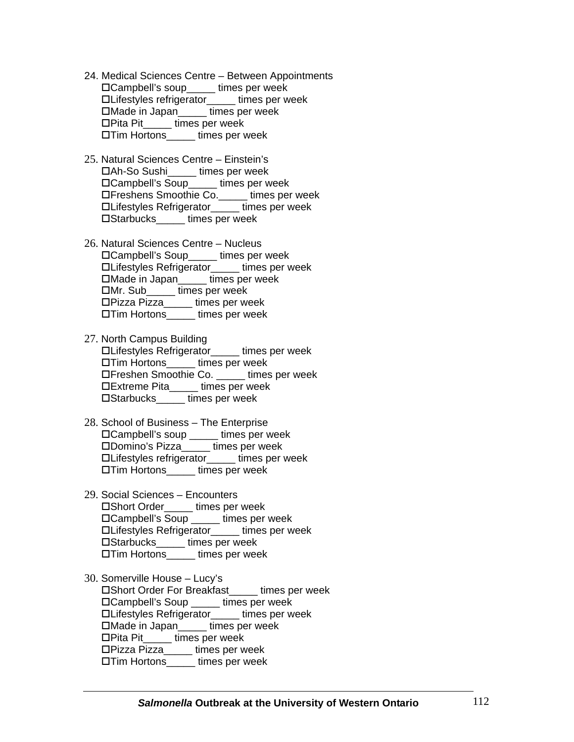- 24. Medical Sciences Centre Between Appointments Campbell's soup\_\_\_\_\_ times per week Lifestyles refrigerator\_\_\_\_\_ times per week Made in Japan\_\_\_\_\_ times per week  $\square$ Pita Pit $\square$ □Tim Hortons times per week
- 25. Natural Sciences Centre Einstein's Ah-So Sushi\_\_\_\_\_ times per week Campbell's Soup\_\_\_\_\_ times per week Freshens Smoothie Co.\_\_\_\_\_ times per week Lifestyles Refrigerator\_\_\_\_\_ times per week Starbucks\_\_\_\_\_ times per week
- 26. Natural Sciences Centre Nucleus Campbell's Soup\_\_\_\_\_ times per week Lifestyles Refrigerator\_\_\_\_\_ times per week □Made in Japan times per week Mr. Sub\_\_\_\_\_ times per week Pizza Pizza\_\_\_\_\_ times per week Tim Hortons\_\_\_\_\_ times per week
- 27. North Campus Building Lifestyles Refrigerator\_\_\_\_\_ times per week □Tim Hortons times per week Freshen Smoothie Co. \_\_\_\_\_ times per week Extreme Pita\_\_\_\_\_ times per week Starbucks\_\_\_\_\_ times per week
- 28. School of Business The Enterprise Campbell's soup \_\_\_\_\_ times per week Domino's Pizza\_\_\_\_\_ times per week Lifestyles refrigerator\_\_\_\_\_ times per week Tim Hortons\_\_\_\_\_ times per week
- 29. Social Sciences Encounters Short Order\_\_\_\_\_ times per week Campbell's Soup \_\_\_\_\_ times per week Lifestyles Refrigerator\_\_\_\_\_ times per week Starbucks\_\_\_\_\_ times per week Tim Hortons\_\_\_\_\_ times per week
- 30. Somerville House Lucy's Summanum Christian Christian Christian Lines per week Campbell's Soup \_\_\_\_\_ times per week Lifestyles Refrigerator\_\_\_\_\_ times per week Made in Japan\_\_\_\_\_ times per week □Pita Pit\_\_\_\_\_ times per week Pizza Pizza\_\_\_\_\_ times per week □ Tim Hortons times per week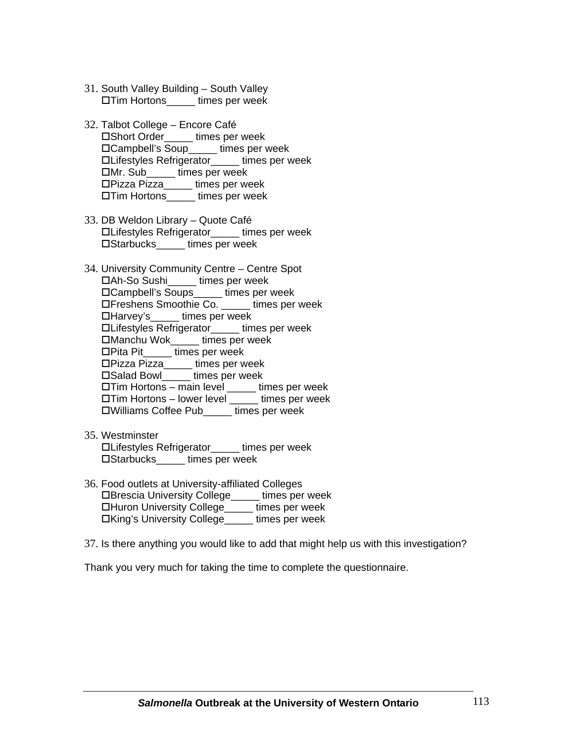- 31. South Valley Building South Valley Tim Hortons\_\_\_\_\_ times per week
- 32. Talbot College Encore Café Short Order\_\_\_\_\_ times per week Campbell's Soup\_\_\_\_\_ times per week Lifestyles Refrigerator\_\_\_\_\_ times per week Mr. Sub\_\_\_\_\_ times per week Pizza Pizza\_\_\_\_\_ times per week Tim Hortons\_\_\_\_\_ times per week
- 33. DB Weldon Library Quote Café Lifestyles Refrigerator\_\_\_\_\_ times per week Starbucks\_\_\_\_\_ times per week
- 34. University Community Centre Centre Spot Ah-So Sushi\_\_\_\_\_ times per week Campbell's Soups\_\_\_\_\_ times per week Freshens Smoothie Co. \_\_\_\_\_ times per week Harvey's\_\_\_\_\_ times per week Lifestyles Refrigerator\_\_\_\_\_ times per week Manchu Wok\_\_\_\_\_ times per week Pita Pit\_\_\_\_\_ times per week Pizza Pizza\_\_\_\_\_ times per week □Salad Bowl times per week Tim Hortons – main level \_\_\_\_\_ times per week  $\Box$ Tim Hortons – lower level times per week Williams Coffee Pub\_\_\_\_\_ times per week
- 35. Westminster
	- Lifestyles Refrigerator\_\_\_\_\_ times per week Starbucks\_\_\_\_\_ times per week
- 36. Food outlets at University-affiliated Colleges Brescia University College\_\_\_\_\_ times per week Huron University College\_\_\_\_\_ times per week □King's University College times per week
- 37. Is there anything you would like to add that might help us with this investigation?

Thank you very much for taking the time to complete the questionnaire.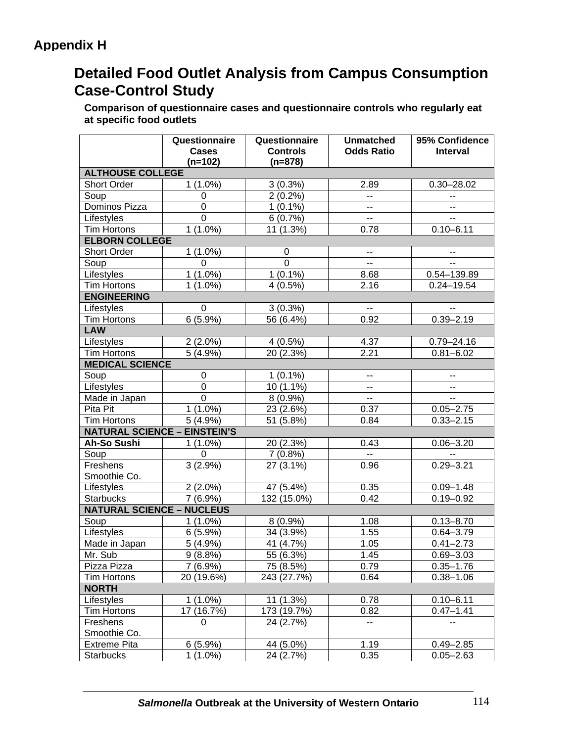# **Detailed Food Outlet Analysis from Campus Consumption Case-Control Study**

**Comparison of questionnaire cases and questionnaire controls who regularly eat at specific food outlets**

|                                     | Questionnaire             | Questionnaire                | <b>Unmatched</b>         | 95% Confidence  |  |  |  |  |
|-------------------------------------|---------------------------|------------------------------|--------------------------|-----------------|--|--|--|--|
|                                     | <b>Cases</b><br>$(n=102)$ | <b>Controls</b><br>$(n=878)$ | <b>Odds Ratio</b>        | <b>Interval</b> |  |  |  |  |
| <b>ALTHOUSE COLLEGE</b>             |                           |                              |                          |                 |  |  |  |  |
| <b>Short Order</b>                  | $1(1.0\%)$                | $3(0.3\%)$                   | 2.89                     | $0.30 - 28.02$  |  |  |  |  |
| Soup                                | 0                         | $2(0.2\%)$                   | $- -$                    |                 |  |  |  |  |
| Dominos Pizza                       | $\overline{0}$            | $1(0.1\%)$                   | $\overline{a}$           | $\overline{a}$  |  |  |  |  |
| Lifestyles                          | $\overline{0}$            | 6(0.7%)                      | $\overline{a}$           | н.              |  |  |  |  |
| <b>Tim Hortons</b>                  | $1(1.0\%)$                | 11 (1.3%)                    | 0.78                     | $0.10 - 6.11$   |  |  |  |  |
| <b>ELBORN COLLEGE</b>               |                           |                              |                          |                 |  |  |  |  |
| <b>Short Order</b>                  | $1(1.0\%)$                | 0                            | --                       |                 |  |  |  |  |
| Soup                                | $\Omega$                  | $\overline{0}$               | $\overline{a}$           | н.              |  |  |  |  |
| Lifestyles                          | $1(1.0\%)$                | $1(0.1\%)$                   | 8.68                     | 0.54-139.89     |  |  |  |  |
| <b>Tim Hortons</b>                  | $(1.0\%)$<br>$\mathbf 1$  | 4(0.5%)                      | 2.16                     | $0.24 - 19.54$  |  |  |  |  |
| <b>ENGINEERING</b>                  |                           |                              |                          |                 |  |  |  |  |
| Lifestyles                          | 0                         | $3(0.3\%)$                   | $\sim$                   |                 |  |  |  |  |
| <b>Tim Hortons</b>                  | $6(5.9\%)$                | 56 (6.4%)                    | 0.92                     | $0.39 - 2.19$   |  |  |  |  |
| <b>LAW</b>                          |                           |                              |                          |                 |  |  |  |  |
| Lifestyles                          | $2(2.0\%)$                | 4(0.5%)                      | 4.37                     | $0.79 - 24.16$  |  |  |  |  |
| <b>Tim Hortons</b>                  | $\overline{5}$ (4.9%)     | 20(2.3%)                     | 2.21                     | $0.81 - 6.02$   |  |  |  |  |
| <b>MEDICAL SCIENCE</b>              |                           |                              |                          |                 |  |  |  |  |
| Soup                                | $\pmb{0}$                 | $1(0.1\%)$                   | --                       |                 |  |  |  |  |
| Lifestyles                          | $\mathbf 0$               | 10 (1.1%)                    | --                       | $\mathbf{u}$    |  |  |  |  |
| Made in Japan                       | $\mathbf 0$               | $8(0.9\%)$                   | $\overline{\phantom{a}}$ | $\sim$          |  |  |  |  |
| Pita Pit                            | $1(1.0\%)$                | 23 (2.6%)                    | 0.37                     | $0.05 - 2.75$   |  |  |  |  |
| <b>Tim Hortons</b>                  | 5(4.9%)                   | 51 (5.8%)                    | 0.84                     | $0.33 - 2.15$   |  |  |  |  |
| <b>NATURAL SCIENCE - EINSTEIN'S</b> |                           |                              |                          |                 |  |  |  |  |
| Ah-So Sushi                         | $1(1.0\%)$                | 20 (2.3%)                    | 0.43                     | $0.06 - 3.20$   |  |  |  |  |
| Soup                                | 0                         | 7(0.8%)                      | $\sim$ $\sim$            | $\sim$          |  |  |  |  |
| Freshens                            | 3(2.9%)                   | 27 (3.1%)                    | 0.96                     | $0.29 - 3.21$   |  |  |  |  |
| Smoothie Co.                        |                           |                              |                          |                 |  |  |  |  |
| Lifestyles                          | $2(2.0\%)$                | 47 (5.4%)                    | 0.35                     | $0.09 - 1.48$   |  |  |  |  |
| <b>Starbucks</b>                    | 7(6.9%)                   | 132 (15.0%)                  | 0.42                     | $0.19 - 0.92$   |  |  |  |  |
| <b>NATURAL SCIENCE - NUCLEUS</b>    |                           |                              |                          |                 |  |  |  |  |
| Soup                                | $1(1.0\%)$                | $8(0.9\%)$                   | 1.08                     | $0.13 - 8.70$   |  |  |  |  |
| Lifestyles                          | 6(5.9%)                   | 34 (3.9%)                    | 1.55                     | $0.64 - 3.79$   |  |  |  |  |
| Made in Japan                       | $5(4.9\%)$                | 41 (4.7%)                    | 1.05                     | $0.41 - 2.73$   |  |  |  |  |
| Mr. Sub                             | 9(8.8%)                   | 55 (6.3%)                    | 1.45                     | $0.69 - 3.03$   |  |  |  |  |
| Pizza Pizza                         | $7(6.9\%)$                | 75 (8.5%)                    | 0.79                     | $0.35 - 1.76$   |  |  |  |  |
| <b>Tim Hortons</b>                  | 20 (19.6%)                | 243 (27.7%)                  | 0.64                     | $0.38 - 1.06$   |  |  |  |  |
| <b>NORTH</b>                        |                           |                              |                          |                 |  |  |  |  |
| Lifestyles                          | $1(1.0\%)$                | 11 (1.3%)                    | 0.78                     | $0.10 - 6.11$   |  |  |  |  |
| <b>Tim Hortons</b>                  | 17 (16.7%)                | 173 (19.7%)                  | 0.82                     | $0.47 - 1.41$   |  |  |  |  |
| Freshens                            | $\Omega$                  | 24 (2.7%)                    | $-$                      | $\mathbf{u}$    |  |  |  |  |
| Smoothie Co.                        |                           |                              |                          |                 |  |  |  |  |
| <b>Extreme Pita</b>                 | 6(5.9%)                   | 44 (5.0%)                    | 1.19                     | $0.49 - 2.85$   |  |  |  |  |
| <b>Starbucks</b>                    | $1(1.0\%)$                | 24 (2.7%)                    | 0.35                     | $0.05 - 2.63$   |  |  |  |  |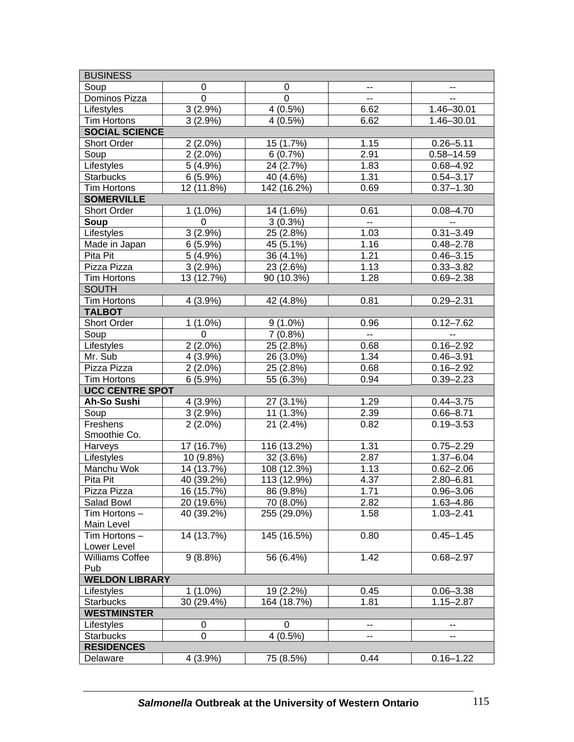| <b>BUSINESS</b>                |                  |             |               |                |  |  |  |  |
|--------------------------------|------------------|-------------|---------------|----------------|--|--|--|--|
| Soup                           | 0                | 0           |               |                |  |  |  |  |
| Dominos Pizza                  | $\mathbf 0$      | $\mathbf 0$ | --            | н.             |  |  |  |  |
| Lifestyles                     | 3(2.9%)          | $4(0.5\%)$  | 6.62          | 1.46-30.01     |  |  |  |  |
| <b>Tim Hortons</b>             | 3(2.9%)          | 4(0.5%)     | 6.62          | 1.46-30.01     |  |  |  |  |
| <b>SOCIAL SCIENCE</b>          |                  |             |               |                |  |  |  |  |
| <b>Short Order</b>             | $2(2.0\%)$       | 15 (1.7%)   | 1.15          | $0.26 - 5.11$  |  |  |  |  |
| Soup                           | $2(2.0\%)$       | 6(0.7%)     | 2.91          | $0.58 - 14.59$ |  |  |  |  |
| Lifestyles                     | $5(4.9\%)$       | 24 (2.7%)   | 1.83          | $0.68 - 4.92$  |  |  |  |  |
| <b>Starbucks</b>               | 6(5.9%)          | 40 (4.6%)   | 1.31          | $0.54 - 3.17$  |  |  |  |  |
| <b>Tim Hortons</b>             | 12 (11.8%)       | 142 (16.2%) | 0.69          | $0.37 - 1.30$  |  |  |  |  |
| <b>SOMERVILLE</b>              |                  |             |               |                |  |  |  |  |
| <b>Short Order</b>             | $1(1.0\%)$       | 14 (1.6%)   | 0.61          | $0.08 - 4.70$  |  |  |  |  |
| Soup                           | 0                | $3(0.3\%)$  | $\sim$ $\sim$ | $\sim$         |  |  |  |  |
| Lifestyles                     | $3(2.9\%)$       | 25 (2.8%)   | 1.03          | $0.31 - 3.49$  |  |  |  |  |
| Made in Japan                  | 6(5.9%)          | 45 (5.1%)   | 1.16          | $0.48 - 2.78$  |  |  |  |  |
| Pita Pit                       | $5(4.9\%)$       | 36 (4.1%)   | 1.21          | $0.46 - 3.15$  |  |  |  |  |
| Pizza Pizza                    | 3(2.9%)          | 23 (2.6%)   | 1.13          | $0.33 - 3.82$  |  |  |  |  |
| <b>Tim Hortons</b>             | 13 (12.7%)       | 90 (10.3%)  | 1.28          | $0.69 - 2.38$  |  |  |  |  |
| <b>SOUTH</b>                   |                  |             |               |                |  |  |  |  |
| <b>Tim Hortons</b>             | 4 (3.9%)         | 42 (4.8%)   | 0.81          | $0.29 - 2.31$  |  |  |  |  |
| <b>TALBOT</b>                  |                  |             |               |                |  |  |  |  |
| <b>Short Order</b>             | $1(1.0\%)$       | $9(1.0\%)$  | 0.96          | $0.12 - 7.62$  |  |  |  |  |
| Soup                           | 0                | $7(0.8\%)$  | $\sim$ $\sim$ | $\sim$         |  |  |  |  |
| Lifestyles                     | $2(2.0\%)$       | 25 (2.8%)   | 0.68          | $0.16 - 2.92$  |  |  |  |  |
| Mr. Sub                        | 4 (3.9%)         | 26 (3.0%)   | 1.34          | $0.46 - 3.91$  |  |  |  |  |
| Pizza Pizza                    | $2(2.0\%)$       | 25 (2.8%)   | 0.68          | $0.16 - 2.92$  |  |  |  |  |
| <b>Tim Hortons</b>             | 6(5.9%)          | 55 (6.3%)   | 0.94          | $0.39 - 2.23$  |  |  |  |  |
| <b>UCC CENTRE SPOT</b>         |                  |             |               |                |  |  |  |  |
| <b>Ah-So Sushi</b>             | 4 (3.9%)         | 27 (3.1%)   | 1.29          | $0.44 - 3.75$  |  |  |  |  |
| Soup                           | $3(2.9\%)$       | 11 (1.3%)   | 2.39          | $0.66 - 8.71$  |  |  |  |  |
| Freshens                       | $2(2.0\%)$       | 21 (2.4%)   | 0.82          | $0.19 - 3.53$  |  |  |  |  |
| Smoothie Co.                   |                  |             |               |                |  |  |  |  |
| Harveys                        | 17 (16.7%)       | 116 (13.2%) | 1.31          | $0.75 - 2.29$  |  |  |  |  |
| Lifestyles                     | 10 (9.8%)        | 32 (3.6%)   | 2.87          | $1.37 - 6.04$  |  |  |  |  |
| Manchu Wok                     | 14 (13.7%)       | 108 (12.3%) | 1.13          | $0.62 - 2.06$  |  |  |  |  |
| Pita Pit                       | 40 (39.2%)       | 113 (12.9%) | 4.37          | $2.80 - 6.81$  |  |  |  |  |
| Pizza Pizza                    | 16 (15.7%)       | 86(9.8%)    | 1.71          | $0.96 - 3.06$  |  |  |  |  |
| Salad Bowl                     | 20 (19.6%)       | 70 (8.0%)   | 2.82          | $1.63 - 4.86$  |  |  |  |  |
| Tim Hortons -                  | 40 (39.2%)       | 255 (29.0%) | 1.58          | $1.03 - 2.41$  |  |  |  |  |
| Main Level                     |                  |             |               |                |  |  |  |  |
| Tim Hortons-                   | 14 (13.7%)       | 145 (16.5%) | 0.80          | $0.45 - 1.45$  |  |  |  |  |
| Lower Level                    |                  |             |               |                |  |  |  |  |
| Williams Coffee                | $9(8.8\%)$       | 56 (6.4%)   | 1.42          | $0.68 - 2.97$  |  |  |  |  |
| Pub                            |                  |             |               |                |  |  |  |  |
| <b>WELDON LIBRARY</b>          |                  |             |               |                |  |  |  |  |
| Lifestyles                     | $1(1.0\%)$       | 19 (2.2%)   | 0.45          | $0.06 - 3.38$  |  |  |  |  |
| <b>Starbucks</b>               | 30 (29.4%)       | 164 (18.7%) | 1.81          | $1.15 - 2.87$  |  |  |  |  |
| <b>WESTMINSTER</b>             |                  |             |               |                |  |  |  |  |
| Lifestyles                     | 0<br>$\mathbf 0$ | 0           |               |                |  |  |  |  |
| $4(0.5\%)$<br><b>Starbucks</b> |                  |             |               |                |  |  |  |  |
| <b>RESIDENCES</b>              |                  |             |               |                |  |  |  |  |
| Delaware                       | 4 (3.9%)         | 75 (8.5%)   | 0.44          | $0.16 - 1.22$  |  |  |  |  |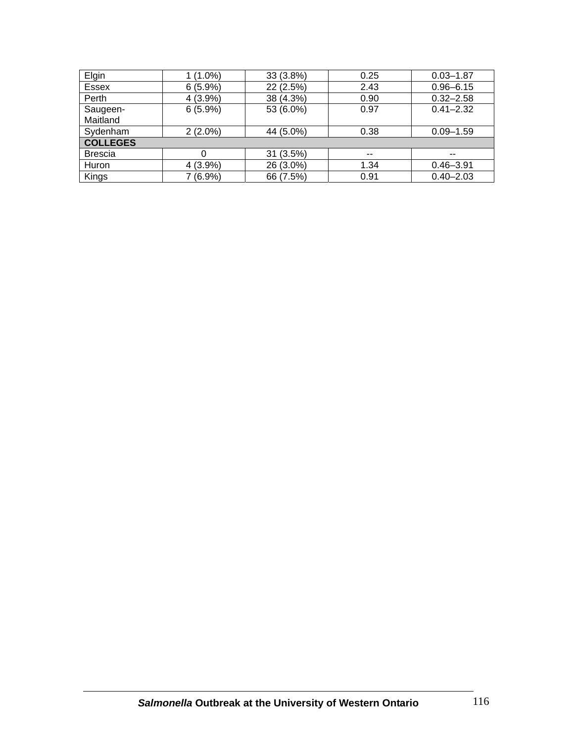| Elgin           | $(1.0\%)$  | 33 (3.8%) | 0.25 | $0.03 - 1.87$ |  |  |
|-----------------|------------|-----------|------|---------------|--|--|
| Essex           | 6(5.9%)    | 22 (2.5%) | 2.43 | $0.96 - 6.15$ |  |  |
| Perth           | $4(3.9\%)$ | 38 (4.3%) | 0.90 | $0.32 - 2.58$ |  |  |
| Saugeen-        | 6(5.9%)    | 53 (6.0%) | 0.97 | $0.41 - 2.32$ |  |  |
| Maitland        |            |           |      |               |  |  |
| Sydenham        | $2(2.0\%)$ | 44 (5.0%) | 0.38 | $0.09 - 1.59$ |  |  |
| <b>COLLEGES</b> |            |           |      |               |  |  |
| <b>Brescia</b>  | 0          | 31 (3.5%) | $-$  | $- -$         |  |  |
| Huron           | $4(3.9\%)$ | 26 (3.0%) | 1.34 | $0.46 - 3.91$ |  |  |
| Kings           | 7 (6.9%)   | 66 (7.5%) | 0.91 | $0.40 - 2.03$ |  |  |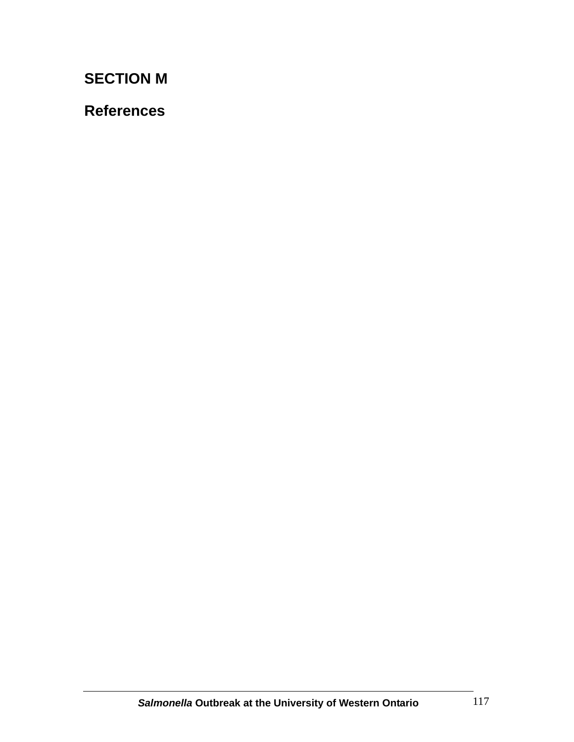# **SECTION M**

# **References**